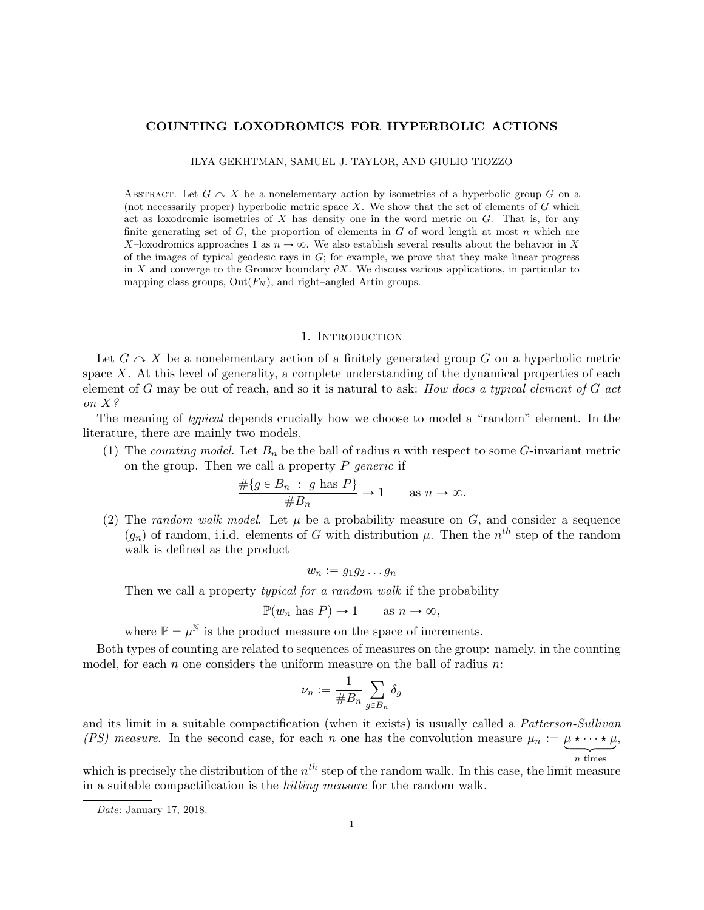# COUNTING LOXODROMICS FOR HYPERBOLIC ACTIONS

ILYA GEKHTMAN, SAMUEL J. TAYLOR, AND GIULIO TIOZZO

ABSTRACT. Let  $G \curvearrowright X$  be a nonelementary action by isometries of a hyperbolic group G on a (not necessarily proper) hyperbolic metric space  $X$ . We show that the set of elements of  $G$  which act as loxodromic isometries of  $X$  has density one in the word metric on  $G$ . That is, for any finite generating set of  $G$ , the proportion of elements in  $G$  of word length at most  $n$  which are X-loxodromics approaches 1 as  $n \to \infty$ . We also establish several results about the behavior in X of the images of typical geodesic rays in  $G$ ; for example, we prove that they make linear progress in X and converge to the Gromov boundary  $\partial X$ . We discuss various applications, in particular to mapping class groups,  $Out(F_N)$ , and right–angled Artin groups.

#### 1. INTRODUCTION

Let  $G \curvearrowright X$  be a nonelementary action of a finitely generated group G on a hyperbolic metric space  $X$ . At this level of generality, a complete understanding of the dynamical properties of each element of  $G$  may be out of reach, and so it is natural to ask: How does a typical element of  $G$  act on X?

The meaning of typical depends crucially how we choose to model a "random" element. In the literature, there are mainly two models.

(1) The counting model. Let  $B_n$  be the ball of radius n with respect to some G-invariant metric on the group. Then we call a property  $P$  generic if

$$
\frac{\#\{g \in B_n : g \text{ has } P\}}{\#B_n} \to 1 \quad \text{as } n \to \infty.
$$

(2) The random walk model. Let  $\mu$  be a probability measure on G, and consider a sequence  $(g_n)$  of random, i.i.d. elements of G with distribution  $\mu$ . Then the n<sup>th</sup> step of the random walk is defined as the product

$$
w_n := g_1 g_2 \dots g_n
$$

Then we call a property *typical for a random walk* if the probability

$$
\mathbb{P}(w_n \text{ has } P) \to 1 \quad \text{as } n \to \infty,
$$

where  $\mathbb{P} = \mu^{\mathbb{N}}$  is the product measure on the space of increments.

Both types of counting are related to sequences of measures on the group: namely, in the counting model, for each n one considers the uniform measure on the ball of radius  $n$ :

$$
\nu_n:=\frac{1}{\#B_n}\sum_{g\in B_n}\delta_g
$$

and its limit in a suitable compactification (when it exists) is usually called a *Patterson-Sullivan* (PS) measure. In the second case, for each n one has the convolution measure  $\mu_n := \mu \star \cdots \star \mu$ , n times

which is precisely the distribution of the  $n^{th}$  step of the random walk. In this case, the limit measure in a suitable compactification is the hitting measure for the random walk.

Date: January 17, 2018.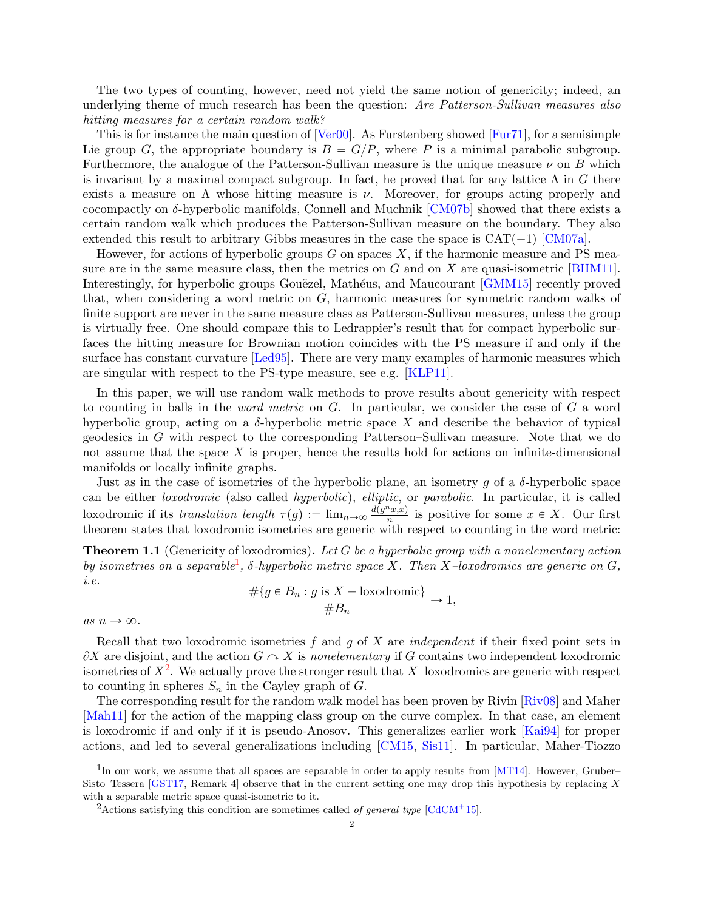The two types of counting, however, need not yield the same notion of genericity; indeed, an underlying theme of much research has been the question: Are Patterson-Sullivan measures also hitting measures for a certain random walk?

This is for instance the main question of [\[Ver00\]](#page-37-0). As Furstenberg showed [\[Fur71\]](#page-36-0), for a semisimple Lie group G, the appropriate boundary is  $B = G/P$ , where P is a minimal parabolic subgroup. Furthermore, the analogue of the Patterson-Sullivan measure is the unique measure  $\nu$  on B which is invariant by a maximal compact subgroup. In fact, he proved that for any lattice  $\Lambda$  in G there exists a measure on  $\Lambda$  whose hitting measure is  $\nu$ . Moreover, for groups acting properly and cocompactly on  $\delta$ -hyperbolic manifolds, Connell and Muchnik [\[CM07b\]](#page-36-1) showed that there exists a certain random walk which produces the Patterson-Sullivan measure on the boundary. They also extended this result to arbitrary Gibbs measures in the case the space is  $CAT(-1)$  [\[CM07a\]](#page-36-2).

However, for actions of hyperbolic groups  $G$  on spaces  $X$ , if the harmonic measure and PS measure are in the same measure class, then the metrics on  $G$  and on  $X$  are quasi-isometric [\[BHM11\]](#page-35-0). Interestingly, for hyperbolic groups Gouëzel, Mathéus, and Maucourant [\[GMM15\]](#page-36-3) recently proved that, when considering a word metric on  $G$ , harmonic measures for symmetric random walks of finite support are never in the same measure class as Patterson-Sullivan measures, unless the group is virtually free. One should compare this to Ledrappier's result that for compact hyperbolic surfaces the hitting measure for Brownian motion coincides with the PS measure if and only if the surface has constant curvature [\[Led95\]](#page-37-1). There are very many examples of harmonic measures which are singular with respect to the PS-type measure, see e.g. [\[KLP11\]](#page-36-4).

In this paper, we will use random walk methods to prove results about genericity with respect to counting in balls in the word metric on G. In particular, we consider the case of G a word hyperbolic group, acting on a  $\delta$ -hyperbolic metric space X and describe the behavior of typical geodesics in G with respect to the corresponding Patterson–Sullivan measure. Note that we do not assume that the space X is proper, hence the results hold for actions on infinite-dimensional manifolds or locally infinite graphs.

Just as in the case of isometries of the hyperbolic plane, an isometry q of a  $\delta$ -hyperbolic space can be either loxodromic (also called hyperbolic), elliptic, or parabolic. In particular, it is called loxodromic if its translation length  $\tau(g) := \lim_{n \to \infty} \frac{d(g^n x, x)}{n}$  $\frac{x(x,y)}{n}$  is positive for some  $x \in X$ . Our first theorem states that loxodromic isometries are generic with respect to counting in the word metric:

<span id="page-1-2"></span>**Theorem 1.1** (Genericity of loxodromics). Let G be a hyperbolic group with a nonelementary action by isometries on a separable<sup>[1](#page-1-0)</sup>,  $\delta$ -hyperbolic metric space X. Then X-loxodromics are generic on G, i.e.

$$
\frac{\#\{g \in B_n : g \text{ is } X - \text{loxodromic}\}}{\#B_n} \to 1,
$$

as  $n \to \infty$ .

Recall that two loxodromic isometries f and g of X are independent if their fixed point sets in  $\partial X$  are disjoint, and the action  $G \cap X$  is nonelementary if G contains two independent loxodromic isometries of  $X^2$  $X^2$ . We actually prove the stronger result that X-loxodromics are generic with respect to counting in spheres  $S_n$  in the Cayley graph of  $G$ .

The corresponding result for the random walk model has been proven by Rivin [\[Riv08\]](#page-37-2) and Maher [\[Mah11\]](#page-37-3) for the action of the mapping class group on the curve complex. In that case, an element is loxodromic if and only if it is pseudo-Anosov. This generalizes earlier work [\[Kai94\]](#page-36-5) for proper actions, and led to several generalizations including [\[CM15,](#page-36-6) [Sis11\]](#page-37-4). In particular, Maher-Tiozzo

<span id="page-1-0"></span><sup>&</sup>lt;sup>1</sup>In our work, we assume that all spaces are separable in order to apply results from [\[MT14\]](#page-37-5). However, Gruber– Sisto–Tessera [\[GST17,](#page-36-7) Remark 4] observe that in the current setting one may drop this hypothesis by replacing X with a separable metric space quasi-isometric to it.

<span id="page-1-1"></span><sup>&</sup>lt;sup>2</sup>Actions satisfying this condition are sometimes called *of general type* [\[CdCM](#page-36-8)<sup>+</sup>15].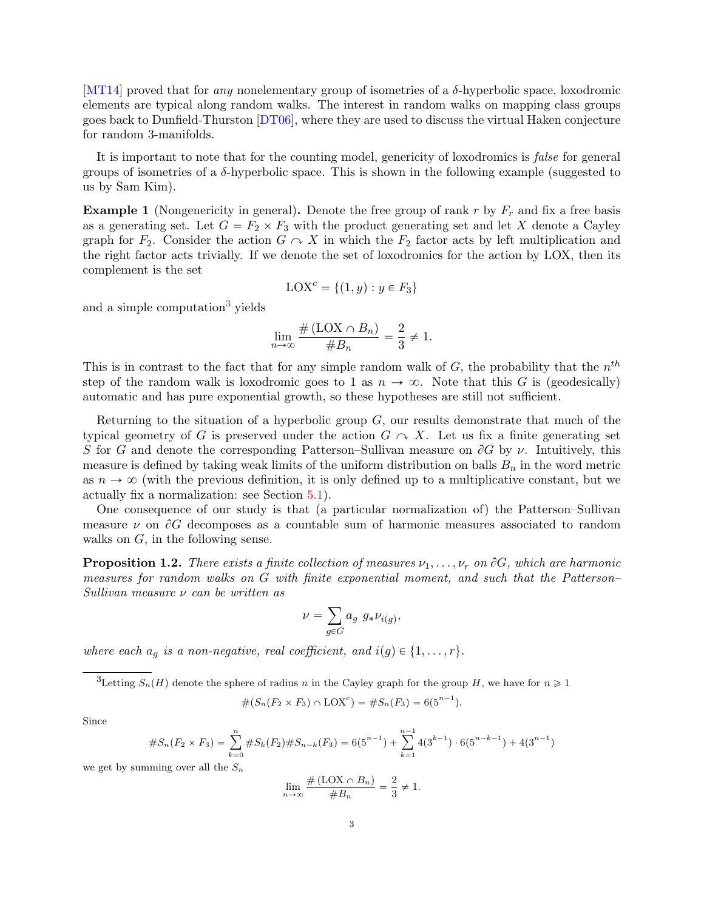[\[MT14\]](#page-37-5) proved that for *any* nonelementary group of isometries of a  $\delta$ -hyperbolic space, loxodromic elements are typical along random walks. The interest in random walks on mapping class groups goes back to Dunfield-Thurston [\[DT06\]](#page-36-9), where they are used to discuss the virtual Haken conjecture for random 3-manifolds.

It is important to note that for the counting model, genericity of loxodromics is *false* for general groups of isometries of a δ-hyperbolic space. This is shown in the following example (suggested to us by Sam Kim).

**Example 1** (Nongenericity in general). Denote the free group of rank r by  $F_r$  and fix a free basis as a generating set. Let  $G = F_2 \times F_3$  with the product generating set and let X denote a Cayley graph for  $F_2$ . Consider the action  $G \curvearrowright X$  in which the  $F_2$  factor acts by left multiplication and the right factor acts trivially. If we denote the set of loxodromics for the action by LOX, then its complement is the set

$$
LOX^{c} = \{(1, y) : y \in F_3\}
$$

and a simple computation<sup>[3](#page-2-0)</sup> yields

$$
\lim_{n \to \infty} \frac{\#(\text{LOX} \cap B_n)}{\#B_n} = \frac{2}{3} \neq 1.
$$

This is in contrast to the fact that for any simple random walk of  $G$ , the probability that the  $n^{th}$ step of the random walk is loxodromic goes to 1 as  $n \to \infty$ . Note that this G is (geodesically) automatic and has pure exponential growth, so these hypotheses are still not sufficient.

Returning to the situation of a hyperbolic group  $G$ , our results demonstrate that much of the typical geometry of G is preserved under the action  $G \curvearrowright X$ . Let us fix a finite generating set S for G and denote the corresponding Patterson–Sullivan measure on  $\partial G$  by  $\nu$ . Intuitively, this measure is defined by taking weak limits of the uniform distribution on balls  $B_n$  in the word metric as  $n \to \infty$  (with the previous definition, it is only defined up to a multiplicative constant, but we actually fix a normalization: see Section [5.1\)](#page-16-0).

One consequence of our study is that (a particular normalization of) the Patterson–Sullivan measure  $\nu$  on  $\partial G$  decomposes as a countable sum of harmonic measures associated to random walks on  $G$ , in the following sense.

<span id="page-2-1"></span>**Proposition 1.2.** There exists a finite collection of measures  $\nu_1, \ldots, \nu_r$  on  $\partial G$ , which are harmonic measures for random walks on G with finite exponential moment, and such that the Patterson– Sullivan measure  $\nu$  can be written as

$$
\nu = \sum_{g \in G} a_g \ g_* \nu_{i(g)},
$$

where each  $a_q$  is a non-negative, real coefficient, and  $i(g) \in \{1, \ldots, r\}.$ 

<span id="page-2-0"></span><sup>3</sup>Letting  $S_n(H)$  denote the sphere of radius n in the Cayley graph for the group H, we have for  $n \geq 1$ 

$$
#(S_n(F_2 \times F_3) \cap \text{LOX}^c) = #S_n(F_3) = 6(5^{n-1}).
$$

Since

#SnpF<sup>2</sup> <sup>ˆ</sup> <sup>F</sup>3q " <sup>ÿ</sup><sup>n</sup> k"0 #SkpF2q#S<sup>n</sup>´<sup>k</sup>pF3q " 6p5 n´1 q ` <sup>n</sup>ÿ´<sup>1</sup> k"1 4p3 k´1 q ¨ 6p5 n´k´1 q ` 4p3 n´1 q

we get by summing over all the  $S_n$ 

$$
\lim_{n \to \infty} \frac{\#(\text{LOX} \cap B_n)}{\#B_n} = \frac{2}{3} \neq 1.
$$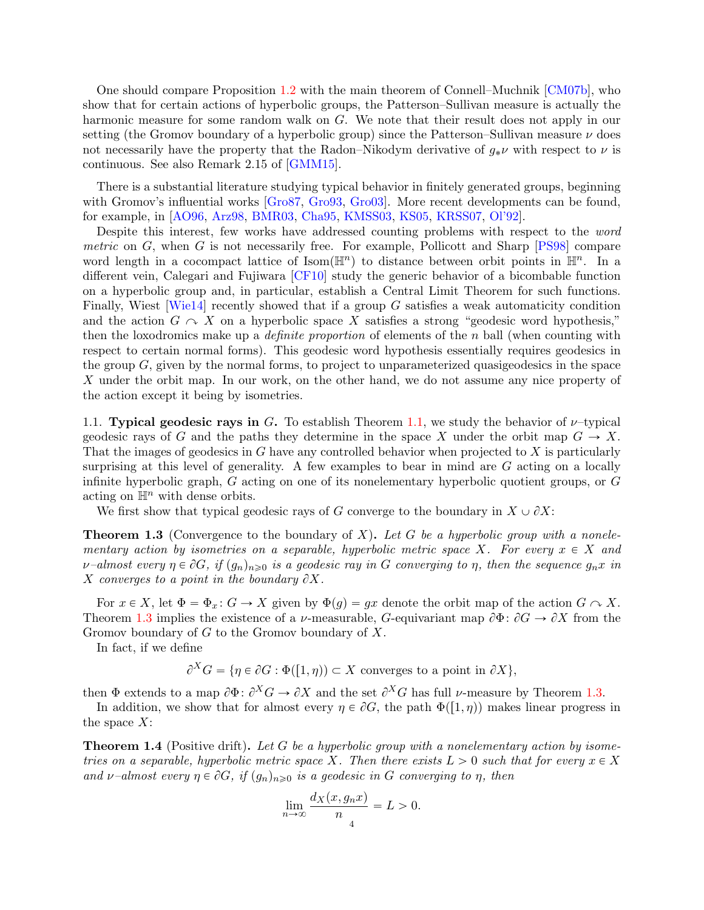One should compare Proposition [1.2](#page-2-1) with the main theorem of Connell–Muchnik [\[CM07b\]](#page-36-1), who show that for certain actions of hyperbolic groups, the Patterson–Sullivan measure is actually the harmonic measure for some random walk on G. We note that their result does not apply in our setting (the Gromov boundary of a hyperbolic group) since the Patterson–Sullivan measure  $\nu$  does not necessarily have the property that the Radon–Nikodym derivative of  $g_*\nu$  with respect to  $\nu$  is continuous. See also Remark 2.15 of [\[GMM15\]](#page-36-3).

There is a substantial literature studying typical behavior in finitely generated groups, beginning with Gromov's influential works [\[Gro87,](#page-36-10) [Gro93,](#page-36-11) Gro93]. More recent developments can be found, for example, in [\[AO96,](#page-35-1) [Arz98,](#page-35-2) [BMR03,](#page-35-3) [Cha95,](#page-36-13) [KMSS03,](#page-37-6) [KS05,](#page-37-7) [KRSS07,](#page-37-8) [Ol'92\]](#page-37-9).

Despite this interest, few works have addressed counting problems with respect to the word metric on  $G$ , when  $G$  is not necessarily free. For example, Pollicott and Sharp [\[PS98\]](#page-37-10) compare word length in a cocompact lattice of  $\text{Isom}(\mathbb{H}^n)$  to distance between orbit points in  $\mathbb{H}^n$ . In a different vein, Calegari and Fujiwara [\[CF10\]](#page-36-14) study the generic behavior of a bicombable function on a hyperbolic group and, in particular, establish a Central Limit Theorem for such functions. Finally, Wiest  $[Wie14]$  recently showed that if a group G satisfies a weak automaticity condition and the action  $G \curvearrowright X$  on a hyperbolic space X satisfies a strong "geodesic word hypothesis," then the loxodromics make up a *definite proportion* of elements of the  $n$  ball (when counting with respect to certain normal forms). This geodesic word hypothesis essentially requires geodesics in the group  $G$ , given by the normal forms, to project to unparameterized quasigeodesics in the space X under the orbit map. In our work, on the other hand, we do not assume any nice property of the action except it being by isometries.

1.1. Typical geodesic rays in G. To establish Theorem [1.1,](#page-1-2) we study the behavior of  $\nu$ -typical geodesic rays of G and the paths they determine in the space X under the orbit map  $G \to X$ . That the images of geodesics in G have any controlled behavior when projected to X is particularly surprising at this level of generality. A few examples to bear in mind are  $G$  acting on a locally infinite hyperbolic graph, G acting on one of its nonelementary hyperbolic quotient groups, or G acting on  $\mathbb{H}^n$  with dense orbits.

We first show that typical geodesic rays of G converge to the boundary in  $X \cup \partial X$ :

<span id="page-3-0"></span>**Theorem 1.3** (Convergence to the boundary of X). Let G be a hyperbolic group with a nonelementary action by isometries on a separable, hyperbolic metric space X. For every  $x \in X$  and v–almost every  $\eta \in \partial G$ , if  $(g_n)_{n\geqslant 0}$  is a geodesic ray in G converging to  $\eta$ , then the sequence  $g_n x$  in X converges to a point in the boundary  $\partial X$ .

For  $x \in X$ , let  $\Phi = \Phi_x \colon G \to X$  given by  $\Phi(g) = gx$  denote the orbit map of the action  $G \cap X$ . Theorem [1.3](#page-3-0) implies the existence of a *ν*-measurable, *G*-equivariant map  $\partial \Phi$ :  $\partial G \to \partial X$  from the Gromov boundary of G to the Gromov boundary of X.

In fact, if we define

 $\partial^X G = \{ \eta \in \partial G : \Phi([1, \eta)) \subset X \text{ converges to a point in } \partial X \},\$ 

then  $\Phi$  extends to a map  $\partial \Phi$ :  $\partial^X G \to \partial X$  and the set  $\partial^X G$  has full  $\nu$ -measure by Theorem [1.3.](#page-3-0)

In addition, we show that for almost every  $\eta \in \partial G$ , the path  $\Phi([1, \eta))$  makes linear progress in the space  $X$ :

<span id="page-3-1"></span>**Theorem 1.4** (Positive drift). Let G be a hyperbolic group with a nonelementary action by isometries on a separable, hyperbolic metric space X. Then there exists  $L > 0$  such that for every  $x \in X$ and v–almost every  $\eta \in \partial G$ , if  $(g_n)_{n\geqslant 0}$  is a geodesic in G converging to  $\eta$ , then

$$
\lim_{n \to \infty} \frac{d_X(x, g_n x)}{n} = L > 0.
$$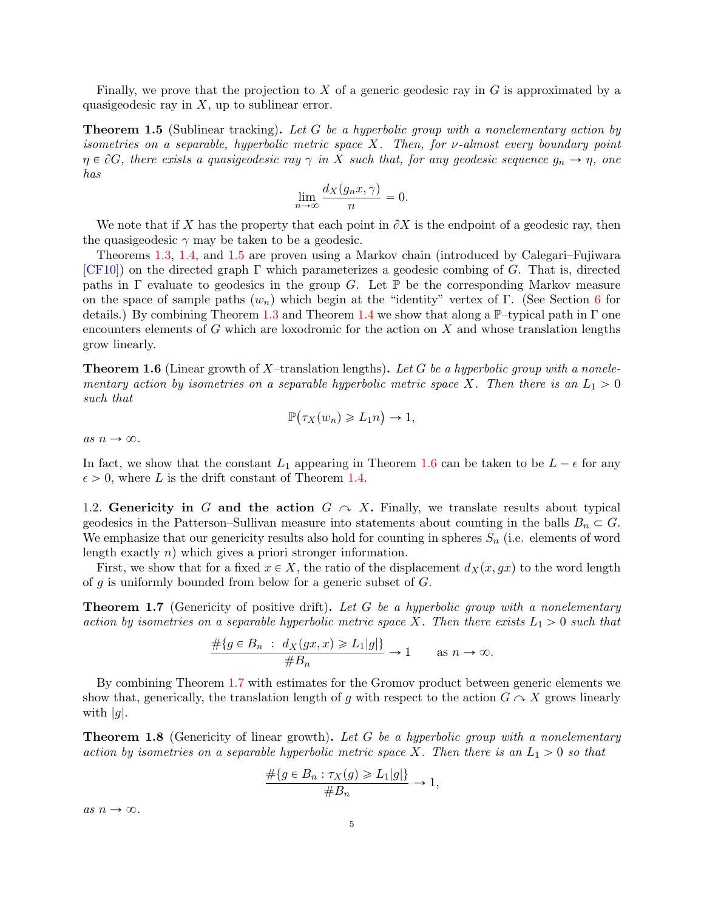Finally, we prove that the projection to  $X$  of a generic geodesic ray in  $G$  is approximated by a quasigeodesic ray in  $X$ , up to sublinear error.

<span id="page-4-0"></span>Theorem 1.5 (Sublinear tracking). Let G be a hyperbolic group with a nonelementary action by isometries on a separable, hyperbolic metric space X. Then, for  $\nu$ -almost every boundary point  $\eta \in \partial G$ , there exists a quasigeodesic ray  $\gamma$  in X such that, for any geodesic sequence  $g_n \to \eta$ , one has

$$
\lim_{n \to \infty} \frac{d_X(g_n x, \gamma)}{n} = 0.
$$

We note that if X has the property that each point in  $\partial X$  is the endpoint of a geodesic ray, then the quasigeodesic  $\gamma$  may be taken to be a geodesic.

Theorems [1.3,](#page-3-0) [1.4,](#page-3-1) and [1.5](#page-4-0) are proven using a Markov chain (introduced by Calegari–Fujiwara  $[CF10]$ ) on the directed graph  $\Gamma$  which parameterizes a geodesic combing of G. That is, directed paths in  $\Gamma$  evaluate to geodesics in the group G. Let  $\mathbb P$  be the corresponding Markov measure on the space of sample paths  $(w_n)$  which begin at the "identity" vertex of Γ. (See Section [6](#page-18-0) for details.) By combining Theorem [1.3](#page-3-0) and Theorem [1.4](#page-3-1) we show that along a  $\mathbb{P}$ –typical path in Γ one encounters elements of G which are loxodromic for the action on  $X$  and whose translation lengths grow linearly.

<span id="page-4-1"></span>**Theorem 1.6** (Linear growth of X-translation lengths). Let G be a hyperbolic group with a nonelementary action by isometries on a separable hyperbolic metric space X. Then there is an  $L_1 > 0$ such that

$$
\mathbb{P}(\tau_X(w_n) \geq L_1 n) \to 1,
$$

as  $n \to \infty$ .

In fact, we show that the constant  $L_1$  appearing in Theorem [1.6](#page-4-1) can be taken to be  $L - \epsilon$  for any  $\epsilon > 0$ , where L is the drift constant of Theorem [1.4.](#page-3-1)

1.2. Genericity in G and the action  $G \curvearrowright X$ . Finally, we translate results about typical geodesics in the Patterson–Sullivan measure into statements about counting in the balls  $B_n \subset G$ . We emphasize that our genericity results also hold for counting in spheres  $S_n$  (i.e. elements of word length exactly n) which gives a priori stronger information.

First, we show that for a fixed  $x \in X$ , the ratio of the displacement  $d_X(x, gx)$  to the word length of  $q$  is uniformly bounded from below for a generic subset of  $G$ .

<span id="page-4-2"></span>**Theorem 1.7** (Genericity of positive drift). Let G be a hyperbolic group with a nonelementary action by isometries on a separable hyperbolic metric space X. Then there exists  $L_1 > 0$  such that

$$
\frac{\#\{g \in B_n : d_X(gx, x) \ge L_1 | g|\}}{\#B_n} \to 1 \quad \text{as } n \to \infty.
$$

By combining Theorem [1.7](#page-4-2) with estimates for the Gromov product between generic elements we show that, generically, the translation length of g with respect to the action  $G \cap X$  grows linearly with  $|g|$ .

<span id="page-4-3"></span>**Theorem 1.8** (Genericity of linear growth). Let G be a hyperbolic group with a nonelementary action by isometries on a separable hyperbolic metric space X. Then there is an  $L_1 > 0$  so that

$$
\frac{\#\{g \in B_n : \tau_X(g) \ge L_1|g|\}}{\#B_n} \to 1,
$$

as  $n \to \infty$ .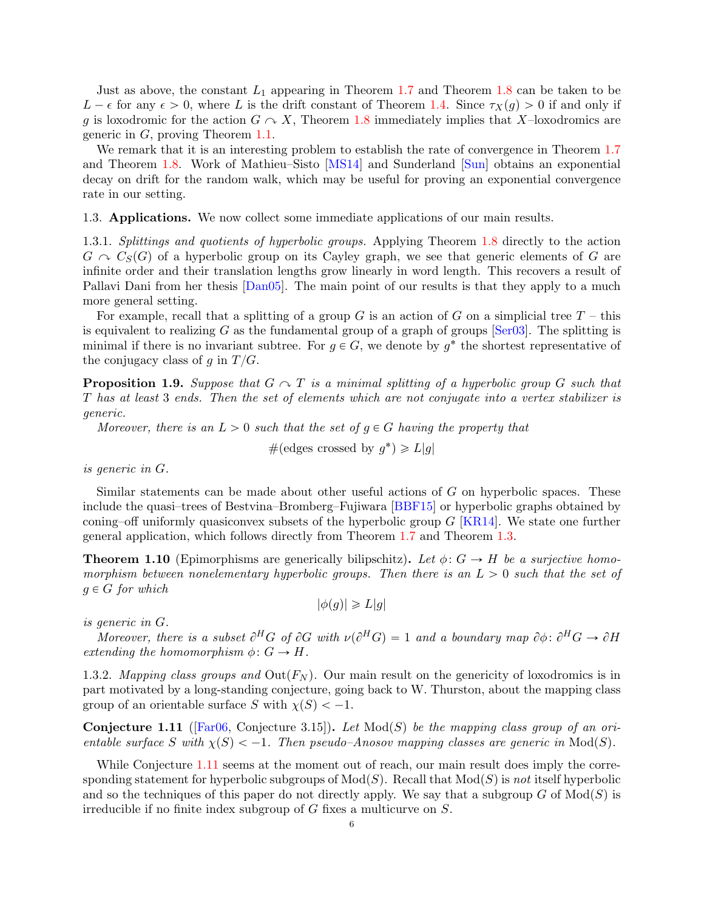Just as above, the constant  $L_1$  appearing in Theorem [1.7](#page-4-2) and Theorem [1.8](#page-4-3) can be taken to be  $L - \epsilon$  for any  $\epsilon > 0$ , where L is the drift constant of Theorem [1.4.](#page-3-1) Since  $\tau_X(g) > 0$  if and only if g is loxodromic for the action  $G \sim X$ , Theorem [1.8](#page-4-3) immediately implies that X-loxodromics are generic in G, proving Theorem [1.1.](#page-1-2)

We remark that it is an interesting problem to establish the rate of convergence in Theorem [1.7](#page-4-2) and Theorem [1.8.](#page-4-3) Work of Mathieu–Sisto [\[MS14\]](#page-37-12) and Sunderland [\[Sun\]](#page-37-13) obtains an exponential decay on drift for the random walk, which may be useful for proving an exponential convergence rate in our setting.

1.3. Applications. We now collect some immediate applications of our main results.

1.3.1. Splittings and quotients of hyperbolic groups. Applying Theorem [1.8](#page-4-3) directly to the action  $G \curvearrowright C<sub>S</sub>(G)$  of a hyperbolic group on its Cayley graph, we see that generic elements of G are infinite order and their translation lengths grow linearly in word length. This recovers a result of Pallavi Dani from her thesis [\[Dan05\]](#page-36-15). The main point of our results is that they apply to a much more general setting.

For example, recall that a splitting of a group G is an action of G on a simplicial tree  $T$  – this is equivalent to realizing G as the fundamental group of a graph of groups  $\lceil \text{Ser03} \rceil$ . The splitting is minimal if there is no invariant subtree. For  $g \in G$ , we denote by  $g^*$  the shortest representative of the conjugacy class of g in  $T/G$ .

**Proposition 1.9.** Suppose that  $G \sim T$  is a minimal splitting of a hyperbolic group G such that T has at least 3 ends. Then the set of elements which are not conjugate into a vertex stabilizer is generic.

Moreover, there is an  $L > 0$  such that the set of  $q \in G$  having the property that

#(edges crossed by  $g^*$ )  $\geq L|g|$ 

is generic in G.

Similar statements can be made about other useful actions of G on hyperbolic spaces. These include the quasi–trees of Bestvina–Bromberg–Fujiwara [\[BBF15\]](#page-35-4) or hyperbolic graphs obtained by coning–off uniformly quasiconvex subsets of the hyperbolic group  $G$  [\[KR14\]](#page-37-15). We state one further general application, which follows directly from Theorem [1.7](#page-4-2) and Theorem [1.3.](#page-3-0)

**Theorem 1.10** (Epimorphisms are generically bilipschitz). Let  $\phi: G \to H$  be a surjective homomorphism between nonelementary hyperbolic groups. Then there is an  $L > 0$  such that the set of  $g \in G$  for which

 $|\phi(g)| \geq L|g|$ 

is generic in G.

Moreover, there is a subset  $\partial^H G$  of  $\partial G$  with  $\nu(\partial^H G) = 1$  and a boundary map  $\partial \phi : \partial^H G \to \partial H$ extending the homomorphism  $\phi: G \to H$ .

1.3.2. Mapping class groups and  $Out(F_N)$ . Our main result on the genericity of loxodromics is in part motivated by a long-standing conjecture, going back to W. Thurston, about the mapping class group of an orientable surface S with  $\chi(S) < -1$ .

<span id="page-5-0"></span>**Conjecture 1.11** ([\[Far06,](#page-36-16) Conjecture 3.15]). Let  $Mod(S)$  be the mapping class group of an orientable surface S with  $\chi(S) < -1$ . Then pseudo–Anosov mapping classes are generic in Mod(S).

While Conjecture [1.11](#page-5-0) seems at the moment out of reach, our main result does imply the corresponding statement for hyperbolic subgroups of  $Mod(S)$ . Recall that  $Mod(S)$  is not itself hyperbolic and so the techniques of this paper do not directly apply. We say that a subgroup  $G$  of  $Mod(S)$  is irreducible if no finite index subgroup of G fixes a multicurve on S.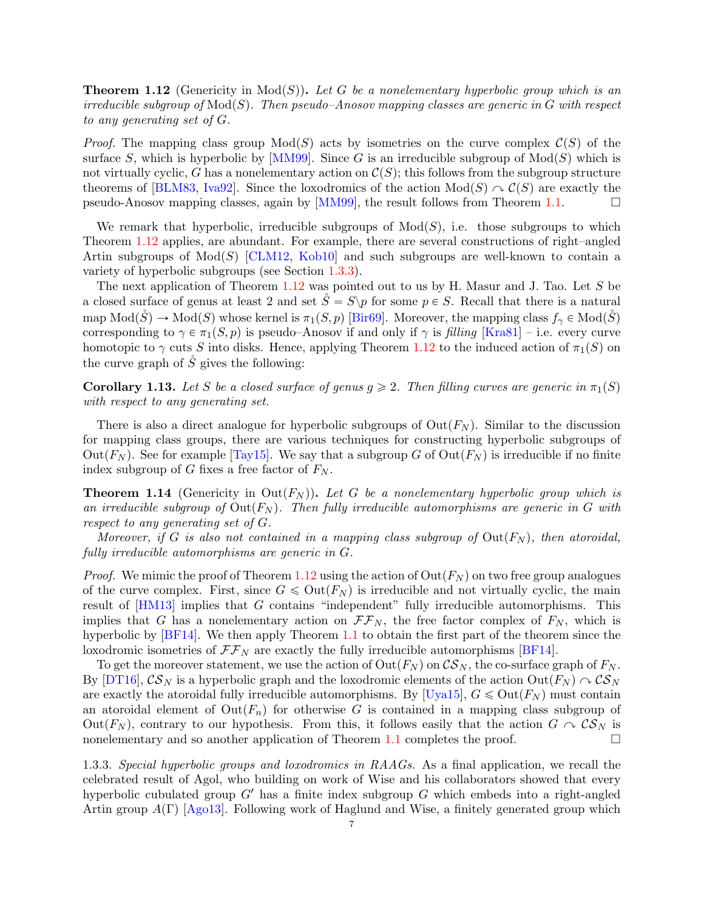<span id="page-6-0"></span>**Theorem 1.12** (Genericity in  $Mod(S)$ ). Let G be a nonelementary hyperbolic group which is an irreducible subgroup of  $Mod(S)$ . Then pseudo–Anosov mapping classes are generic in G with respect to any generating set of G.

*Proof.* The mapping class group  $Mod(S)$  acts by isometries on the curve complex  $\mathcal{C}(S)$  of the surface S, which is hyperbolic by [\[MM99\]](#page-37-16). Since G is an irreducible subgroup of  $Mod(S)$  which is not virtually cyclic, G has a nonelementary action on  $\mathcal{C}(S)$ ; this follows from the subgroup structure theorems of [\[BLM83,](#page-35-5) [Iva92\]](#page-36-17). Since the loxodromics of the action  $Mod(S) \cap \mathcal{C}(S)$  are exactly the pseudo-Anosov mapping classes, again by  $[MM99]$ , the result follows from Theorem [1.1.](#page-1-2)

We remark that hyperbolic, irreducible subgroups of  $Mod(S)$ , i.e. those subgroups to which Theorem [1.12](#page-6-0) applies, are abundant. For example, there are several constructions of right–angled Artin subgroups of  $Mod(S)$  [\[CLM12,](#page-36-18) [Kob10\]](#page-37-17) and such subgroups are well-known to contain a variety of hyperbolic subgroups (see Section [1.3.3\)](#page-6-1).

The next application of Theorem [1.12](#page-6-0) was pointed out to us by H. Masur and J. Tao. Let S be a closed surface of genus at least 2 and set  $S = S\pmb{\pmb{\vee}} p$  for some  $p \in S$ . Recall that there is a natural map  $Mod(\mathring{S}) \to Mod(S)$  whose kernel is  $\pi_1(S, p)$  [\[Bir69\]](#page-35-6). Moreover, the mapping class  $f_\gamma \in Mod(\mathring{S})$ corresponding to  $\gamma \in \pi_1(S, p)$  is pseudo–Anosov if and only if  $\gamma$  is filling [\[Kra81\]](#page-37-18) – i.e. every curve homotopic to  $\gamma$  cuts S into disks. Hence, applying Theorem [1.12](#page-6-0) to the induced action of  $\pi_1(S)$  on the curve graph of  $\tilde{S}$  gives the following:

**Corollary 1.13.** Let S be a closed surface of genus  $g \ge 2$ . Then filling curves are generic in  $\pi_1(S)$ with respect to any generating set.

There is also a direct analogue for hyperbolic subgroups of  $Out(F_N)$ . Similar to the discussion for mapping class groups, there are various techniques for constructing hyperbolic subgroups of Out( $F_N$ ). See for example [\[Tay15\]](#page-37-19). We say that a subgroup G of Out( $F_N$ ) is irreducible if no finite index subgroup of G fixes a free factor of  $F_N$ .

**Theorem 1.14** (Genericity in Out $(F_N)$ ). Let G be a nonelementary hyperbolic group which is an irreducible subgroup of  $Out(F_N)$ . Then fully irreducible automorphisms are generic in G with respect to any generating set of G.

Moreover, if G is also not contained in a mapping class subgroup of  $Out(F_N)$ , then atoroidal, fully irreducible automorphisms are generic in G.

*Proof.* We mimic the proof of Theorem [1.12](#page-6-0) using the action of  $Out(F_N)$  on two free group analogues of the curve complex. First, since  $G \leq \text{Out}(F_N)$  is irreducible and not virtually cyclic, the main result of [\[HM13\]](#page-36-19) implies that G contains "independent" fully irreducible automorphisms. This implies that G has a nonelementary action on  $\mathcal{F}\mathcal{F}_N$ , the free factor complex of  $F_N$ , which is hyperbolic by [\[BF14\]](#page-35-7). We then apply Theorem [1.1](#page-1-2) to obtain the first part of the theorem since the loxodromic isometries of  $\mathcal{F}\mathcal{F}_N$  are exactly the fully irreducible automorphisms [\[BF14\]](#page-35-7).

To get the moreover statement, we use the action of  $Out(F_N)$  on  $\mathcal{CS}_N$ , the co-surface graph of  $F_N$ . By [\[DT16\]](#page-36-20),  $\mathcal{CS}_N$  is a hyperbolic graph and the loxodromic elements of the action  $Out(F_N) \cap \mathcal{CS}_N$ are exactly the atoroidal fully irreducible automorphisms. By [\[Uya15\]](#page-37-20),  $G \leq 0$ ut $(F_N)$  must contain an atoroidal element of  $Out(F_n)$  for otherwise G is contained in a mapping class subgroup of Out( $F_N$ ), contrary to our hypothesis. From this, it follows easily that the action  $G \curvearrowright \mathcal{CS}_N$  is nonelementary and so another application of Theorem [1.1](#page-1-2) completes the proof.  $\Box$ 

<span id="page-6-1"></span>1.3.3. Special hyperbolic groups and loxodromics in RAAGs. As a final application, we recall the celebrated result of Agol, who building on work of Wise and his collaborators showed that every hyperbolic cubulated group  $G'$  has a finite index subgroup G which embeds into a right-angled Artin group  $A(\Gamma)$  [\[Ago13\]](#page-35-8). Following work of Haglund and Wise, a finitely generated group which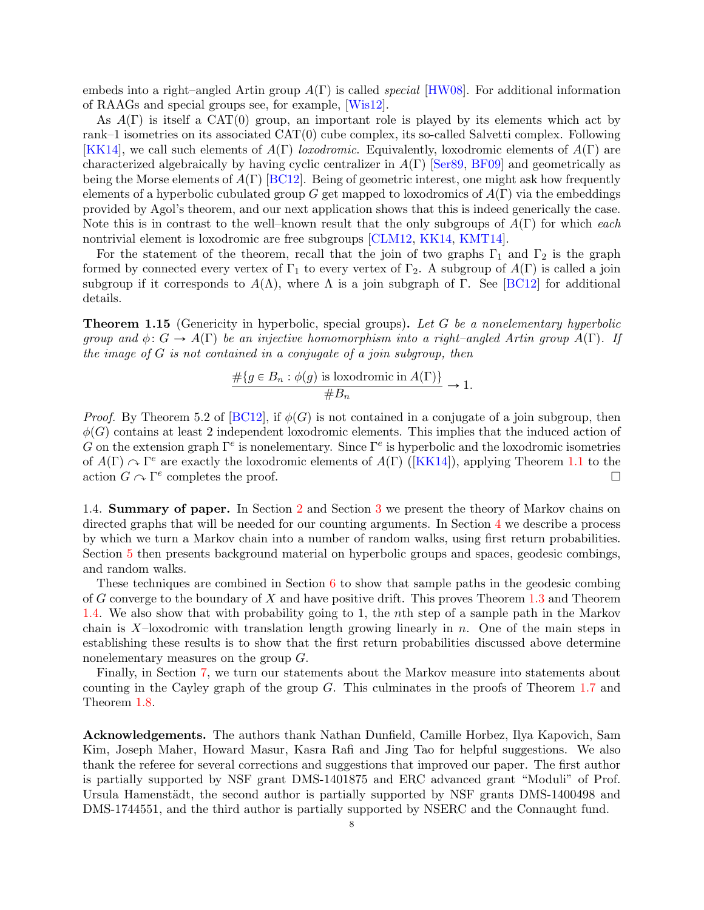embeds into a right–angled Artin group  $A(\Gamma)$  is called *special* [\[HW08\]](#page-36-21). For additional information of RAAGs and special groups see, for example, [\[Wis12\]](#page-37-21).

As  $A(\Gamma)$  is itself a CAT(0) group, an important role is played by its elements which act by rank–1 isometries on its associated  $CAT(0)$  cube complex, its so-called Salvetti complex. Following [\[KK14\]](#page-36-22), we call such elements of  $A(\Gamma)$  loxodromic. Equivalently, loxodromic elements of  $A(\Gamma)$  are characterized algebraically by having cyclic centralizer in  $A(\Gamma)$  [\[Ser89,](#page-37-22) [BF09\]](#page-35-9) and geometrically as being the Morse elements of  $A(\Gamma)$  [\[BC12\]](#page-35-10). Being of geometric interest, one might ask how frequently elements of a hyperbolic cubulated group G get mapped to loxodromics of  $A(\Gamma)$  via the embeddings provided by Agol's theorem, and our next application shows that this is indeed generically the case. Note this is in contrast to the well–known result that the only subgroups of  $A(\Gamma)$  for which each nontrivial element is loxodromic are free subgroups [\[CLM12,](#page-36-18) [KK14,](#page-36-22) [KMT14\]](#page-37-23).

For the statement of the theorem, recall that the join of two graphs  $\Gamma_1$  and  $\Gamma_2$  is the graph formed by connected every vertex of  $\Gamma_1$  to every vertex of  $\Gamma_2$ . A subgroup of  $A(\Gamma)$  is called a join subgroup if it corresponds to  $A(\Lambda)$ , where  $\Lambda$  is a join subgraph of Γ. See [\[BC12\]](#page-35-10) for additional details.

**Theorem 1.15** (Genericity in hyperbolic, special groups). Let G be a nonelementary hyperbolic group and  $\phi: G \to A(\Gamma)$  be an injective homomorphism into a right–angled Artin group  $A(\Gamma)$ . If the image of G is not contained in a conjugate of a join subgroup, then

$$
\frac{\#\{g \in B_n : \phi(g) \text{ is loxodromic in } A(\Gamma)\}}{\#B_n} \to 1.
$$

*Proof.* By Theorem 5.2 of [\[BC12\]](#page-35-10), if  $\phi(G)$  is not contained in a conjugate of a join subgroup, then  $\phi(G)$  contains at least 2 independent loxodromic elements. This implies that the induced action of G on the extension graph  $\Gamma^e$  is nonelementary. Since  $\Gamma^e$  is hyperbolic and the loxodromic isometries of  $A(\Gamma) \cap \Gamma^e$  are exactly the loxodromic elements of  $A(\Gamma)$  ([\[KK14\]](#page-36-22)), applying Theorem [1.1](#page-1-2) to the action  $G \cap \Gamma^e$  completes the proof.

1.4. Summary of paper. In Section [2](#page-8-0) and Section [3](#page-11-0) we present the theory of Markov chains on directed graphs that will be needed for our counting arguments. In Section [4](#page-14-0) we describe a process by which we turn a Markov chain into a number of random walks, using first return probabilities. Section [5](#page-15-0) then presents background material on hyperbolic groups and spaces, geodesic combings, and random walks.

These techniques are combined in Section  $6$  to show that sample paths in the geodesic combing of G converge to the boundary of X and have positive drift. This proves Theorem [1.3](#page-3-0) and Theorem [1.4.](#page-3-1) We also show that with probability going to 1, the nth step of a sample path in the Markov chain is X-loxodromic with translation length growing linearly in n. One of the main steps in establishing these results is to show that the first return probabilities discussed above determine nonelementary measures on the group G.

Finally, in Section [7,](#page-30-0) we turn our statements about the Markov measure into statements about counting in the Cayley graph of the group  $G$ . This culminates in the proofs of Theorem [1.7](#page-4-2) and Theorem [1.8.](#page-4-3)

Acknowledgements. The authors thank Nathan Dunfield, Camille Horbez, Ilya Kapovich, Sam Kim, Joseph Maher, Howard Masur, Kasra Rafi and Jing Tao for helpful suggestions. We also thank the referee for several corrections and suggestions that improved our paper. The first author is partially supported by NSF grant DMS-1401875 and ERC advanced grant "Moduli" of Prof. Ursula Hamenstädt, the second author is partially supported by NSF grants DMS-1400498 and DMS-1744551, and the third author is partially supported by NSERC and the Connaught fund.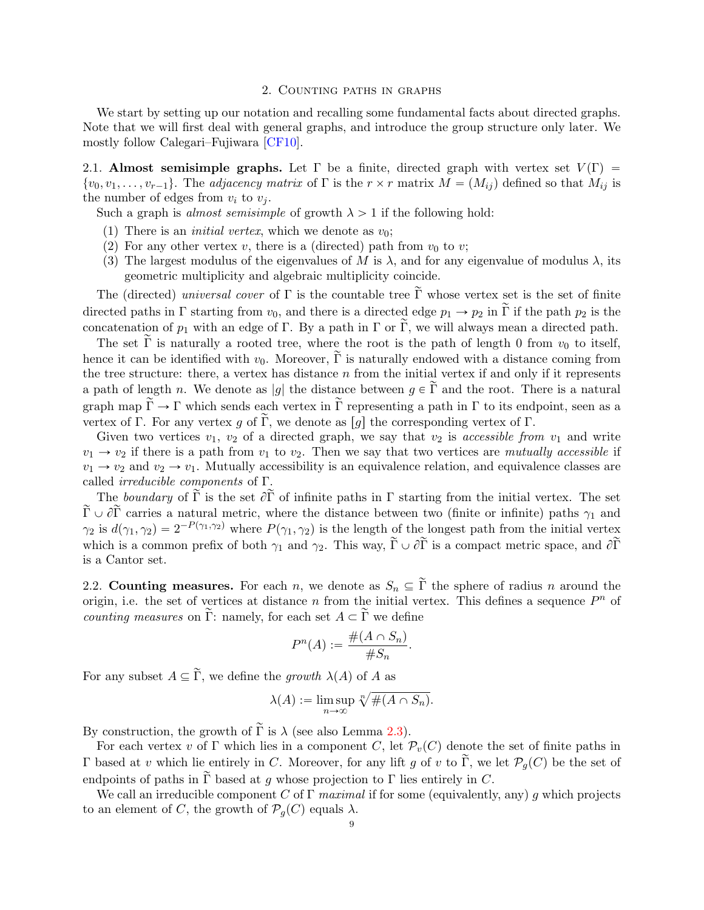### 2. Counting paths in graphs

<span id="page-8-0"></span>We start by setting up our notation and recalling some fundamental facts about directed graphs. Note that we will first deal with general graphs, and introduce the group structure only later. We mostly follow Calegari–Fujiwara [\[CF10\]](#page-36-14).

2.1. Almost semisimple graphs. Let Γ be a finite, directed graph with vertex set  $V(\Gamma)$  =  $\{v_0, v_1, \ldots, v_{r-1}\}.$  The *adjacency matrix* of  $\Gamma$  is the  $r \times r$  matrix  $M = (M_{ij})$  defined so that  $M_{ij}$  is the number of edges from  $v_i$  to  $v_j$ .

Such a graph is *almost semisimple* of growth  $\lambda > 1$  if the following hold:

- (1) There is an *initial vertex*, which we denote as  $v_0$ ;
- (2) For any other vertex v, there is a (directed) path from  $v_0$  to v;
- (3) The largest modulus of the eigenvalues of M is  $\lambda$ , and for any eigenvalue of modulus  $\lambda$ , its geometric multiplicity and algebraic multiplicity coincide.

The (directed) universal cover of  $\Gamma$  is the countable tree  $\tilde{\Gamma}$  whose vertex set is the set of finite directed paths in Γ starting from  $v_0$ , and there is a directed edge  $p_1 \to p_2$  in  $\tilde{\Gamma}$  if the path  $p_2$  is the concatenation of  $p_1$  with an edge of Γ. By a path in Γ or  $\tilde{\Gamma}$ , we will always mean a directed path.

The set  $\tilde{\Gamma}$  is naturally a rooted tree, where the root is the path of length 0 from  $v_0$  to itself, hence it can be identified with  $v_0$ . Moreover,  $\tilde{\Gamma}$  is naturally endowed with a distance coming from the tree structure: there, a vertex has distance  $n$  from the initial vertex if and only if it represents a path of length n. We denote as |g| the distance between  $g \in \tilde{\Gamma}$  and the root. There is a natural graph map  $\tilde{\Gamma} \to \Gamma$  which sends each vertex in  $\tilde{\Gamma}$  representing a path in  $\Gamma$  to its endpoint, seen as a vertex of Γ. For any vertex g of  $\widetilde{\Gamma}$ , we denote as [g] the corresponding vertex of Γ.

Given two vertices  $v_1, v_2$  of a directed graph, we say that  $v_2$  is accessible from  $v_1$  and write  $v_1 \rightarrow v_2$  if there is a path from  $v_1$  to  $v_2$ . Then we say that two vertices are mutually accessible if  $v_1 \rightarrow v_2$  and  $v_2 \rightarrow v_1$ . Mutually accessibility is an equivalence relation, and equivalence classes are called irreducible components of Γ.

The boundary of  $\tilde{\Gamma}$  is the set  $\partial \tilde{\Gamma}$  of infinite paths in  $\Gamma$  starting from the initial vertex. The set  $\tilde{\Gamma} \cup \partial \tilde{\Gamma}$  carries a natural metric, where the distance between two (finite or infinite) paths  $\gamma_1$  and  $\gamma_2$  is  $d(\gamma_1, \gamma_2) = 2^{-P(\gamma_1, \gamma_2)}$  where  $P(\gamma_1, \gamma_2)$  is the length of the longest path from the initial vertex which is a common prefix of both  $\gamma_1$  and  $\gamma_2$ . This way,  $\widetilde{\Gamma} \cup \partial \widetilde{\Gamma}$  is a compact metric space, and  $\partial \widetilde{\Gamma}$ is a Cantor set.

2.2. Counting measures. For each n, we denote as  $S_n \subseteq \tilde{\Gamma}$  the sphere of radius n around the origin, i.e. the set of vertices at distance n from the initial vertex. This defines a sequence  $P<sup>n</sup>$  of *counting measures* on  $\tilde{\Gamma}$ : namely, for each set  $A \subset \tilde{\Gamma}$  we define

$$
P^n(A) := \frac{\#(A \cap S_n)}{\#S_n}.
$$

For any subset  $A \subseteq \widetilde{\Gamma}$ , we define the growth  $\lambda(A)$  of A as

$$
\lambda(A) := \limsup_{n \to \infty} \sqrt[n]{\#(A \cap S_n)}.
$$

By construction, the growth of  $\tilde{\Gamma}$  is  $\lambda$  (see also Lemma [2.3\)](#page-9-0).

For each vertex v of Γ which lies in a component C, let  $\mathcal{P}_v(C)$  denote the set of finite paths in Γ based at v which lie entirely in C. Moreover, for any lift g of v to Γ, we let  $\mathcal{P}_q(C)$  be the set of endpoints of paths in  $\tilde{\Gamma}$  based at g whose projection to  $\Gamma$  lies entirely in C.

We call an irreducible component C of  $\Gamma$  maximal if for some (equivalently, any) g which projects to an element of C, the growth of  $\mathcal{P}_q(C)$  equals  $\lambda$ .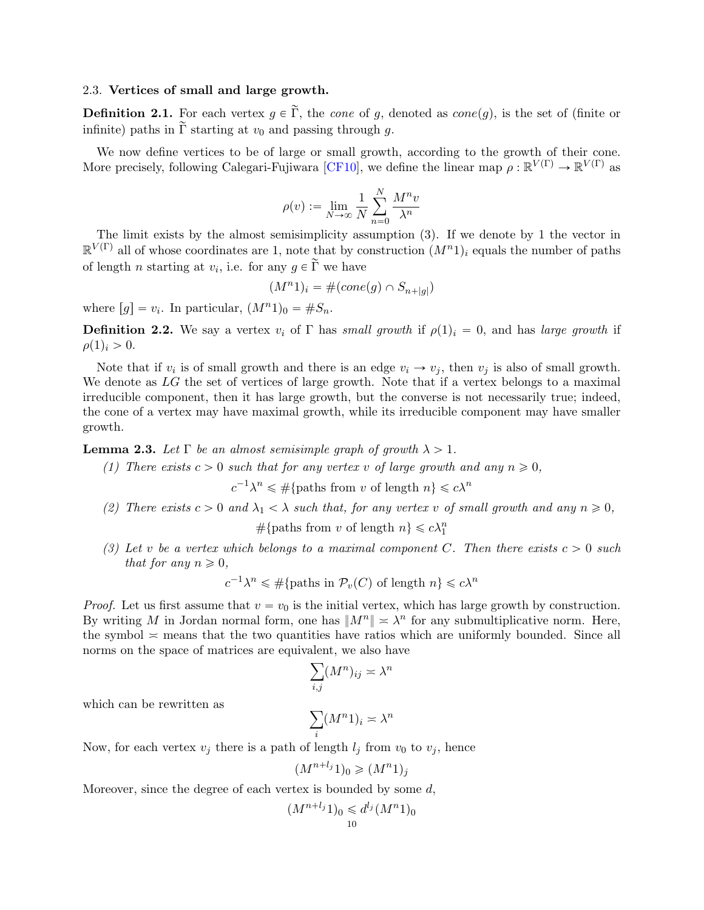### 2.3. Vertices of small and large growth.

**Definition 2.1.** For each vertex  $g \in \tilde{\Gamma}$ , the *cone* of g, denoted as *cone*(g), is the set of (finite or infinite) paths in  $\tilde{\Gamma}$  starting at  $v_0$  and passing through g.

We now define vertices to be of large or small growth, according to the growth of their cone. More precisely, following Calegari-Fujiwara [\[CF10\]](#page-36-14), we define the linear map  $\rho : \mathbb{R}^{V(\Gamma)} \to \mathbb{R}^{V(\Gamma)}$  as

$$
\rho(v):=\lim_{N\to\infty}\frac{1}{N}\sum_{n=0}^N\frac{M^nv}{\lambda^n}
$$

The limit exists by the almost semisimplicity assumption (3). If we denote by 1 the vector in  $\mathbb{R}^{V(\Gamma)}$  all of whose coordinates are 1, note that by construction  $(M^n)$ <sub>i</sub> equals the number of paths of length *n* starting at  $v_i$ , i.e. for any  $g \in \tilde{\Gamma}$  we have

$$
(M^n 1)_i = \#(cone(g) \cap S_{n+|g|})
$$

where  $[g] = v_i$ . In particular,  $(M^n 1)_0 = \#S_n$ .

**Definition 2.2.** We say a vertex  $v_i$  of  $\Gamma$  has small growth if  $\rho(1)_i = 0$ , and has large growth if  $\rho(1)_i > 0.$ 

Note that if  $v_i$  is of small growth and there is an edge  $v_i \rightarrow v_j$ , then  $v_j$  is also of small growth. We denote as LG the set of vertices of large growth. Note that if a vertex belongs to a maximal irreducible component, then it has large growth, but the converse is not necessarily true; indeed, the cone of a vertex may have maximal growth, while its irreducible component may have smaller growth.

<span id="page-9-0"></span>**Lemma 2.3.** Let  $\Gamma$  be an almost semisimple graph of growth  $\lambda > 1$ .

(1) There exists  $c > 0$  such that for any vertex v of large growth and any  $n \geq 0$ ,

 $c^{-1}\lambda^n \leq \#\{\text{paths from } v \text{ of length } n\} \leqslant c\lambda^n$ 

(2) There exists  $c > 0$  and  $\lambda_1 < \lambda$  such that, for any vertex v of small growth and any  $n \geq 0$ ,

#{paths from v of length  $n$ }  $\leq c\lambda_1^n$ 

(3) Let v be a vertex which belongs to a maximal component C. Then there exists  $c > 0$  such that for any  $n \geqslant 0$ ,

$$
c^{-1}\lambda^n \leq \#\{\text{paths in } \mathcal{P}_v(C) \text{ of length } n\} \leq c\lambda^n
$$

*Proof.* Let us first assume that  $v = v_0$  is the initial vertex, which has large growth by construction. By writing M in Jordan normal form, one has  $||M^n|| \approx \lambda^n$  for any submultiplicative norm. Here, the symbol  $\approx$  means that the two quantities have ratios which are uniformly bounded. Since all norms on the space of matrices are equivalent, we also have

$$
\sum_{i,j} (M^n)_{ij} \asymp \lambda^n
$$

which can be rewritten as

$$
\sum_{i} (M^n 1)_i \asymp \lambda^n
$$

Now, for each vertex  $v_i$  there is a path of length  $l_i$  from  $v_0$  to  $v_i$ , hence

$$
(M^{n+l_j}1)_0 \geqslant (M^n1)_j
$$

Moreover, since the degree of each vertex is bounded by some  $d$ ,

$$
(M^{n+l_j}1)_0 \leq d^{l_j}(M^n1)_0
$$
  
10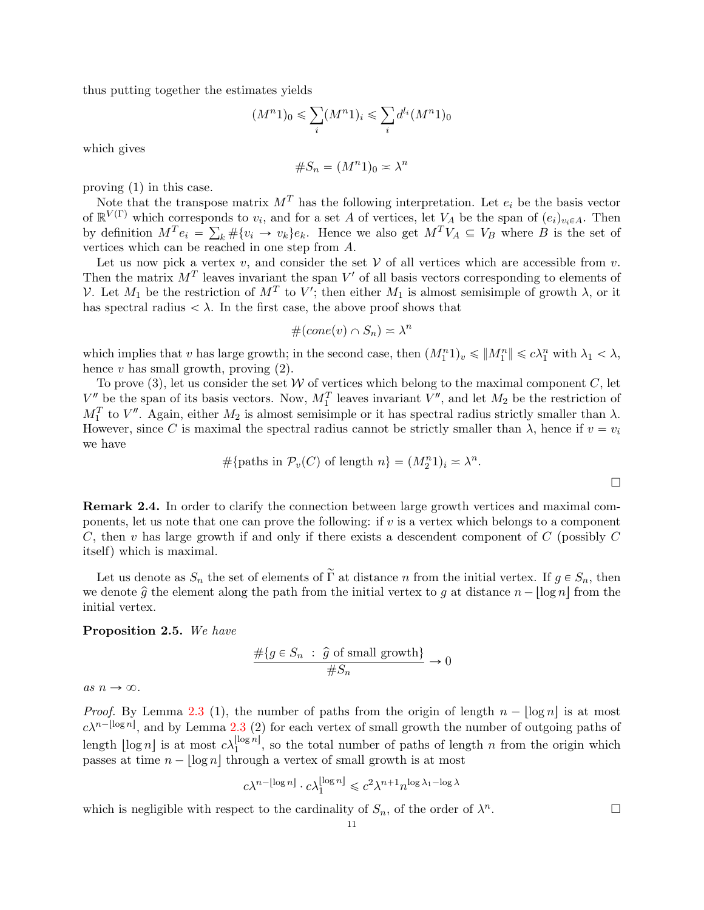thus putting together the estimates yields

$$
(M^n 1)_0 \leqslant \sum_i (M^n 1)_i \leqslant \sum_i d^{l_i} (M^n 1)_0
$$

which gives

$$
\#S_n = (M^n 1)_0 \asymp \lambda^n
$$

proving (1) in this case.

Note that the transpose matrix  $M<sup>T</sup>$  has the following interpretation. Let  $e<sub>i</sub>$  be the basis vector of  $\mathbb{R}^{V(\Gamma)}$  which corresponds to  $v_i$ , and for a set A of vertices, let  $V_A$  be the span of  $(e_i)_{v_i \in A}$ . Then by definition  $M^T e_i = \sum_k \# \{v_i \to v_k\} e_k$ . Hence we also get  $M^T V_A \subseteq V_B$  where B is the set of vertices which can be reached in one step from A.

Let us now pick a vertex  $v$ , and consider the set  $V$  of all vertices which are accessible from  $v$ . Then the matrix  $M<sup>T</sup>$  leaves invariant the span  $V'$  of all basis vectors corresponding to elements of V. Let  $M_1$  be the restriction of  $M^T$  to V'; then either  $M_1$  is almost semisimple of growth  $\lambda$ , or it has spectral radius  $\langle \lambda \rangle$ . In the first case, the above proof shows that

$$
#(cone(v) \cap S_n) \simeq \lambda^n
$$

which implies that v has large growth; in the second case, then  $(M_1^n 1)_v \leqslant ||M_1^n|| \leqslant c\lambda_1^n$  with  $\lambda_1 < \lambda$ , hence v has small growth, proving  $(2)$ .

To prove (3), let us consider the set  $W$  of vertices which belong to the maximal component  $C$ , let  $V''$  be the span of its basis vectors. Now,  $M_1^T$  leaves invariant  $V''$ , and let  $M_2$  be the restriction of  $M_1^T$  to  $V''$ . Again, either  $M_2$  is almost semisimple or it has spectral radius strictly smaller than  $\lambda$ . However, since C is maximal the spectral radius cannot be strictly smaller than  $\lambda$ , hence if  $v = v_i$ we have

$$
\#\{\text{paths in } \mathcal{P}_v(C) \text{ of length } n\} = (M_2^n 1)_i \approx \lambda^n.
$$

<span id="page-10-0"></span>Remark 2.4. In order to clarify the connection between large growth vertices and maximal components, let us note that one can prove the following: if v is a vertex which belongs to a component C, then v has large growth if and only if there exists a descendent component of C (possibly C itself) which is maximal.

Let us denote as  $S_n$  the set of elements of  $\tilde{\Gamma}$  at distance *n* from the initial vertex. If  $g \in S_n$ , then we denote  $\hat{g}$  the element along the path from the initial vertex to g at distance  $n - |\log n|$  from the initial vertex.

## <span id="page-10-1"></span>Proposition 2.5. We have

$$
\frac{\#\{g \in S_n : \hat{g} \text{ of small growth}\}}{\#S_n} \to 0
$$

as  $n \to \infty$ .

*Proof.* By Lemma [2.3](#page-9-0) (1), the number of paths from the origin of length  $n - |\log n|$  is at most  $c\lambda^{n-\lfloor \log n \rfloor}$ , and by Lemma [2.3](#page-9-0) (2) for each vertex of small growth the number of outgoing paths of length  $\lfloor \log n \rfloor$  is at most  $c \lambda_1^{\lfloor \log n \rfloor}$ , so the total number of paths of length n from the origin which passes at time  $n - \log n$  through a vertex of small growth is at most

$$
c\lambda^{n-\lfloor \log n \rfloor} \cdot c\lambda_1^{\lfloor \log n \rfloor} \leqslant c^2 \lambda^{n+1} n^{\log \lambda_1 - \log \lambda}
$$

which is negligible with respect to the cardinality of  $S_n$ , of the order of  $\lambda^n$ .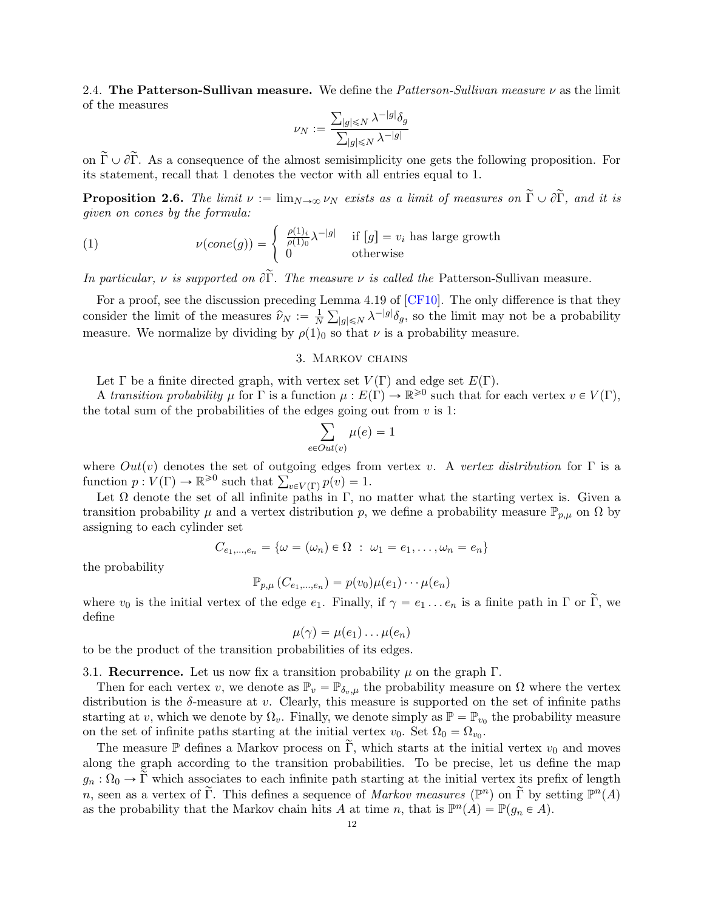2.4. The Patterson-Sullivan measure. We define the Patterson-Sullivan measure  $\nu$  as the limit of the measures

$$
\nu_N:=\frac{\sum_{|g|\leqslant N}\lambda^{-|g|}\delta_g}{\sum_{|g|\leqslant N}\lambda^{-|g|}}
$$

on  $\tilde{\Gamma} \cup \partial \tilde{\Gamma}$ . As a consequence of the almost semisimplicity one gets the following proposition. For its statement, recall that 1 denotes the vector with all entries equal to 1.

**Proposition 2.6.** The limit  $\nu := \lim_{N\to\infty} \nu_N$  exists as a limit of measures on  $\tilde{\Gamma} \cup \partial \tilde{\Gamma}$ , and it is

<span id="page-11-1"></span>*given on cones by the formula:*  
(1) 
$$
\nu(cone(g)) = \begin{cases} \frac{\rho(1)_i}{\rho(1)_0} \lambda^{-|g|} & \text{if } [g] = v_i \text{ has large growth} \\ 0 & \text{otherwise} \end{cases}
$$

In particular, v is supported on  $\partial \tilde{\Gamma}$ . The measure v is called the Patterson-Sullivan measure.

For a proof, see the discussion preceding Lemma 4.19 of [\[CF10\]](#page-36-14). The only difference is that they consider the limit of the measures  $\hat{\nu}_N := \frac{1}{N}$  $\frac{1}{N} \sum_{|g| \le N} \lambda^{-|g|} \delta_g$ , so the limit may not be a probability measure. We normalize by dividing by  $\rho(1)_0$  so that  $\nu$  is a probability measure.

### 3. Markov chains

<span id="page-11-0"></span>Let  $\Gamma$  be a finite directed graph, with vertex set  $V(\Gamma)$  and edge set  $E(\Gamma)$ .

A transition probability  $\mu$  for  $\Gamma$  is a function  $\mu : E(\Gamma) \to \mathbb{R}^{\geq 0}$  such that for each vertex  $v \in V(\Gamma)$ , the total sum of the probabilities of the edges going out from  $v$  is 1:

$$
\sum_{e \in Out(v)} \mu(e) = 1
$$

where  $Out(v)$  denotes the set of outgoing edges from vertex v. A vertex distribution for Γ is a where  $Out(v)$  denotes the set of outgoing edges from function  $p: V(\Gamma) \to \mathbb{R}^{\geq 0}$  such that  $\sum_{v \in V(\Gamma)} p(v) = 1$ .

Let  $\Omega$  denote the set of all infinite paths in Γ, no matter what the starting vertex is. Given a transition probability  $\mu$  and a vertex distribution p, we define a probability measure  $\mathbb{P}_{p,\mu}$  on  $\Omega$  by assigning to each cylinder set

$$
C_{e_1,\ldots,e_n} = \{ \omega = (\omega_n) \in \Omega \; : \; \omega_1 = e_1,\ldots,\omega_n = e_n \}
$$

the probability

$$
\mathbb{P}_{p,\mu}\left(C_{e_1,\dots,e_n}\right)=p(v_0)\mu(e_1)\cdots\mu(e_n)
$$

where  $v_0$  is the initial vertex of the edge  $e_1$ . Finally, if  $\gamma = e_1 \dots e_n$  is a finite path in  $\Gamma$  or  $\widetilde{\Gamma}$ , we define

$$
\mu(\gamma) = \mu(e_1) \dots \mu(e_n)
$$

to be the product of the transition probabilities of its edges.

3.1. Recurrence. Let us now fix a transition probability  $\mu$  on the graph  $\Gamma$ .

Then for each vertex v, we denote as  $\mathbb{P}_v = \mathbb{P}_{\delta_v,\mu}$  the probability measure on  $\Omega$  where the vertex distribution is the  $\delta$ -measure at v. Clearly, this measure is supported on the set of infinite paths starting at v, which we denote by  $\Omega_v$ . Finally, we denote simply as  $\mathbb{P} = \mathbb{P}_{v_0}$  the probability measure on the set of infinite paths starting at the initial vertex  $v_0$ . Set  $\Omega_0 = \Omega_{v_0}$ .

The measure P defines a Markov process on  $\Gamma$ , which starts at the initial vertex  $v_0$  and moves along the graph according to the transition probabilities. To be precise, let us define the map  $g_n : \Omega_0 \to \tilde{\Gamma}$  which associates to each infinite path starting at the initial vertex its prefix of length n, seen as a vertex of  $\tilde{\Gamma}$ . This defines a sequence of *Markov measures*  $(\mathbb{P}^n)$  on  $\tilde{\Gamma}$  by setting  $\mathbb{P}^n(A)$ as the probability that the Markov chain hits A at time n, that is  $\mathbb{P}^n(A) = \mathbb{P}(g_n \in A)$ .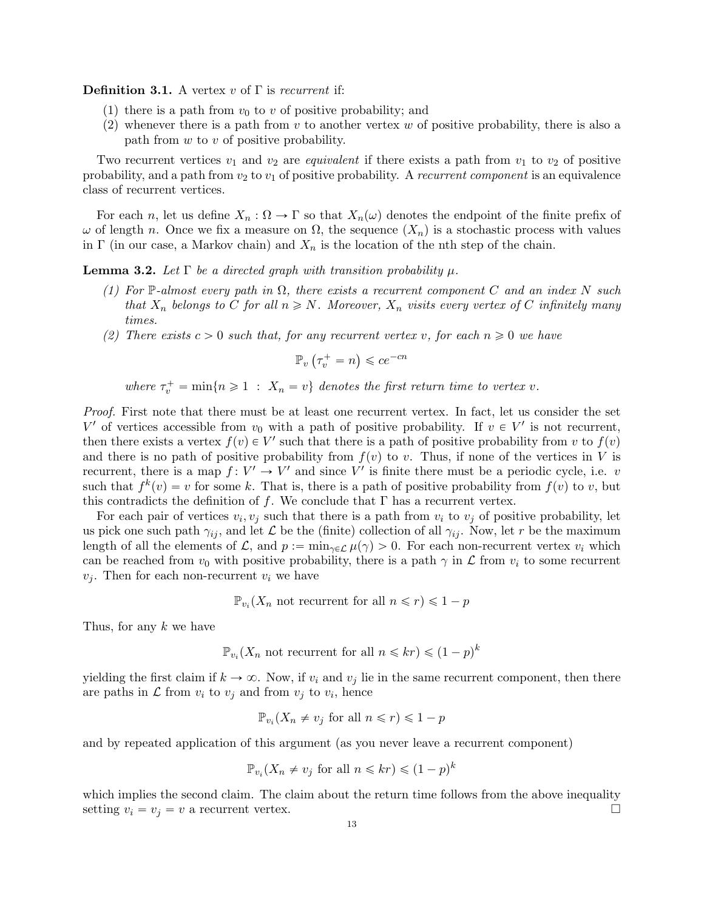**Definition 3.1.** A vertex v of  $\Gamma$  is recurrent if:

- (1) there is a path from  $v_0$  to v of positive probability; and
- (2) whenever there is a path from  $v$  to another vertex  $w$  of positive probability, there is also a path from  $w$  to  $v$  of positive probability.

Two recurrent vertices  $v_1$  and  $v_2$  are *equivalent* if there exists a path from  $v_1$  to  $v_2$  of positive probability, and a path from  $v_2$  to  $v_1$  of positive probability. A recurrent component is an equivalence class of recurrent vertices.

For each n, let us define  $X_n : \Omega \to \Gamma$  so that  $X_n(\omega)$  denotes the endpoint of the finite prefix of  $ω$  of length *n*. Once we fix a measure on  $Ω$ , the sequence  $(X_n)$  is a stochastic process with values in Γ (in our case, a Markov chain) and  $X_n$  is the location of the nth step of the chain.

<span id="page-12-0"></span>**Lemma 3.2.** Let  $\Gamma$  be a directed graph with transition probability  $\mu$ .

- (1) For P-almost every path in  $\Omega$ , there exists a recurrent component C and an index N such that  $X_n$  belongs to C for all  $n \geq N$ . Moreover,  $X_n$  visits every vertex of C infinitely many times.
- (2) There exists  $c > 0$  such that, for any recurrent vertex v, for each  $n \geq 0$  we have

$$
\mathbb{P}_v\left(\tau_v^+ = n\right) \leqslant ce^{-cn}
$$

where  $\tau_v^+ = \min\{n \geq 1 : X_n = v\}$  denotes the first return time to vertex v.

Proof. First note that there must be at least one recurrent vertex. In fact, let us consider the set V' of vertices accessible from  $v_0$  with a path of positive probability. If  $v \in V'$  is not recurrent, then there exists a vertex  $f(v) \in V'$  such that there is a path of positive probability from v to  $f(v)$ and there is no path of positive probability from  $f(v)$  to v. Thus, if none of the vertices in V is recurrent, there is a map  $f: V' \to V'$  and since V' is finite there must be a periodic cycle, i.e. v such that  $f^k(v) = v$  for some k. That is, there is a path of positive probability from  $f(v)$  to v, but this contradicts the definition of f. We conclude that  $\Gamma$  has a recurrent vertex.

For each pair of vertices  $v_i, v_j$  such that there is a path from  $v_i$  to  $v_j$  of positive probability, let us pick one such path  $\gamma_{ij}$ , and let  $\mathcal L$  be the (finite) collection of all  $\gamma_{ij}$ . Now, let r be the maximum length of all the elements of  $\mathcal{L}$ , and  $p := \min_{\gamma \in \mathcal{L}} \mu(\gamma) > 0$ . For each non-recurrent vertex  $v_i$  which can be reached from  $v_0$  with positive probability, there is a path  $\gamma$  in  $\mathcal L$  from  $v_i$  to some recurrent  $v_i$ . Then for each non-recurrent  $v_i$  we have

$$
\mathbb{P}_{v_i}(X_n \text{ not recurrent for all } n \leq r) \leq 1 - p
$$

Thus, for any k we have

$$
\mathbb{P}_{v_i}(X_n \text{ not recurrent for all } n \leq kr) \leq (1-p)^k
$$

yielding the first claim if  $k \to \infty$ . Now, if  $v_i$  and  $v_j$  lie in the same recurrent component, then there are paths in  $\mathcal L$  from  $v_i$  to  $v_j$  and from  $v_j$  to  $v_i$ , hence

$$
\mathbb{P}_{v_i}(X_n \neq v_j \text{ for all } n \leq r) \leq 1 - p
$$

and by repeated application of this argument (as you never leave a recurrent component)

$$
\mathbb{P}_{v_i}(X_n \neq v_j \text{ for all } n \leq kr) \leq (1-p)^k
$$

which implies the second claim. The claim about the return time follows from the above inequality setting  $v_i = v_j = v$  a recurrent vertex.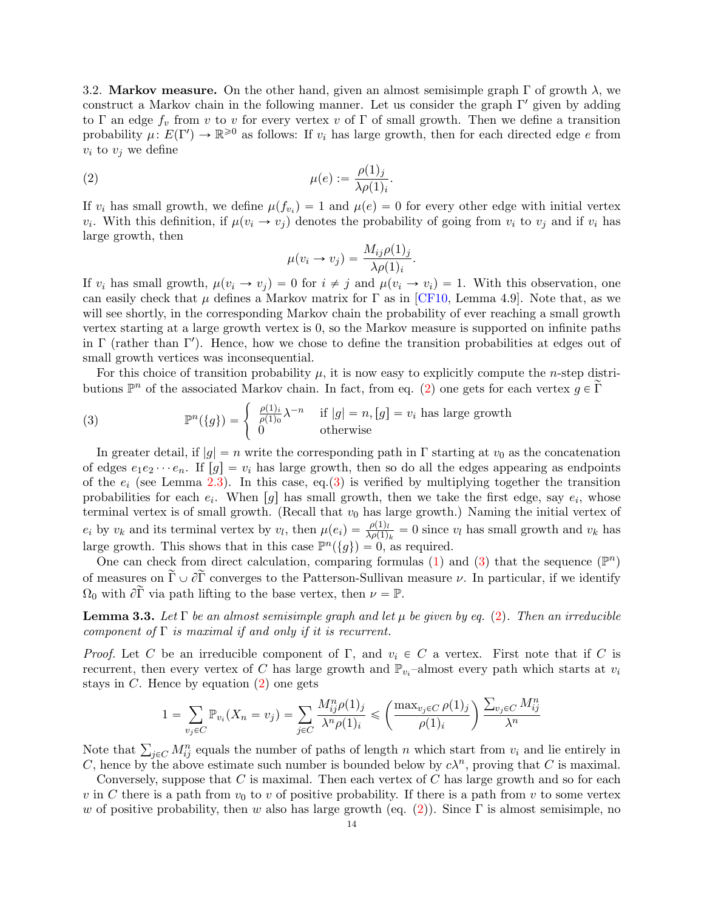<span id="page-13-2"></span>3.2. Markov measure. On the other hand, given an almost semisimple graph  $\Gamma$  of growth  $\lambda$ , we construct a Markov chain in the following manner. Let us consider the graph  $\Gamma'$  given by adding to Γ an edge  $f_v$  from v to v for every vertex v of Γ of small growth. Then we define a transition probability  $\mu: E(\Gamma') \to \mathbb{R}^{\geq 0}$  as follows: If  $v_i$  has large growth, then for each directed edge e from  $v_i$  to  $v_j$  we define

(2) 
$$
\mu(e) := \frac{\rho(1)_j}{\lambda \rho(1)_i}.
$$

If  $v_i$  has small growth, we define  $\mu(f_{v_i}) = 1$  and  $\mu(e) = 0$  for every other edge with initial vertex  $v_i$ . With this definition, if  $\mu(v_i \to v_j)$  denotes the probability of going from  $v_i$  to  $v_j$  and if  $v_i$  has large growth, then

<span id="page-13-0"></span>
$$
\mu(v_i \to v_j) = \frac{M_{ij}\rho(1)_j}{\lambda \rho(1)_i}.
$$

If  $v_i$  has small growth,  $\mu(v_i \to v_j) = 0$  for  $i \neq j$  and  $\mu(v_i \to v_i) = 1$ . With this observation, one can easily check that  $\mu$  defines a Markov matrix for  $\Gamma$  as in [\[CF10,](#page-36-14) Lemma 4.9]. Note that, as we will see shortly, in the corresponding Markov chain the probability of ever reaching a small growth vertex starting at a large growth vertex is 0, so the Markov measure is supported on infinite paths in  $\Gamma$  (rather than  $\Gamma'$ ). Hence, how we chose to define the transition probabilities at edges out of small growth vertices was inconsequential.

For this choice of transition probability  $\mu$ , it is now easy to explicitly compute the *n*-step distributions  $\mathbb{P}^n$  of the associated Markov chain. In fact, from eq. [\(2\)](#page-13-0) one gets for each vertex  $g \in \tilde{\Gamma}$ 

<span id="page-13-1"></span>(3) 
$$
\mathbb{P}^n(\{g\}) = \begin{cases} \frac{\rho(1)_i}{\rho(1)_0} \lambda^{-n} & \text{if } |g| = n, [g] = v_i \text{ has large growth} \\ 0 & \text{otherwise} \end{cases}
$$

In greater detail, if  $|g| = n$  write the corresponding path in Γ starting at  $v_0$  as the concatenation of edges  $e_1e_2\cdots e_n$ . If  $[g] = v_i$  has large growth, then so do all the edges appearing as endpoints of the  $e_i$  (see Lemma [2.3\)](#page-9-0). In this case, eq.[\(3\)](#page-13-1) is verified by multiplying together the transition probabilities for each  $e_i$ . When [g] has small growth, then we take the first edge, say  $e_i$ , whose terminal vertex is of small growth. (Recall that  $v_0$  has large growth.) Naming the initial vertex of  $e_i$  by  $v_k$  and its terminal vertex by  $v_l$ , then  $\mu(e_i) = \frac{\rho(1)_l}{\lambda \rho(1)_k} = 0$  since  $v_l$  has small growth and  $v_k$  has large growth. This shows that in this case  $\mathbb{P}^n(\{g\}) = 0$ , as required.

One can check from direct calculation, comparing formulas [\(1\)](#page-11-1) and [\(3\)](#page-13-1) that the sequence  $(\mathbb{P}^n)$ of measures on  $\tilde{\Gamma} \cup \partial \tilde{\Gamma}$  converges to the Patterson-Sullivan measure  $\nu$ . In particular, if we identify  $\Omega_0$  with  $\partial \widetilde{\Gamma}$  via path lifting to the base vertex, then  $\nu = \mathbb{P}$ .

**Lemma 3.3.** Let  $\Gamma$  be an almost semisimple graph and let  $\mu$  be given by eq. [\(2\)](#page-13-0). Then an irreducible component of  $\Gamma$  is maximal if and only if it is recurrent.

*Proof.* Let C be an irreducible component of  $\Gamma$ , and  $v_i \in C$  a vertex. First note that if C is recurrent, then every vertex of C has large growth and  $\mathbb{P}_{v_i}$ -almost every path which starts at  $v_i$ stays in  $C$ . Hence by equation  $(2)$  one gets  $\overline{a}$ 

$$
1 = \sum_{v_j \in C} \mathbb{P}_{v_i}(X_n = v_j) = \sum_{j \in C} \frac{M_{ij}^n \rho(1)_j}{\lambda^n \rho(1)_i} \leqslant \left(\frac{\max_{v_j \in C} \rho(1)_j}{\rho(1)_i}\right) \frac{\sum_{v_j \in C} M_{ij}^n}{\lambda^n}
$$

Note that  $\sum_{j\in\mathcal{C}} M_{ij}^n$  equals the number of paths of length n which start from  $v_i$  and lie entirely in C, hence by the above estimate such number is bounded below by  $c\lambda^n$ , proving that C is maximal.

Conversely, suppose that  $C$  is maximal. Then each vertex of  $C$  has large growth and so for each v in C there is a path from  $v_0$  to v of positive probability. If there is a path from v to some vertex w of positive probability, then w also has large growth (eq. [\(2\)](#page-13-0)). Since  $\Gamma$  is almost semisimple, no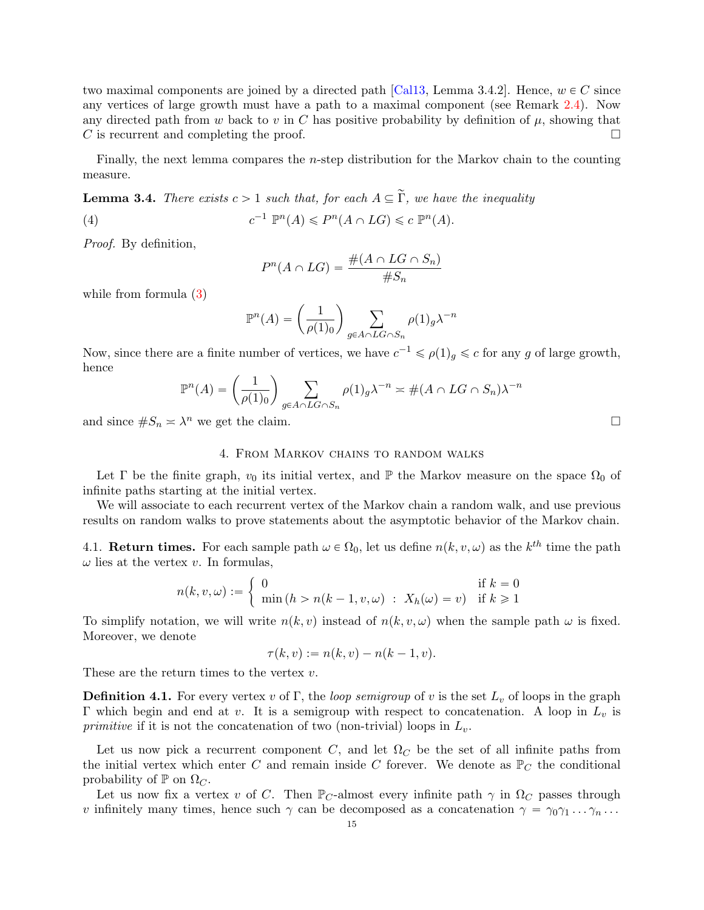two maximal components are joined by a directed path [\[Cal13,](#page-36-23) Lemma 3.4.2]. Hence,  $w \in C$  since any vertices of large growth must have a path to a maximal component (see Remark [2.4\)](#page-10-0). Now any directed path from w back to v in C has positive probability by definition of  $\mu$ , showing that C is recurrent and completing the proof.

Finally, the next lemma compares the n-step distribution for the Markov chain to the counting measure.

<span id="page-14-1"></span>**Lemma 3.4.** There exists  $c > 1$  such that, for each  $A \subseteq \tilde{\Gamma}$ , we have the inequality

(4) 
$$
c^{-1} \mathbb{P}^n(A) \leq P^n(A \cap LG) \leq c \mathbb{P}^n(A).
$$

Proof. By definition,

<span id="page-14-2"></span>
$$
P^{n}(A \cap LG) = \frac{\#(A \cap LG \cap S_{n})}{\#S_{n}}
$$

while from formula [\(3\)](#page-13-1)

$$
\mathbb{P}^n(A) = \left(\frac{1}{\rho(1)_0}\right) \sum_{g \in A \cap LG \cap S_n} \rho(1)_g \lambda^{-n}
$$

Now, since there are a finite number of vertices, we have  $c^{-1} \leq \rho(1)_g \leq c$  for any g of large growth, hence  $\sqrt{ }$ 

$$
\mathbb{P}^n(A) = \left(\frac{1}{\rho(1)_0}\right) \sum_{g \in A \cap LG \cap S_n} \rho(1)_g \lambda^{-n} \asymp \#(A \cap LG \cap S_n) \lambda^{-n}
$$

and since  $\#S_n \asymp \lambda^n$  we get the claim.

## 4. From Markov chains to random walks

<span id="page-14-0"></span>Let  $\Gamma$  be the finite graph,  $v_0$  its initial vertex, and  $\mathbb P$  the Markov measure on the space  $\Omega_0$  of infinite paths starting at the initial vertex.

We will associate to each recurrent vertex of the Markov chain a random walk, and use previous results on random walks to prove statements about the asymptotic behavior of the Markov chain.

4.1. **Return times.** For each sample path  $\omega \in \Omega_0$ , let us define  $n(k, v, \omega)$  as the k<sup>th</sup> time the path  $\omega$  lies at the vertex v. In formulas,

$$
n(k, v, \omega) := \begin{cases} 0 & \text{if } k = 0\\ \min(h > n(k - 1, v, \omega) : X_h(\omega) = v) & \text{if } k \ge 1 \end{cases}
$$

To simplify notation, we will write  $n(k, v)$  instead of  $n(k, v, \omega)$  when the sample path  $\omega$  is fixed. Moreover, we denote

$$
\tau(k,v) := n(k,v) - n(k-1,v).
$$

These are the return times to the vertex  $v$ .

**Definition 4.1.** For every vertex v of Γ, the *loop semigroup* of v is the set  $L_v$  of loops in the graph Γ which begin and end at v. It is a semigroup with respect to concatenation. A loop in  $L<sub>v</sub>$  is *primitive* if it is not the concatenation of two (non-trivial) loops in  $L_v$ .

Let us now pick a recurrent component C, and let  $\Omega_C$  be the set of all infinite paths from the initial vertex which enter C and remain inside C forever. We denote as  $\mathbb{P}_C$  the conditional probability of  $\mathbb P$  on  $\Omega_C$ .

Let us now fix a vertex v of C. Then  $\mathbb{P}_C$ -almost every infinite path  $\gamma$  in  $\Omega_C$  passes through v infinitely many times, hence such  $\gamma$  can be decomposed as a concatenation  $\gamma = \gamma_0 \gamma_1 \dots \gamma_n \dots$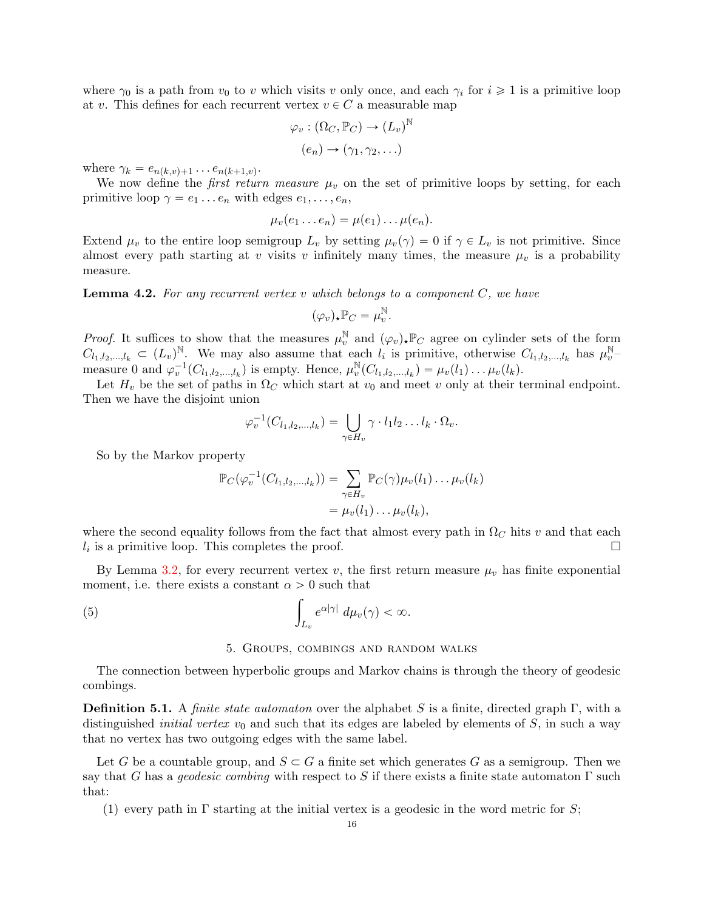where  $\gamma_0$  is a path from  $v_0$  to v which visits v only once, and each  $\gamma_i$  for  $i \geq 1$  is a primitive loop at v. This defines for each recurrent vertex  $v \in C$  a measurable map

$$
\varphi_v : (\Omega_C, \mathbb{P}_C) \to (L_v)^{\mathbb{N}}
$$

$$
(e_n) \to (\gamma_1, \gamma_2, \ldots)
$$

where  $\gamma_k = e_{n(k,v)+1} \dots e_{n(k+1,v)}$ .

We now define the *first return measure*  $\mu_v$  on the set of primitive loops by setting, for each primitive loop  $\gamma = e_1 \dots e_n$  with edges  $e_1, \dots, e_n$ ,

$$
\mu_v(e_1 \ldots e_n) = \mu(e_1) \ldots \mu(e_n).
$$

Extend  $\mu_v$  to the entire loop semigroup  $L_v$  by setting  $\mu_v(\gamma) = 0$  if  $\gamma \in L_v$  is not primitive. Since almost every path starting at v visits v infinitely many times, the measure  $\mu_v$  is a probability measure.

<span id="page-15-2"></span>**Lemma 4.2.** For any recurrent vertex v which belongs to a component  $C$ , we have

$$
(\varphi_v)_\star \mathbb{P}_C = \mu_v^{\mathbb{N}}
$$

.

*Proof.* It suffices to show that the measures  $\mu_v^{\mathbb{N}}$  and  $(\varphi_v)_* \mathbb{P}_C$  agree on cylinder sets of the form  $C_{l_1,l_2,...,l_k} \subset (L_v)^{\mathbb{N}}$ . We may also assume that each  $l_i$  is primitive, otherwise  $C_{l_1,l_2,...,l_k}$  has  $\mu_v^{\mathbb{N}}$ measure 0 and  $\varphi_v^{-1}(C_{l_1,l_2,\dots,l_k})$  is empty. Hence,  $\mu_v^{\mathbb{N}}$  $v_v^{\mathbb N}(C_{l_1,l_2,...,l_k}) = \mu_v(l_1) \dots \mu_v(l_k).$ 

Let  $H_v$  be the set of paths in  $\Omega_C$  which start at  $v_0$  and meet v only at their terminal endpoint. Then we have the disjoint union

$$
\varphi_v^{-1}(C_{l_1,l_2,\ldots,l_k}) = \bigcup_{\gamma \in H_v} \gamma \cdot l_1 l_2 \ldots l_k \cdot \Omega_v.
$$

So by the Markov property

$$
\mathbb{P}_C(\varphi_v^{-1}(C_{l_1,l_2,\ldots,l_k})) = \sum_{\gamma \in H_v} \mathbb{P}_C(\gamma)\mu_v(l_1)\ldots\mu_v(l_k)
$$
  
=  $\mu_v(l_1)\ldots\mu_v(l_k),$ 

where the second equality follows from the fact that almost every path in  $\Omega<sub>C</sub>$  hits v and that each  $l_i$  is a primitive loop. This completes the proof.

By Lemma [3.2,](#page-12-0) for every recurrent vertex v, the first return measure  $\mu_v$  has finite exponential moment, i.e. there exists a constant  $\alpha > 0$  such that

(5)

\n
$$
\int_{L_v} e^{\alpha |\gamma|} \, d\mu_v(\gamma) < \infty.
$$

#### <span id="page-15-1"></span>5. Groups, combings and random walks

<span id="page-15-0"></span>The connection between hyperbolic groups and Markov chains is through the theory of geodesic combings.

**Definition 5.1.** A *finite state automaton* over the alphabet S is a finite, directed graph Γ, with a distinguished *initial vertex v*<sub>0</sub> and such that its edges are labeled by elements of  $S$ , in such a way that no vertex has two outgoing edges with the same label.

Let G be a countable group, and  $S \subset G$  a finite set which generates G as a semigroup. Then we say that G has a geodesic combing with respect to S if there exists a finite state automaton  $\Gamma$  such that:

(1) every path in  $\Gamma$  starting at the initial vertex is a geodesic in the word metric for S;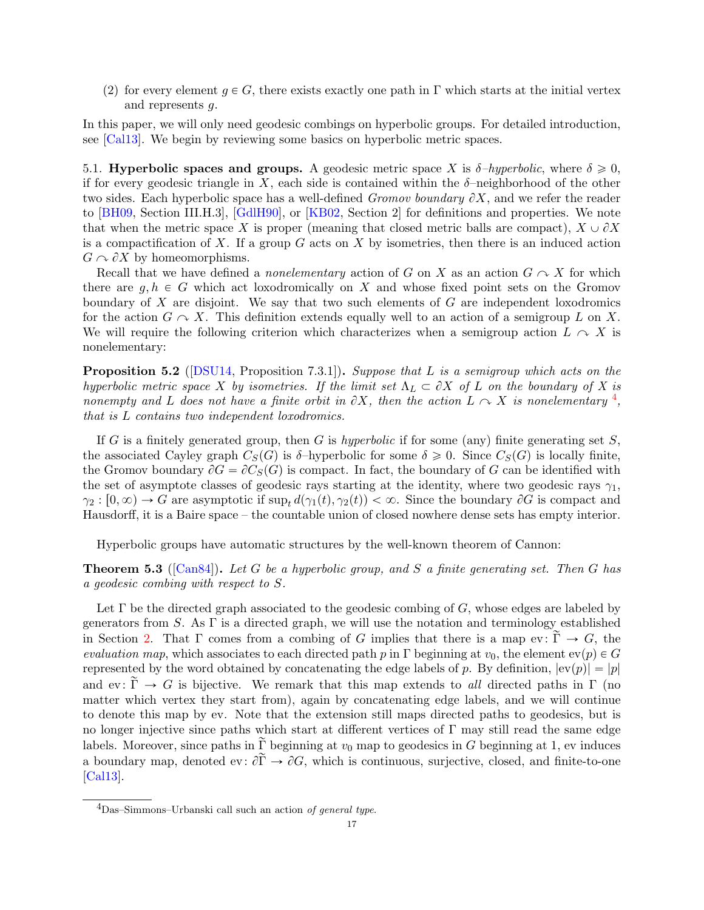(2) for every element  $q \in G$ , there exists exactly one path in Γ which starts at the initial vertex and represents g.

In this paper, we will only need geodesic combings on hyperbolic groups. For detailed introduction, see [\[Cal13\]](#page-36-23). We begin by reviewing some basics on hyperbolic metric spaces.

<span id="page-16-0"></span>5.1. Hyperbolic spaces and groups. A geodesic metric space X is  $\delta$ -hyperbolic, where  $\delta \geqslant 0$ , if for every geodesic triangle in X, each side is contained within the  $\delta$ -neighborhood of the other two sides. Each hyperbolic space has a well-defined *Gromov boundary*  $\partial X$ , and we refer the reader to [\[BH09,](#page-35-11) Section III.H.3], [\[GdlH90\]](#page-36-24), or [\[KB02,](#page-36-25) Section 2] for definitions and properties. We note that when the metric space X is proper (meaning that closed metric balls are compact),  $X \cup \partial X$ is a compactification of X. If a group  $G$  acts on X by isometries, then there is an induced action  $G \cap \partial X$  by homeomorphisms.

Recall that we have defined a *nonelementary* action of G on X as an action  $G \cap X$  for which there are  $g, h \in G$  which act loxodromically on X and whose fixed point sets on the Gromov boundary of  $X$  are disjoint. We say that two such elements of  $G$  are independent loxodromics for the action  $G \cap X$ . This definition extends equally well to an action of a semigroup L on X. We will require the following criterion which characterizes when a semigroup action  $L \sim X$  is nonelementary:

<span id="page-16-3"></span>**Proposition 5.2** ([\[DSU14,](#page-36-26) Proposition 7.3.1]). Suppose that L is a semigroup which acts on the hyperbolic metric space X by isometries. If the limit set  $\Lambda_L \subset \partial X$  of L on the boundary of X is nonempty and L does not have a finite orbit in  $\partial X$ , then the action  $L \curvearrowright X$  is nonelementary <sup>[4](#page-16-1)</sup>, that is L contains two independent loxodromics.

If G is a finitely generated group, then G is hyperbolic if for some (any) finite generating set  $S$ , the associated Cayley graph  $C_S(G)$  is  $\delta$ -hyperbolic for some  $\delta \geq 0$ . Since  $C_S(G)$  is locally finite, the Gromov boundary  $\partial G = \partial C_S(G)$  is compact. In fact, the boundary of G can be identified with the set of asymptote classes of geodesic rays starting at the identity, where two geodesic rays  $\gamma_1$ ,  $\gamma_2 : [0, \infty) \to G$  are asymptotic if  $\sup_t d(\gamma_1(t), \gamma_2(t)) < \infty$ . Since the boundary  $\partial G$  is compact and Hausdorff, it is a Baire space – the countable union of closed nowhere dense sets has empty interior.

Hyperbolic groups have automatic structures by the well-known theorem of Cannon:

<span id="page-16-2"></span>**Theorem 5.3** ([\[Can84\]](#page-36-27)). Let G be a hyperbolic group, and S a finite generating set. Then G has a geodesic combing with respect to S.

Let  $\Gamma$  be the directed graph associated to the geodesic combing of  $G$ , whose edges are labeled by generators from S. As Γ is a directed graph, we will use the notation and terminology established in Section [2.](#page-8-0) That  $\Gamma$  comes from a combing of G implies that there is a map ev:  $\widetilde{\Gamma} \to G$ , the evaluation map, which associates to each directed path p in Γ beginning at  $v_0$ , the element  $ev(p) \in G$ represented by the word obtained by concatenating the edge labels of p. By definition,  $|ev(p)| = |p|$ and ev:  $\tilde{\Gamma} \rightarrow G$  is bijective. We remark that this map extends to all directed paths in  $\Gamma$  (no matter which vertex they start from), again by concatenating edge labels, and we will continue to denote this map by ev. Note that the extension still maps directed paths to geodesics, but is no longer injective since paths which start at different vertices of Γ may still read the same edge labels. Moreover, since paths in  $\overline{\Gamma}$  beginning at  $v_0$  map to geodesics in G beginning at 1, ev induces a boundary map, denoted ev:  $\partial \widetilde{\Gamma} \to \partial G$ , which is continuous, surjective, closed, and finite-to-one [\[Cal13\]](#page-36-23).

<span id="page-16-1"></span> ${}^{4}$ Das–Simmons–Urbanski call such an action of general type.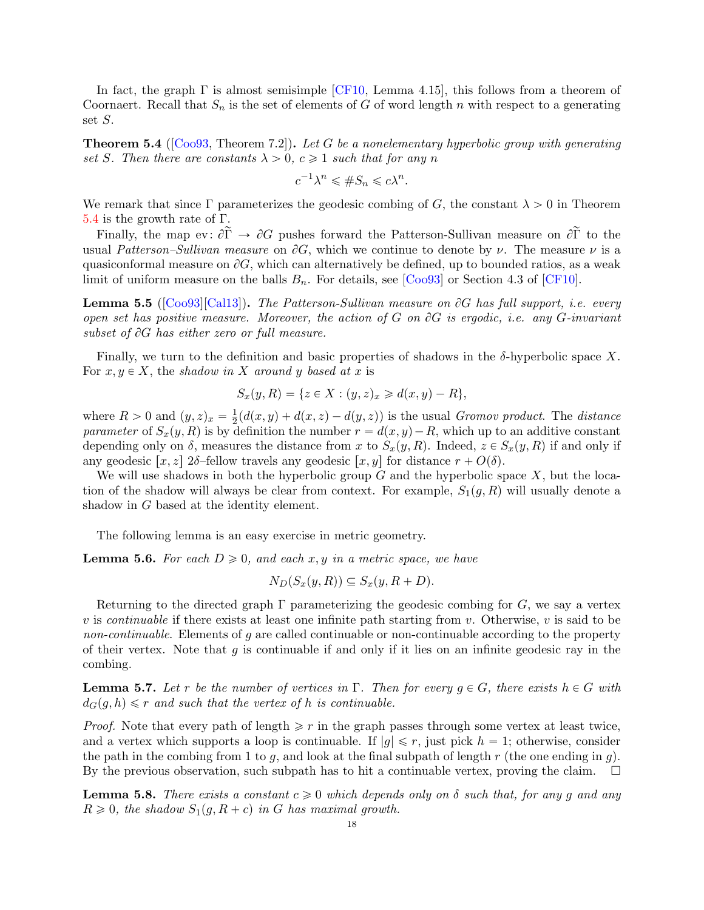In fact, the graph  $\Gamma$  is almost semisimple [\[CF10,](#page-36-14) Lemma 4.15], this follows from a theorem of Coornaert. Recall that  $S_n$  is the set of elements of G of word length n with respect to a generating set S.

<span id="page-17-0"></span>**Theorem 5.4** ([\[Coo93,](#page-36-28) Theorem 7.2]). Let G be a nonelementary hyperbolic group with generating set S. Then there are constants  $\lambda > 0$ ,  $c \geq 1$  such that for any n

$$
c^{-1}\lambda^n \le \#S_n \le c\lambda^n.
$$

We remark that since Γ parameterizes the geodesic combing of G, the constant  $\lambda > 0$  in Theorem [5.4](#page-17-0) is the growth rate of  $\Gamma$ .

Finally, the map ev:  $\partial \widetilde{\Gamma} \to \partial G$  pushes forward the Patterson-Sullivan measure on  $\partial \widetilde{\Gamma}$  to the usual Patterson–Sullivan measure on  $\partial G$ , which we continue to denote by  $\nu$ . The measure  $\nu$  is a quasiconformal measure on  $\partial G$ , which can alternatively be defined, up to bounded ratios, as a weak limit of uniform measure on the balls  $B_n$ . For details, see [\[Coo93\]](#page-36-28) or Section 4.3 of [\[CF10\]](#page-36-14).

<span id="page-17-4"></span>**Lemma 5.5** ( $[Co 93][Cal 13]$ ). The Patterson-Sullivan measure on  $\partial G$  has full support, i.e. every open set has positive measure. Moreover, the action of G on  $\partial G$  is ergodic, i.e. any G-invariant subset of  $\partial G$  has either zero or full measure.

Finally, we turn to the definition and basic properties of shadows in the  $\delta$ -hyperbolic space X. For  $x, y \in X$ , the shadow in X around y based at x is

$$
S_x(y, R) = \{ z \in X : (y, z)_x \ge d(x, y) - R \},
$$

where  $R > 0$  and  $(y, z)_x = \frac{1}{2}$  $\frac{1}{2}(d(x,y) + d(x,z) - d(y,z))$  is the usual *Gromov product*. The *distance* parameter of  $S_x(y, R)$  is by definition the number  $r = d(x, y) - R$ , which up to an additive constant depending only on  $\delta$ , measures the distance from x to  $S_x(y, R)$ . Indeed,  $z \in S_x(y, R)$  if and only if any geodesic  $[x, z]$  2δ–fellow travels any geodesic  $[x, y]$  for distance  $r + O(\delta)$ .

We will use shadows in both the hyperbolic group  $G$  and the hyperbolic space  $X$ , but the location of the shadow will always be clear from context. For example,  $S_1(g, R)$  will usually denote a shadow in G based at the identity element.

The following lemma is an easy exercise in metric geometry.

<span id="page-17-3"></span>**Lemma 5.6.** For each  $D \ge 0$ , and each x, y in a metric space, we have

$$
N_D(S_x(y,R)) \subseteq S_x(y,R+D).
$$

Returning to the directed graph  $\Gamma$  parameterizing the geodesic combing for G, we say a vertex v is continuable if there exists at least one infinite path starting from v. Otherwise, v is said to be non-continuable. Elements of g are called continuable or non-continuable according to the property of their vertex. Note that  $q$  is continuable if and only if it lies on an infinite geodesic ray in the combing.

<span id="page-17-1"></span>**Lemma 5.7.** Let r be the number of vertices in  $\Gamma$ . Then for every  $g \in G$ , there exists  $h \in G$  with  $d_G(q, h) \leq r$  and such that the vertex of h is continuable.

*Proof.* Note that every path of length  $\geq r$  in the graph passes through some vertex at least twice, and a vertex which supports a loop is continuable. If  $|g| \leq r$ , just pick  $h = 1$ ; otherwise, consider the path in the combing from 1 to g, and look at the final subpath of length  $r$  (the one ending in g). By the previous observation, such subpath has to hit a continuable vertex, proving the claim.  $\Box$ 

<span id="page-17-2"></span>**Lemma 5.8.** There exists a constant  $c \ge 0$  which depends only on  $\delta$  such that, for any g and any  $R \geq 0$ , the shadow  $S_1(g, R + c)$  in G has maximal growth.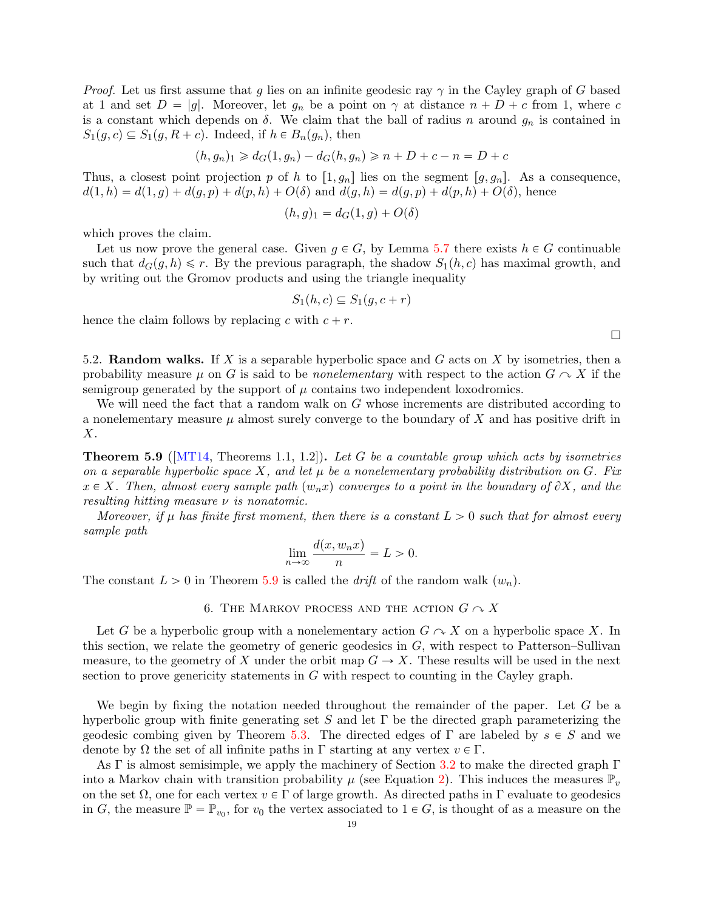*Proof.* Let us first assume that g lies on an infinite geodesic ray  $\gamma$  in the Cayley graph of G based at 1 and set  $D = |g|$ . Moreover, let  $g_n$  be a point on  $\gamma$  at distance  $n + D + c$  from 1, where c is a constant which depends on  $\delta$ . We claim that the ball of radius n around  $g_n$  is contained in  $S_1(g, c) \subseteq S_1(g, R + c)$ . Indeed, if  $h \in B_n(g_n)$ , then

$$
(h, g_n)_1 \geq d_G(1, g_n) - d_G(h, g_n) \geq n + D + c - n = D + c
$$

Thus, a closest point projection p of h to  $[1, g_n]$  lies on the segment  $[g, g_n]$ . As a consequence,  $d(1, h) = d(1, g) + d(g, p) + d(p, h) + O(\delta)$  and  $d(g, h) = d(g, p) + d(p, h) + O(\delta)$ , hence

$$
(h,g)_1 = d_G(1,g) + O(\delta)
$$

which proves the claim.

Let us now prove the general case. Given  $q \in G$ , by Lemma [5.7](#page-17-1) there exists  $h \in G$  continuable such that  $d_G(g, h) \leq r$ . By the previous paragraph, the shadow  $S_1(h, c)$  has maximal growth, and by writing out the Gromov products and using the triangle inequality

$$
S_1(h,c) \subseteq S_1(g,c+r)
$$

hence the claim follows by replacing c with  $c + r$ .

5.2. **Random walks.** If X is a separable hyperbolic space and G acts on X by isometries, then a probability measure  $\mu$  on G is said to be *nonelementary* with respect to the action  $G \sim X$  if the semigroup generated by the support of  $\mu$  contains two independent loxodromics.

We will need the fact that a random walk on G whose increments are distributed according to a nonelementary measure  $\mu$  almost surely converge to the boundary of X and has positive drift in X.

<span id="page-18-1"></span>**Theorem 5.9** ( $[MT14, Theorems 1.1, 1.2]$  $[MT14, Theorems 1.1, 1.2]$ ). Let G be a countable group which acts by isometries on a separable hyperbolic space X, and let  $\mu$  be a nonelementary probability distribution on G. Fix  $x \in X$ . Then, almost every sample path  $(w_n x)$  converges to a point in the boundary of  $\partial X$ , and the resulting hitting measure  $\nu$  is nonatomic.

Moreover, if  $\mu$  has finite first moment, then there is a constant  $L > 0$  such that for almost every sample path

$$
\lim_{n \to \infty} \frac{d(x, w_n x)}{n} = L > 0.
$$

<span id="page-18-0"></span>The constant  $L > 0$  in Theorem [5.9](#page-18-1) is called the *drift* of the random walk  $(w_n)$ .

6. THE MARKOV PROCESS AND THE ACTION  $G \curvearrowright X$ 

Let G be a hyperbolic group with a nonelementary action  $G \curvearrowright X$  on a hyperbolic space X. In this section, we relate the geometry of generic geodesics in  $G$ , with respect to Patterson–Sullivan measure, to the geometry of X under the orbit map  $G \to X$ . These results will be used in the next section to prove genericity statements in G with respect to counting in the Cayley graph.

We begin by fixing the notation needed throughout the remainder of the paper. Let  $G$  be a hyperbolic group with finite generating set S and let  $\Gamma$  be the directed graph parameterizing the geodesic combing given by Theorem [5.3.](#page-16-2) The directed edges of  $\Gamma$  are labeled by  $s \in S$  and we denote by  $\Omega$  the set of all infinite paths in  $\Gamma$  starting at any vertex  $v \in \Gamma$ .

As  $\Gamma$  is almost semisimple, we apply the machinery of Section [3.2](#page-13-2) to make the directed graph  $\Gamma$ into a Markov chain with transition probability  $\mu$  (see Equation [2\)](#page-13-0). This induces the measures  $\mathbb{P}_{v}$ on the set  $\Omega$ , one for each vertex  $v \in \Gamma$  of large growth. As directed paths in  $\Gamma$  evaluate to geodesics in G, the measure  $\mathbb{P} = \mathbb{P}_{v_0}$ , for  $v_0$  the vertex associated to  $1 \in G$ , is thought of as a measure on the

 $\Box$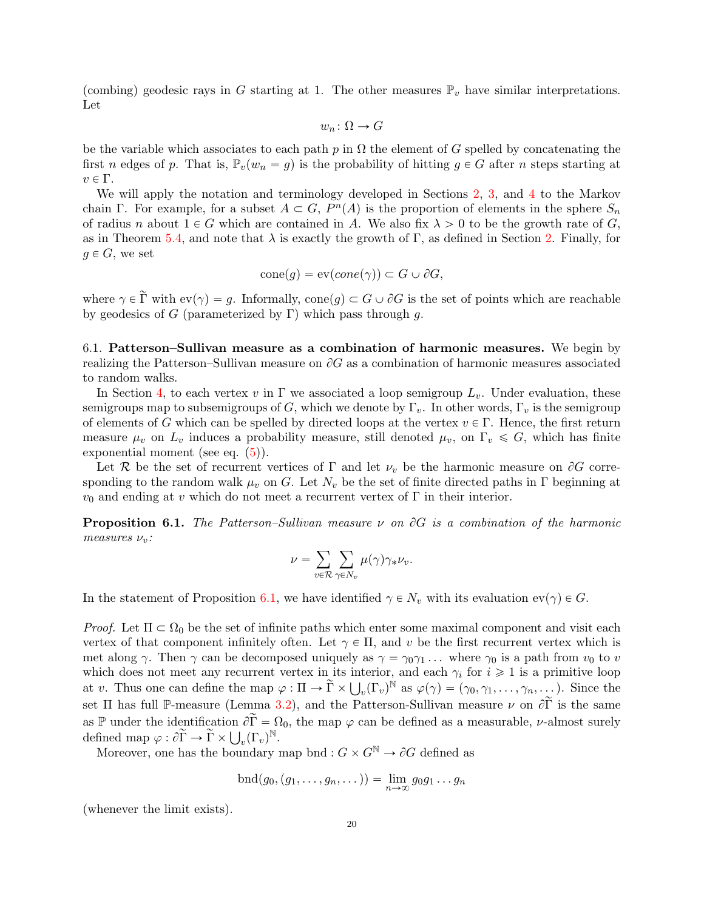(combing) geodesic rays in G starting at 1. The other measures  $\mathbb{P}_v$  have similar interpretations. Let

$$
w_n \colon \Omega \to G
$$

be the variable which associates to each path p in  $\Omega$  the element of G spelled by concatenating the first n edges of p. That is,  $\mathbb{P}_v(w_n = g)$  is the probability of hitting  $g \in G$  after n steps starting at  $v \in \Gamma$ .

We will apply the notation and terminology developed in Sections [2,](#page-8-0) [3,](#page-11-0) and [4](#page-14-0) to the Markov chain Γ. For example, for a subset  $A \subset G$ ,  $P^{n}(A)$  is the proportion of elements in the sphere  $S_n$ of radius n about  $1 \in G$  which are contained in A. We also fix  $\lambda > 0$  to be the growth rate of G, as in Theorem [5.4,](#page-17-0) and note that  $\lambda$  is exactly the growth of Γ, as defined in Section [2.](#page-8-0) Finally, for  $q \in G$ , we set

$$
cone(g) = ev(cone(\gamma)) \subset G \cup \partial G,
$$

where  $\gamma \in \widetilde{\Gamma}$  with  $ev(\gamma) = g$ . Informally,  $cone(g) \subset G \cup \partial G$  is the set of points which are reachable by geodesics of G (parameterized by  $\Gamma$ ) which pass through g.

<span id="page-19-1"></span>6.1. Patterson–Sullivan measure as a combination of harmonic measures. We begin by realizing the Patterson–Sullivan measure on  $\partial G$  as a combination of harmonic measures associated to random walks.

In Section [4,](#page-14-0) to each vertex v in  $\Gamma$  we associated a loop semigroup  $L_v$ . Under evaluation, these semigroups map to subsemigroups of G, which we denote by  $\Gamma_v$ . In other words,  $\Gamma_v$  is the semigroup of elements of G which can be spelled by directed loops at the vertex  $v \in \Gamma$ . Hence, the first return measure  $\mu_v$  on  $L_v$  induces a probability measure, still denoted  $\mu_v$ , on  $\Gamma_v \leq G$ , which has finite exponential moment (see eq.  $(5)$ ).

Let R be the set of recurrent vertices of  $\Gamma$  and let  $\nu_v$  be the harmonic measure on  $\partial G$  corresponding to the random walk  $\mu_v$  on G. Let  $N_v$  be the set of finite directed paths in  $\Gamma$  beginning at  $v_0$  and ending at v which do not meet a recurrent vertex of  $\Gamma$  in their interior.

<span id="page-19-0"></span>**Proposition 6.1.** The Patterson–Sullivan measure  $\nu$  on  $\partial G$  is a combination of the harmonic measures  $\nu_v$ :

$$
\nu = \sum_{v \in \mathcal{R}} \sum_{\gamma \in N_v} \mu(\gamma) \gamma_* \nu_v.
$$

In the statement of Proposition [6.1,](#page-19-0) we have identified  $\gamma \in N_v$  with its evaluation  $ev(\gamma) \in G$ .

Proof. Let  $\Pi \subset \Omega_0$  be the set of infinite paths which enter some maximal component and visit each vertex of that component infinitely often. Let  $\gamma \in \Pi$ , and v be the first recurrent vertex which is met along  $\gamma$ . Then  $\gamma$  can be decomposed uniquely as  $\gamma = \gamma_0 \gamma_1 \dots$  where  $\gamma_0$  is a path from  $v_0$  to v which does not meet any recurrent vertex in its interior, and each  $\gamma_i$  for  $i \geq 1$  is a primitive loop which does not meet any recurrent vertex in its in<br>at v. Thus one can define the map  $\varphi : \Pi \to \widetilde{\Gamma} \times \bigcup$  $(v(\Gamma_v)^{\mathbb{N}}$  as  $\varphi(\gamma) = (\gamma_0, \gamma_1, \ldots, \gamma_n, \ldots)$ . Since the set Π has full P-measure (Lemma [3.2\)](#page-12-0), and the Patterson-Sullivan measure  $\nu$  on  $\partial \tilde{\Gamma}$  is the same as P under the identification  $\partial \tilde{\Gamma} = \Omega_0$ , the map  $\varphi$  can be defined as a measurable, *v*-almost surely defined map  $\varphi : \partial \widetilde{\Gamma} \to \widetilde{\Gamma} \times \bigcup_{v} (\Gamma_v)^{\mathbb{N}}$ .

where map  $\varphi : \overline{U} \to \overline{V} \times \bigcup_{v} (\overline{V}v)$ .<br>Moreover, one has the boundary map bnd :  $G \times G^{\mathbb{N}} \to \partial G$  defined as

$$
\operatorname{bnd}(g_0,(g_1,\ldots,g_n,\ldots))=\lim_{n\to\infty}g_0g_1\ldots g_n
$$

(whenever the limit exists).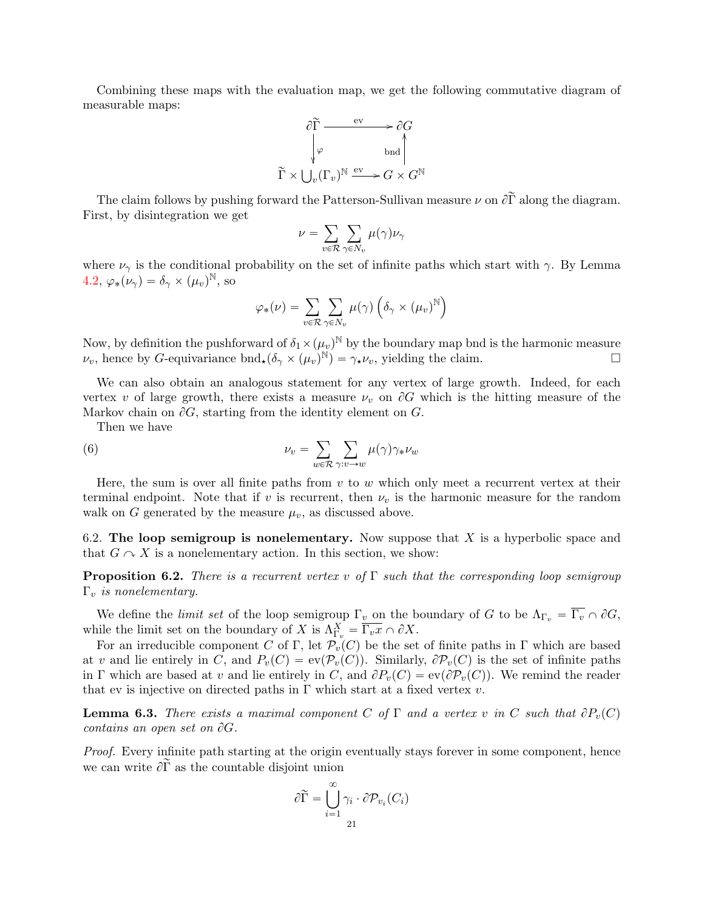Combining these maps with the evaluation map, we get the following commutative diagram of measurable maps:

$$
\begin{array}{ccc}\n\widehat{c}\widetilde{\Gamma} & \xrightarrow{\mathrm{ev}} & \widehat{c}G \\
\downarrow \varphi & \mathrm{bnd} \\
\widetilde{\Gamma} \times \bigcup_{v}(\Gamma_{v})^{\mathbb{N}} & \xrightarrow{\mathrm{ev}} & G \times G^{\mathbb{N}}\n\end{array}
$$

The claim follows by pushing forward the Patterson-Sullivan measure  $\nu$  on  $\partial \tilde{\Gamma}$  along the diagram. First, by disintegration we get

$$
\nu = \sum_{v \in \mathcal{R}} \sum_{\gamma \in N_v} \mu(\gamma) \nu_\gamma
$$

where  $\nu_{\gamma}$  is the conditional probability on the set of infinite paths which start with  $\gamma$ . By Lemma [4.2,](#page-15-2)  $\varphi_*(\nu_\gamma) = \delta_\gamma \times (\mu_v)^{\mathbb{N}},$  so

<span id="page-20-2"></span>
$$
\varphi_*(\nu) = \sum_{v \in \mathcal{R}} \sum_{\gamma \in N_v} \mu(\gamma) \left( \delta_{\gamma} \times (\mu_v)^{\mathbb{N}} \right)
$$

Now, by definition the pushforward of  $\delta_1 \times (\mu_v)^{\mathbb{N}}$  by the boundary map bnd is the harmonic measure  $\nu_v$ , hence by G-equivariance bnd<sub>\*</sub> $(\delta_\gamma \times (\mu_v)^{\mathbb{N}}) = \gamma_\star \nu_v$ , yielding the claim.

We can also obtain an analogous statement for any vertex of large growth. Indeed, for each vertex v of large growth, there exists a measure  $\nu_v$  on  $\partial G$  which is the hitting measure of the Markov chain on  $\partial G$ , starting from the identity element on G.

Then we have

(6) 
$$
\nu_v = \sum_{w \in \mathcal{R}} \sum_{\gamma : v \to w} \mu(\gamma) \gamma_* \nu_w
$$

Here, the sum is over all finite paths from  $v$  to  $w$  which only meet a recurrent vertex at their terminal endpoint. Note that if v is recurrent, then  $\nu_v$  is the harmonic measure for the random walk on G generated by the measure  $\mu_v$ , as discussed above.

6.2. The loop semigroup is nonelementary. Now suppose that  $X$  is a hyperbolic space and that  $G \cap X$  is a nonelementary action. In this section, we show:

<span id="page-20-0"></span>**Proposition 6.2.** There is a recurrent vertex v of  $\Gamma$  such that the corresponding loop semigroup  $\Gamma_v$  is nonelementary.

We define the *limit set* of the loop semigroup  $\Gamma_v$  on the boundary of G to be  $\Lambda_{\Gamma_v} = \overline{\Gamma_v} \cap \partial G$ , while the limit set on the boundary of X is  $\Lambda_{\Gamma_v}^X = \overline{\Gamma_v x} \cap \partial X$ .

For an irreducible component C of Γ, let  $\mathcal{P}_v(C)$  be the set of finite paths in Γ which are based at v and lie entirely in C, and  $P_v(C) = ev(\mathcal{P}_v(C))$ . Similarly,  $\partial \mathcal{P}_v(C)$  is the set of infinite paths in Γ which are based at v and lie entirely in C, and  $\partial P_v(C) = \text{ev}(\partial \mathcal{P}_v(C))$ . We remind the reader that ev is injective on directed paths in  $\Gamma$  which start at a fixed vertex v.

<span id="page-20-1"></span>**Lemma 6.3.** There exists a maximal component C of  $\Gamma$  and a vertex v in C such that  $\partial P_v(C)$ contains an open set on  $\partial G$ .

Proof. Every infinite path starting at the origin eventually stays forever in some component, hence we can write  $\partial \widetilde{\Gamma}$  as the countable disjoint union

$$
\partial \widetilde{\Gamma} = \bigcup_{i=1}^{\infty} \gamma_i \cdot \partial \mathcal{P}_{v_i}(C_i)
$$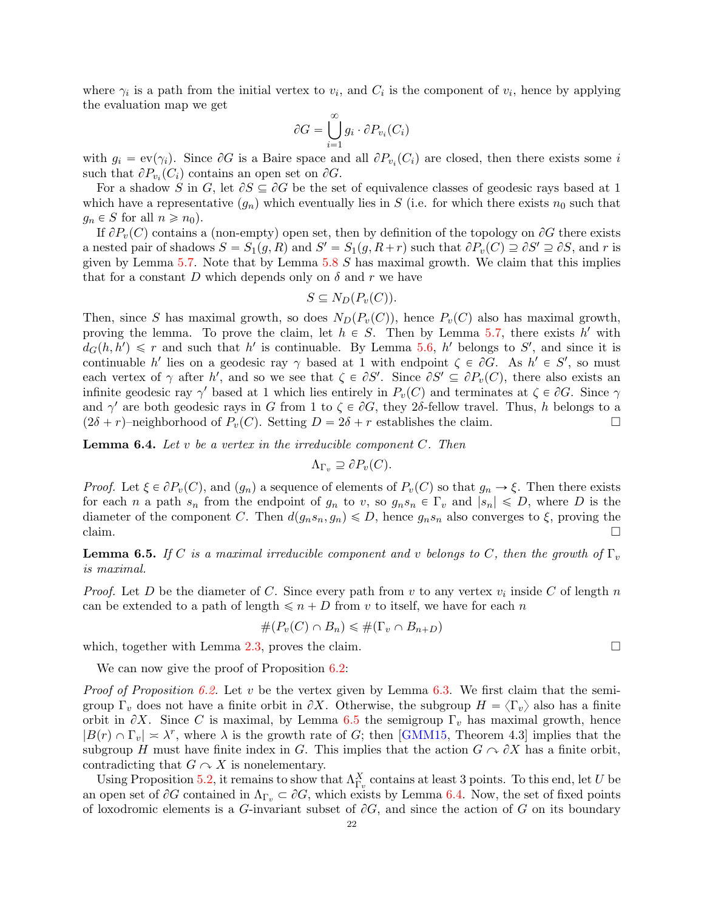where  $\gamma_i$  is a path from the initial vertex to  $v_i$ , and  $C_i$  is the component of  $v_i$ , hence by applying the evaluation map we get

$$
\partial G = \bigcup_{i=1}^{\infty} g_i \cdot \partial P_{v_i}(C_i)
$$

with  $g_i = \text{ev}(\gamma_i)$ . Since  $\partial G$  is a Baire space and all  $\partial P_{v_i}(C_i)$  are closed, then there exists some i such that  $\partial P_{v_i}(C_i)$  contains an open set on  $\partial G$ .

For a shadow S in G, let  $\partial S \subseteq \partial G$  be the set of equivalence classes of geodesic rays based at 1 which have a representative  $(q_n)$  which eventually lies in S (i.e. for which there exists  $n_0$  such that  $g_n \in S$  for all  $n \geq n_0$ .

If  $\partial P_v(C)$  contains a (non-empty) open set, then by definition of the topology on  $\partial G$  there exists a nested pair of shadows  $S = S_1(g, R)$  and  $S' = S_1(g, R+r)$  such that  $\partial P_v(C) \supseteq \partial S' \supseteq \partial S$ , and r is given by Lemma [5.7.](#page-17-1) Note that by Lemma [5.8](#page-17-2)  $S$  has maximal growth. We claim that this implies that for a constant D which depends only on  $\delta$  and r we have

$$
S \subseteq N_D(P_v(C)).
$$

Then, since S has maximal growth, so does  $N_D(P_v(C))$ , hence  $P_v(C)$  also has maximal growth, proving the lemma. To prove the claim, let  $h \in S$ . Then by Lemma [5.7,](#page-17-1) there exists h' with  $d_G(h, h') \leq r$  and such that h' is continuable. By Lemma [5.6,](#page-17-3) h' belongs to S', and since it is continuable h' lies on a geodesic ray  $\gamma$  based at 1 with endpoint  $\zeta \in \partial G$ . As  $h' \in S'$ , so must each vertex of  $\gamma$  after h', and so we see that  $\zeta \in \partial S'$ . Since  $\partial S' \subseteq \partial P_v(C)$ , there also exists an infinite geodesic ray  $\gamma'$  based at 1 which lies entirely in  $P_v(C)$  and terminates at  $\zeta \in \partial G$ . Since  $\gamma$ and  $\gamma'$  are both geodesic rays in G from 1 to  $\zeta \in \partial G$ , they 2δ-fellow travel. Thus, h belongs to a  $(2\delta + r)$ –neighborhood of  $P_v(C)$ . Setting  $D = 2\delta + r$  establishes the claim.

<span id="page-21-1"></span>**Lemma 6.4.** Let  $v$  be a vertex in the irreducible component  $C$ . Then

$$
\Lambda_{\Gamma_v} \supseteq \partial P_v(C).
$$

*Proof.* Let  $\xi \in \partial P_v(C)$ , and  $(g_n)$  a sequence of elements of  $P_v(C)$  so that  $g_n \to \xi$ . Then there exists for each n a path  $s_n$  from the endpoint of  $g_n$  to v, so  $g_n s_n \in \Gamma_v$  and  $|s_n| \leq D$ , where D is the diameter of the component C. Then  $d(g_n s_n, g_n) \le D$ , hence  $g_n s_n$  also converges to  $\xi$ , proving the claim.  $\Box$ 

<span id="page-21-0"></span>**Lemma 6.5.** If C is a maximal irreducible component and v belongs to C, then the growth of  $\Gamma_v$ is maximal.

*Proof.* Let D be the diameter of C. Since every path from v to any vertex  $v_i$  inside C of length n can be extended to a path of length  $\leq n + D$  from v to itself, we have for each n

$$
#(P_v(C) \cap B_n) \leq #(\Gamma_v \cap B_{n+D})
$$

which, together with Lemma [2.3,](#page-9-0) proves the claim.  $\square$ 

We can now give the proof of Proposition [6.2:](#page-20-0)

*Proof of Proposition [6.2.](#page-20-0)* Let v be the vertex given by Lemma [6.3.](#page-20-1) We first claim that the semigroup  $\Gamma_v$  does not have a finite orbit in  $\partial X$ . Otherwise, the subgroup  $H = \langle \Gamma_v \rangle$  also has a finite orbit in  $\partial X$ . Since C is maximal, by Lemma [6.5](#page-21-0) the semigroup  $\Gamma_v$  has maximal growth, hence  $|B(r) \cap \Gamma_v| \approx \lambda^r$ , where  $\lambda$  is the growth rate of G; then [\[GMM15,](#page-36-3) Theorem 4.3] implies that the subgroup H must have finite index in G. This implies that the action  $G \cap \partial X$  has a finite orbit, contradicting that  $G \cap X$  is nonelementary.

Using Proposition [5.2,](#page-16-3) it remains to show that  $\Lambda_{\Gamma_v}^X$  contains at least 3 points. To this end, let U be an open set of  $\partial G$  contained in  $\Lambda_{\Gamma_v} \subset \partial G$ , which exists by Lemma [6.4.](#page-21-1) Now, the set of fixed points of loxodromic elements is a G-invariant subset of  $\partial G$ , and since the action of G on its boundary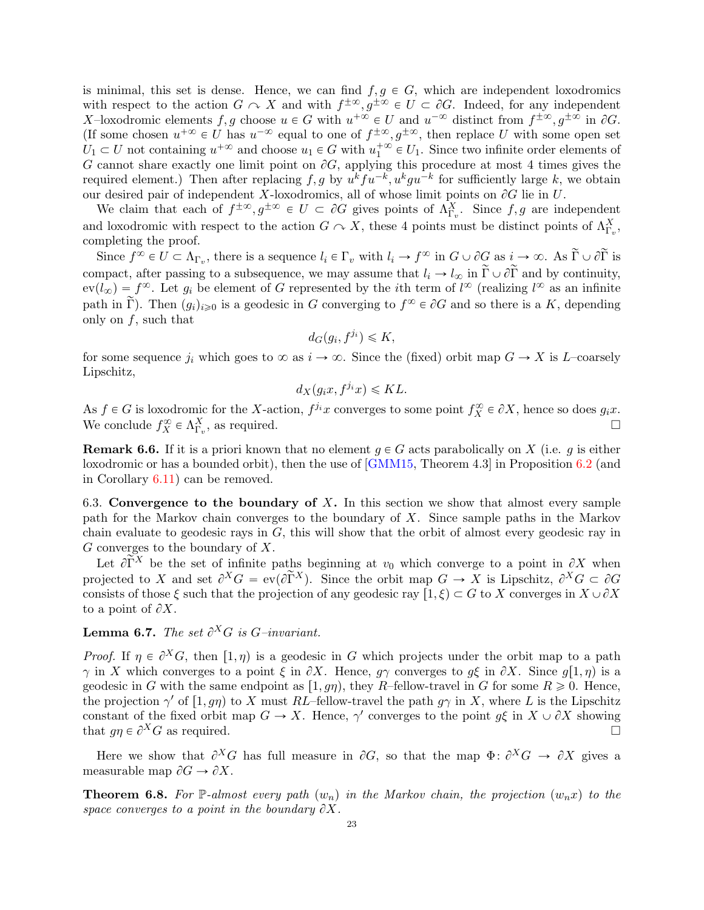is minimal, this set is dense. Hence, we can find  $f, g \in G$ , which are independent loxodromics with respect to the action  $G \curvearrowright X$  and with  $f^{\pm \infty}, g^{\pm \infty} \in U \subset \partial G$ . Indeed, for any independent X-loxodromic elements  $f, g$  choose  $u \in G$  with  $u^{+\infty} \in U$  and  $u^{-\infty}$  distinct from  $f^{\pm \infty}, g^{\pm \infty}$  in  $\partial G$ . (If some chosen  $u^{+\infty} \in U$  has  $u^{-\infty}$  equal to one of  $f^{\pm\infty}, g^{\pm\infty}$ , then replace U with some open set  $U_1 \subset U$  not containing  $u^{+\infty}$  and choose  $u_1 \in G$  with  $u_1^{+\infty} \in U_1$ . Since two infinite order elements of G cannot share exactly one limit point on  $\partial G$ , applying this procedure at most 4 times gives the required element.) Then after replacing  $f, g$  by  $u^k f u^{-k}, u^k g u^{-k}$  for sufficiently large k, we obtain our desired pair of independent X-loxodromics, all of whose limit points on  $\partial G$  lie in U.

We claim that each of  $f^{\pm \infty}, g^{\pm \infty} \in U \subset \partial G$  gives points of  $\Lambda_{\Gamma_v}^X$ . Since  $f, g$  are independent and loxodromic with respect to the action  $G \curvearrowright X$ , these 4 points must be distinct points of  $\Lambda_{\Gamma_v}^X$ , completing the proof.

Since  $f^{\infty} \in U \subset \Lambda_{\Gamma_v}$ , there is a sequence  $l_i \in \Gamma_v$  with  $l_i \to f^{\infty}$  in  $G \cup \partial G$  as  $i \to \infty$ . As  $\widetilde{\Gamma} \cup \partial \widetilde{\Gamma}$  is compact, after passing to a subsequence, we may assume that  $l_i \to l_\infty$  in  $\tilde{\Gamma} \cup \partial \tilde{\Gamma}$  and by continuity,  $ev(l_{\infty}) = f^{\infty}$ . Let  $g_i$  be element of G represented by the *i*th term of  $l^{\infty}$  (realizing  $l^{\infty}$  as an infinite path in  $\tilde{\Gamma}$ ). Then  $(g_i)_{i\geqslant0}$  is a geodesic in G converging to  $f^{\infty} \in \partial G$  and so there is a K, depending only on  $f$ , such that

$$
d_G(g_i, f^{j_i}) \leq K,
$$

for some sequence  $j_i$  which goes to  $\infty$  as  $i \to \infty$ . Since the (fixed) orbit map  $G \to X$  is L–coarsely Lipschitz,

$$
d_X(g_ix, f^{j_i}x) \leq KL.
$$

As  $f \in G$  is loxodromic for the X-action,  $f^{j_i}x$  converges to some point  $f_X^{\infty} \in \partial X$ , hence so does  $g_i x$ . We conclude  $f_X^{\infty} \in \Lambda_{\Gamma_v}^X$ , as required.

**Remark 6.6.** If it is a priori known that no element  $g \in G$  acts parabolically on X (i.e. g is either loxodromic or has a bounded orbit), then the use of [\[GMM15,](#page-36-3) Theorem 4.3] in Proposition [6.2](#page-20-0) (and in Corollary [6.11\)](#page-23-0) can be removed.

6.3. Convergence to the boundary of X. In this section we show that almost every sample path for the Markov chain converges to the boundary of X. Since sample paths in the Markov chain evaluate to geodesic rays in  $G$ , this will show that the orbit of almost every geodesic ray in  $G$  converges to the boundary of  $X$ .

Let  $\partial \widetilde{\Gamma}^X$  be the set of infinite paths beginning at  $v_0$  which converge to a point in  $\partial X$  when projected to X and set  $\partial^X G = \text{ev}(\partial \tilde{\Gamma}^X)$ . Since the orbit map  $G \to X$  is Lipschitz,  $\partial^X G \subset \partial G$ consists of those  $\xi$  such that the projection of any geodesic ray  $[1, \xi] \subset G$  to X converges in  $X \cup \partial X$ to a point of  $\partial X$ .

**Lemma 6.7.** The set  $\partial^X G$  is G-invariant.

*Proof.* If  $\eta \in \partial^X G$ , then  $[1, \eta)$  is a geodesic in G which projects under the orbit map to a path  $\gamma$  in X which converges to a point  $\xi$  in  $\partial X$ . Hence,  $g\gamma$  converges to  $g\xi$  in  $\partial X$ . Since  $g(1, \eta)$  is a geodesic in G with the same endpoint as  $[1, g\eta)$ , they R–fellow-travel in G for some  $R \geq 0$ . Hence, the projection  $\gamma'$  of  $[1, g\eta)$  to X must RL–fellow-travel the path  $g\gamma$  in X, where L is the Lipschitz constant of the fixed orbit map  $G \to X$ . Hence,  $\gamma'$  converges to the point  $g\xi$  in  $X \cup \partial X$  showing that  $q\eta \in \partial^X G$  as required.

Here we show that  $\partial^X G$  has full measure in  $\partial G$ , so that the map  $\Phi: \partial^X G \to \partial X$  gives a measurable map  $\partial G \to \partial X$ .

<span id="page-22-0"></span>**Theorem 6.8.** For P-almost every path  $(w_n)$  in the Markov chain, the projection  $(w_nx)$  to the space converges to a point in the boundary  $\partial X$ .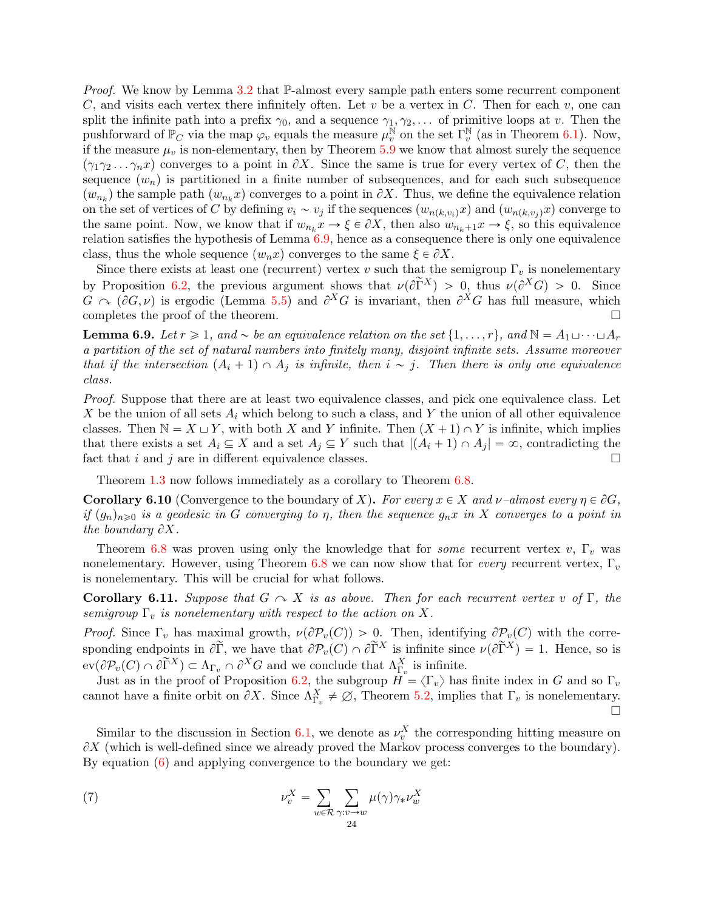*Proof.* We know by Lemma [3.2](#page-12-0) that  $\mathbb{P}\text{-almost every sample path enters some recurrent component}$ C, and visits each vertex there infinitely often. Let v be a vertex in C. Then for each v, one can split the infinite path into a prefix  $\gamma_0$ , and a sequence  $\gamma_1, \gamma_2, \ldots$  of primitive loops at v. Then the pushforward of  $\mathbb{P}_C$  via the map  $\varphi_v$  equals the measure  $\mu_v^{\mathbb{N}}$  on the set  $\Gamma_v^{\mathbb{N}}$  (as in Theorem [6.1\)](#page-19-0). Now, if the measure  $\mu_v$  is non-elementary, then by Theorem [5.9](#page-18-1) we know that almost surely the sequence  $(\gamma_1 \gamma_2 \ldots \gamma_n x)$  converges to a point in  $\partial X$ . Since the same is true for every vertex of C, then the sequence  $(w_n)$  is partitioned in a finite number of subsequences, and for each such subsequence  $(w_{n_k})$  the sample path  $(w_{n_k}x)$  converges to a point in  $\partial X$ . Thus, we define the equivalence relation on the set of vertices of C by defining  $v_i \sim v_j$  if the sequences  $(w_{n(k,v_i)}x)$  and  $(w_{n(k,v_i)}x)$  converge to the same point. Now, we know that if  $w_{n_k} x \to \xi \in \partial X$ , then also  $w_{n_k+1} x \to \xi$ , so this equivalence relation satisfies the hypothesis of Lemma [6.9,](#page-23-1) hence as a consequence there is only one equivalence class, thus the whole sequence  $(w_n x)$  converges to the same  $\xi \in \partial X$ .

Since there exists at least one (recurrent) vertex v such that the semigroup  $\Gamma_v$  is nonelementary by Proposition [6.2,](#page-20-0) the previous argument shows that  $\nu(\partial \tilde{\Gamma}^X) > 0$ , thus  $\nu(\partial^X G) > 0$ . Since  $G \cap (\partial G, \nu)$  is ergodic (Lemma [5.5\)](#page-17-4) and  $\partial^X G$  is invariant, then  $\partial^X G$  has full measure, which completes the proof of the theorem.  $\Box$ 

<span id="page-23-1"></span>**Lemma 6.9.** Let  $r \geq 1$ , and  $\sim$  be an equivalence relation on the set  $\{1, \ldots, r\}$ , and  $\mathbb{N} = A_1 \sqcup \cdots \sqcup A_r$ a partition of the set of natural numbers into finitely many, disjoint infinite sets. Assume moreover that if the intersection  $(A_i + 1) \cap A_j$  is infinite, then  $i \sim j$ . Then there is only one equivalence class.

Proof. Suppose that there are at least two equivalence classes, and pick one equivalence class. Let X be the union of all sets  $A_i$  which belong to such a class, and Y the union of all other equivalence classes. Then  $\mathbb{N} = X \sqcup Y$ , with both X and Y infinite. Then  $(X + 1) \cap Y$  is infinite, which implies that there exists a set  $A_i \subseteq X$  and a set  $A_j \subseteq Y$  such that  $|(A_i + 1) \cap A_j| = \infty$ , contradicting the fact that i and j are in different equivalence classes.  $\square$ 

Theorem [1.3](#page-3-0) now follows immediately as a corollary to Theorem [6.8.](#page-22-0)

**Corollary 6.10** (Convergence to the boundary of X). For every  $x \in X$  and  $\nu$ -almost every  $\eta \in \partial G$ , if  $(g_n)_{n\geqslant 0}$  is a geodesic in G converging to  $\eta$ , then the sequence  $g_nx$  in X converges to a point in the boundary  $\partial X$ .

Theorem [6.8](#page-22-0) was proven using only the knowledge that for *some* recurrent vertex  $v$ ,  $\Gamma_v$  was nonelementary. However, using Theorem [6.8](#page-22-0) we can now show that for *every* recurrent vertex,  $\Gamma_v$ is nonelementary. This will be crucial for what follows.

<span id="page-23-0"></span>**Corollary 6.11.** Suppose that  $G \sim X$  is as above. Then for each recurrent vertex v of  $\Gamma$ , the semigroup  $\Gamma_v$  is nonelementary with respect to the action on X.

Proof. Since  $\Gamma_v$  has maximal growth,  $\nu(\partial \mathcal{P}_v(C)) > 0$ . Then, identifying  $\partial \mathcal{P}_v(C)$  with the corresponding endpoints in  $\partial \widetilde{\Gamma}$ , we have that  $\partial \mathcal{P}_v(C) \cap \partial \widetilde{\Gamma}^X$  is infinite since  $\nu(\partial \widetilde{\Gamma}^X) = 1$ . Hence, so is  $\text{ev}(\partial \mathcal{P}_v(C) \cap \partial \tilde{\Gamma}^X) \subset \Lambda_{\Gamma_v} \cap \partial^X G$  and we conclude that  $\Lambda_{\Gamma_v}^X$  is infinite.

Just as in the proof of Proposition [6.2,](#page-20-0) the subgroup  $H = \langle \Gamma_v \rangle$  has finite index in G and so  $\Gamma_v$ cannot have a finite orbit on  $\partial X$ . Since  $\Lambda_{\Gamma_v}^X \neq \emptyset$ , Theorem [5.2,](#page-16-3) implies that  $\Gamma_v$  is nonelementary.  $\Box$ 

Similar to the discussion in Section [6.1,](#page-19-1) we denote as  $\nu_v^X$  the corresponding hitting measure on  $\partial X$  (which is well-defined since we already proved the Markov process converges to the boundary). By equation  $(6)$  and applying convergence to the boundary we get:

<span id="page-23-2"></span>(7) 
$$
\nu_v^X = \sum_{w \in \mathcal{R}} \sum_{\gamma : v \to w} \mu(\gamma) \gamma_* \nu_w^X
$$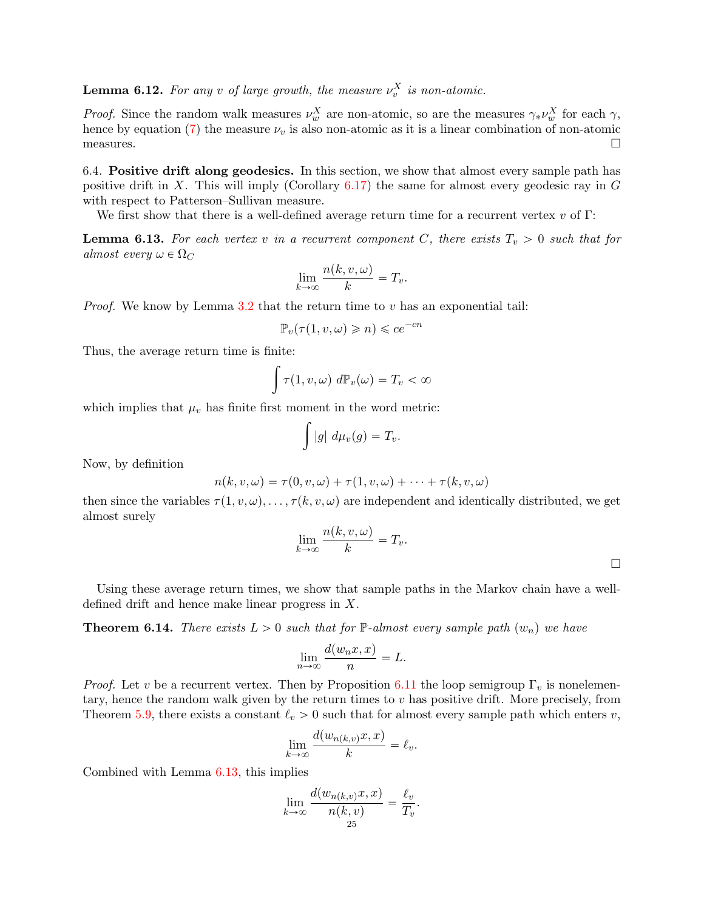<span id="page-24-2"></span>**Lemma 6.12.** For any v of large growth, the measure  $\nu_v^X$  is non-atomic.

*Proof.* Since the random walk measures  $\nu_w^X$  are non-atomic, so are the measures  $\gamma_* \nu_w^X$  for each  $\gamma$ , hence by equation [\(7\)](#page-23-2) the measure  $\nu_v$  is also non-atomic as it is a linear combination of non-atomic  $\Box$  measures.  $\Box$ 

6.4. Positive drift along geodesics. In this section, we show that almost every sample path has positive drift in X. This will imply (Corollary  $6.17$ ) the same for almost every geodesic ray in G with respect to Patterson–Sullivan measure.

We first show that there is a well-defined average return time for a recurrent vertex  $v$  of  $\Gamma$ :

<span id="page-24-0"></span>**Lemma 6.13.** For each vertex v in a recurrent component C, there exists  $T_v > 0$  such that for almost every  $\omega \in \Omega_C$ 

$$
\lim_{k \to \infty} \frac{n(k, v, \omega)}{k} = T_v.
$$

*Proof.* We know by Lemma [3.2](#page-12-0) that the return time to  $v$  has an exponential tail:

$$
\mathbb{P}_v(\tau(1,v,\omega)\geqslant n)\leqslant ce^{-cn}
$$

Thus, the average return time is finite: ż

$$
\int \tau(1,v,\omega) \, d\mathbb{P}_v(\omega) = T_v < \infty
$$

which implies that  $\mu_v$  has finite first moment in the word metric:

$$
\int |g| \ d\mu_v(g) = T_v.
$$

Now, by definition

$$
n(k, v, \omega) = \tau(0, v, \omega) + \tau(1, v, \omega) + \cdots + \tau(k, v, \omega)
$$

then since the variables  $\tau(1, v, \omega), \ldots, \tau(k, v, \omega)$  are independent and identically distributed, we get almost surely

$$
\lim_{k\to\infty}\frac{n(k,v,\omega)}{k}=T_v.
$$

 $\Box$ 

Using these average return times, we show that sample paths in the Markov chain have a welldefined drift and hence make linear progress in X.

<span id="page-24-1"></span>**Theorem 6.14.** There exists  $L > 0$  such that for  $\mathbb{P}\text{-almost every sample path } (w_n)$  we have

$$
\lim_{n \to \infty} \frac{d(w_n x, x)}{n} = L.
$$

*Proof.* Let v be a recurrent vertex. Then by Proposition [6.11](#page-23-0) the loop semigroup  $\Gamma_v$  is nonelementary, hence the random walk given by the return times to  $v$  has positive drift. More precisely, from Theorem [5.9,](#page-18-1) there exists a constant  $\ell_v > 0$  such that for almost every sample path which enters v,

$$
\lim_{k \to \infty} \frac{d(w_{n(k,v)}x, x)}{k} = \ell_v.
$$

Combined with Lemma [6.13,](#page-24-0) this implies

$$
\lim_{k \to \infty} \frac{d(w_{n(k,v)}x, x)}{n(k, v)} = \frac{\ell_v}{T_v}.
$$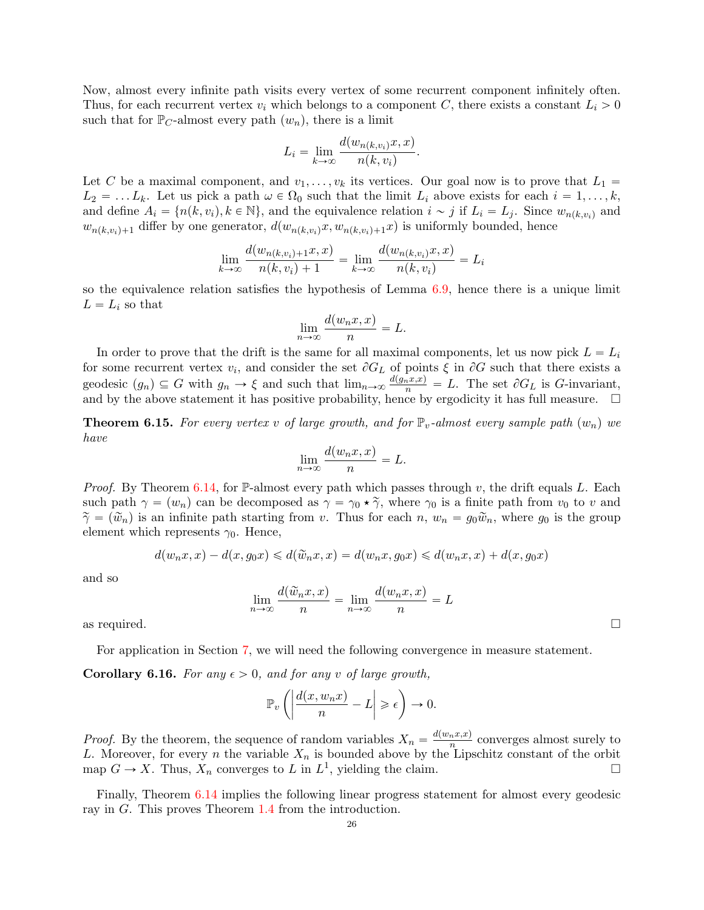Now, almost every infinite path visits every vertex of some recurrent component infinitely often. Thus, for each recurrent vertex  $v_i$  which belongs to a component C, there exists a constant  $L_i > 0$ such that for  $\mathbb{P}_C$ -almost every path  $(w_n)$ , there is a limit

$$
L_i = \lim_{k \to \infty} \frac{d(w_{n(k, v_i)}x, x)}{n(k, v_i)}.
$$

Let C be a maximal component, and  $v_1, \ldots, v_k$  its vertices. Our goal now is to prove that  $L_1 =$  $L_2 = \ldots L_k$ . Let us pick a path  $\omega \in \Omega_0$  such that the limit  $L_i$  above exists for each  $i = 1, \ldots, k$ , and define  $A_i = \{n(k, v_i), k \in \mathbb{N}\}\,$  and the equivalence relation  $i \sim j$  if  $L_i = L_j$ . Since  $w_{n(k, v_i)}$  and  $w_{n(k,v_i)+1}$  differ by one generator,  $d(w_{n(k,v_i)}x, w_{n(k,v_i)+1}x)$  is uniformly bounded, hence

$$
\lim_{k \to \infty} \frac{d(w_{n(k,v_i)+1}x, x)}{n(k, v_i) + 1} = \lim_{k \to \infty} \frac{d(w_{n(k,v_i)}x, x)}{n(k, v_i)} = L_i
$$

so the equivalence relation satisfies the hypothesis of Lemma [6.9,](#page-23-1) hence there is a unique limit  $L = L_i$  so that

$$
\lim_{n \to \infty} \frac{d(w_n x, x)}{n} = L.
$$

In order to prove that the drift is the same for all maximal components, let us now pick  $L = L<sub>i</sub>$ for some recurrent vertex  $v_i$ , and consider the set  $\partial G_L$  of points  $\xi$  in  $\partial G$  such that there exists a geodesic  $(g_n) \subseteq G$  with  $g_n \to \xi$  and such that  $\lim_{n\to\infty} \frac{d(g_nx,x)}{n} = L$ . The set  $\partial G_L$  is G-invariant, and by the above statement it has positive probability, hence by ergodicity it has full measure.  $\Box$ 

<span id="page-25-0"></span>**Theorem 6.15.** For every vertex v of large growth, and for  $\mathbb{P}_v$ -almost every sample path  $(w_n)$  we have

$$
\lim_{n \to \infty} \frac{d(w_n x, x)}{n} = L.
$$

*Proof.* By Theorem [6.14,](#page-24-1) for  $\mathbb{P}\text{-almost every path which passes through } v$ , the drift equals L. Each such path  $\gamma = (w_n)$  can be decomposed as  $\gamma = \gamma_0 \star \tilde{\gamma}$ , where  $\gamma_0$  is a finite path from  $v_0$  to v and  $\tilde{\gamma} = (\tilde{w}_n)$  is an infinite path starting from v. Thus for each n,  $w_n = g_0\tilde{w}_n$ , where  $g_0$  is the group element which represents  $\gamma_0$ . Hence,

$$
d(w_nx, x) - d(x, g_0x) \le d(\tilde{w}_nx, x) = d(w_nx, g_0x) \le d(w_nx, x) + d(x, g_0x)
$$

and so

$$
\lim_{n \to \infty} \frac{d(\widetilde{w}_n x, x)}{n} = \lim_{n \to \infty} \frac{d(w_n x, x)}{n} = L
$$

as required.  $\square$ 

For application in Section [7,](#page-30-0) we will need the following convergence in measure statement.

<span id="page-25-1"></span>**Corollary 6.16.** For any  $\epsilon > 0$ , and for any v of large growth,

$$
\mathbb{P}_v\left(\left|\frac{d(x,w_nx)}{n}-L\right|\geqslant \epsilon\right)\to 0.
$$

*Proof.* By the theorem, the sequence of random variables  $X_n = \frac{d(w_n x, x)}{n}$  $\frac{n^x}{n}$  converges almost surely to L. Moreover, for every n the variable  $X_n$  is bounded above by the Lipschitz constant of the orbit map  $G \to X$ . Thus,  $X_n$  converges to L in  $L^1$ , yielding the claim.

Finally, Theorem [6.14](#page-24-1) implies the following linear progress statement for almost every geodesic ray in G. This proves Theorem [1.4](#page-3-1) from the introduction.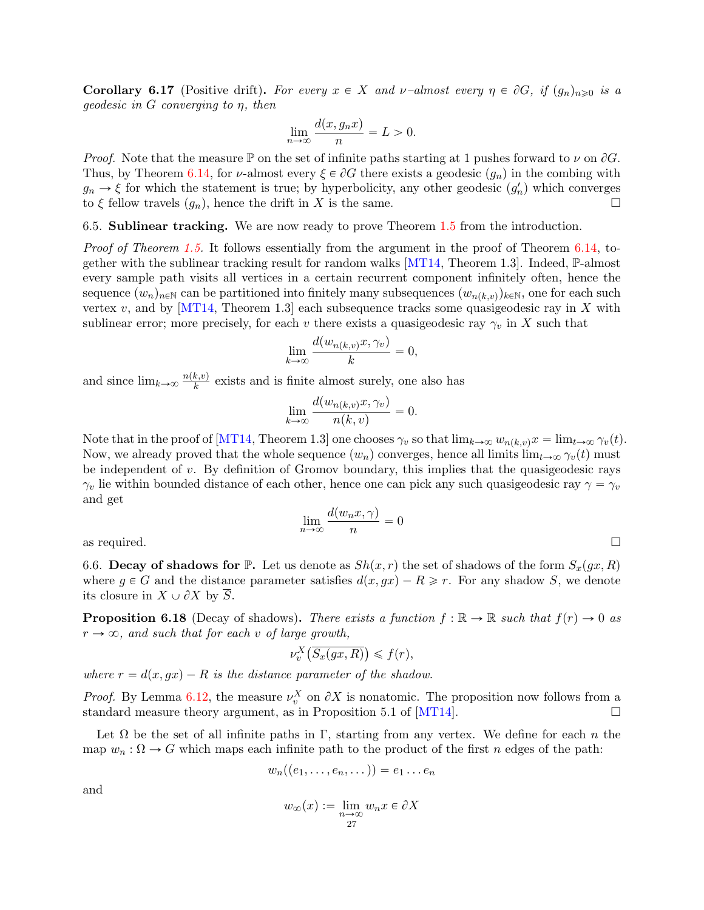<span id="page-26-0"></span>**Corollary 6.17** (Positive drift). For every  $x \in X$  and  $\nu$ -almost every  $\eta \in \partial G$ , if  $(q_n)_{n \geq 0}$  is a  $geodesic$  in G converging to  $\eta$ , then

$$
\lim_{n \to \infty} \frac{d(x, g_n x)}{n} = L > 0.
$$

*Proof.* Note that the measure  $\mathbb P$  on the set of infinite paths starting at 1 pushes forward to  $\nu$  on  $\partial G$ . Thus, by Theorem [6.14,](#page-24-1) for *v*-almost every  $\xi \in \partial G$  there exists a geodesic  $(g_n)$  in the combing with  $g_n \to \xi$  for which the statement is true; by hyperbolicity, any other geodesic  $(g'_n)$  which converges to  $\xi$  fellow travels  $(g_n)$ , hence the drift in X is the same.

6.5. Sublinear tracking. We are now ready to prove Theorem [1.5](#page-4-0) from the introduction.

Proof of Theorem [1.5.](#page-4-0) It follows essentially from the argument in the proof of Theorem [6.14,](#page-24-1) together with the sublinear tracking result for random walks  $[MT14, Theorem 1.3]$ . Indeed, P-almost every sample path visits all vertices in a certain recurrent component infinitely often, hence the sequence  $(w_n)_{n\in\mathbb{N}}$  can be partitioned into finitely many subsequences  $(w_{n(k,v)})_{k\in\mathbb{N}}$ , one for each such vertex  $v$ , and by [\[MT14,](#page-37-5) Theorem 1.3] each subsequence tracks some quasigeodesic ray in X with sublinear error; more precisely, for each v there exists a quasigeodesic ray  $\gamma_v$  in X such that

$$
\lim_{k \to \infty} \frac{d(w_{n(k,v)}x, \gamma_v)}{k} = 0,
$$

and since  $\lim_{k\to\infty} \frac{n(k,v)}{k}$  $\frac{k(v)}{k}$  exists and is finite almost surely, one also has

$$
\lim_{k \to \infty} \frac{d(w_{n(k,v)}x, \gamma_v)}{n(k,v)} = 0.
$$

Note that in the proof of [\[MT14,](#page-37-5) Theorem 1.3] one chooses  $\gamma_v$  so that  $\lim_{k\to\infty} w_{n(k,v)}x = \lim_{t\to\infty} \gamma_v(t)$ . Now, we already proved that the whole sequence  $(w_n)$  converges, hence all limits  $\lim_{t\to\infty} \gamma_v(t)$  must be independent of v. By definition of Gromov boundary, this implies that the quasigeodesic rays  $\gamma_v$  lie within bounded distance of each other, hence one can pick any such quasigeodesic ray  $\gamma = \gamma_v$ and get

$$
\lim_{n \to \infty} \frac{d(w_n x, \gamma)}{n} = 0
$$

6.6. Decay of shadows for  $\mathbb{P}$ . Let us denote as  $Sh(x, r)$  the set of shadows of the form  $S_x(gx, R)$ where  $g \in G$  and the distance parameter satisfies  $d(x, gx) - R \geq r$ . For any shadow S, we denote its closure in  $X \cup \partial X$  by  $\overline{S}$ .

<span id="page-26-1"></span>**Proposition 6.18** (Decay of shadows). There exists a function  $f : \mathbb{R} \to \mathbb{R}$  such that  $f(r) \to 0$  as  $r \rightarrow \infty$ , and such that for each v of large growth,

$$
\nu_v^X\left(\overline{S_x(gx,R)}\right) \leqslant f(r),
$$

where  $r = d(x, gx) - R$  is the distance parameter of the shadow.

*Proof.* By Lemma [6.12,](#page-24-2) the measure  $\nu_v^X$  on  $\partial X$  is nonatomic. The proposition now follows from a standard measure theory argument, as in Proposition 5.1 of  $[MT14]$ .

Let  $\Omega$  be the set of all infinite paths in Γ, starting from any vertex. We define for each n the map  $w_n : \Omega \to G$  which maps each infinite path to the product of the first n edges of the path:

$$
w_n((e_1,\ldots,e_n,\dots))=e_1\ldots e_n
$$

and

$$
w_{\infty}(x) := \lim_{\substack{n \to \infty \\ 27}} w_n x \in \partial X
$$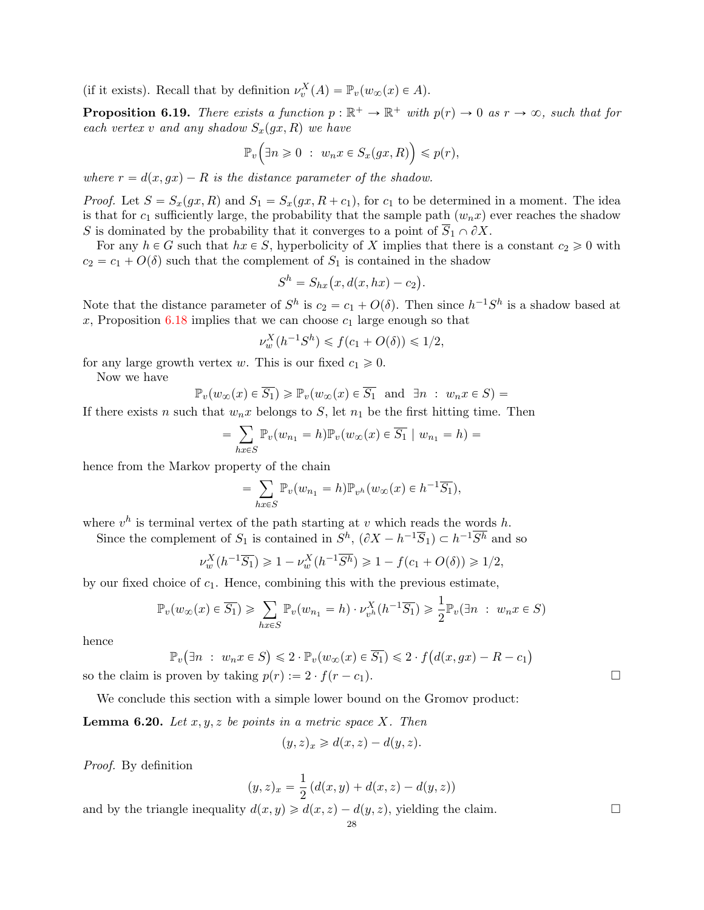(if it exists). Recall that by definition  $\nu_v^X(A) = \mathbb{P}_v(w_\infty(x) \in A)$ .

<span id="page-27-0"></span>**Proposition 6.19.** There exists a function  $p : \mathbb{R}^+ \to \mathbb{R}^+$  with  $p(r) \to 0$  as  $r \to \infty$ , such that for each vertex v and any shadow  $S_x(gx, R)$  we have

$$
\mathbb{P}_v\Big(\exists n\geq 0\;:\; w_nx\in S_x(gx,R)\Big)\leqslant p(r),
$$

where  $r = d(x, qx) - R$  is the distance parameter of the shadow.

*Proof.* Let  $S = S_x(gx, R)$  and  $S_1 = S_x(gx, R + c_1)$ , for  $c_1$  to be determined in a moment. The idea is that for  $c_1$  sufficiently large, the probability that the sample path  $(w_n x)$  ever reaches the shadow S is dominated by the probability that it converges to a point of  $S_1 \cap \partial X$ .

For any  $h \in G$  such that  $hx \in S$ , hyperbolicity of X implies that there is a constant  $c_2 \geq 0$  with  $c_2 = c_1 + O(\delta)$  such that the complement of  $S_1$  is contained in the shadow<br>  $S^h = S_{hx}(x, d(x, hx) - c_2)$ .

$$
Sh = Shx(x, d(x, hx) - c2).
$$

Note that the distance parameter of  $S^h$  is  $c_2 = c_1 + O(\delta)$ . Then since  $h^{-1}S^h$  is a shadow based at x, Proposition  $6.18$  implies that we can choose  $c_1$  large enough so that

$$
\nu_w^X(h^{-1}S^h) \leq f(c_1 + O(\delta)) \leq 1/2,
$$

for any large growth vertex w. This is our fixed  $c_1 \geq 0$ .

<u>.</u>

Now we have

$$
\mathbb{P}_v(w_\infty(x) \in \overline{S_1}) \ge \mathbb{P}_v(w_\infty(x) \in \overline{S_1} \text{ and } \exists n : w_n x \in S) =
$$

If there exists n such that  $w_n x$  belongs to S, let  $n_1$  be the first hitting time. Then

$$
\sum_{hx\in S}\mathbb{P}_v(w_{n_1}=h)\mathbb{P}_v(w_\infty(x)\in \overline{S_1}\mid w_{n_1}=h)=
$$

hence from the Markov property of the chain

$$
= \sum_{hx \in S} \mathbb{P}_v(w_{n_1} = h) \mathbb{P}_{v^h}(w_\infty(x) \in h^{-1}\overline{S_1}),
$$

where  $v^h$  is terminal vertex of the path starting at v which reads the words h.

Since the complement of  $S_1$  is contained in  $S^h$ ,  $(\partial X - h^{-1}\overline{S}_1) \subset h^{-1}\overline{S^h}$  and so

$$
\nu_w^X(h^{-1}\overline{S_1}) \geq 1 - \nu_w^X(h^{-1}\overline{S^h}) \geq 1 - f(c_1 + O(\delta)) \geq 1/2,
$$

by our fixed choice of  $c_1$ . Hence, combining this with the previous estimate,

$$
\mathbb{P}_v(w_{\infty}(x) \in \overline{S_1}) \ge \sum_{hx \in S} \mathbb{P}_v(w_{n_1} = h) \cdot \nu_{v^h}^X(h^{-1}\overline{S_1}) \ge \frac{1}{2} \mathbb{P}_v(\exists n : w_n x \in S)
$$

hence

$$
\mathbb{P}_v(\exists n : w_n x \in S) \leq 2 \cdot \mathbb{P}_v(w_\infty(x) \in \overline{S_1}) \leq 2 \cdot f(d(x, gx) - R - c_1)
$$

so the claim is proven by taking  $p(r) := 2 \cdot f(r - c_1)$ .

We conclude this section with a simple lower bound on the Gromov product:

<span id="page-27-1"></span>**Lemma 6.20.** Let  $x, y, z$  be points in a metric space X. Then

$$
(y, z)_x \ge d(x, z) - d(y, z).
$$

Proof. By definition

$$
(y, z)_x = \frac{1}{2} (d(x, y) + d(x, z) - d(y, z))
$$

and by the triangle inequality  $d(x, y) \geq d(x, z) - d(y, z)$ , yielding the claim.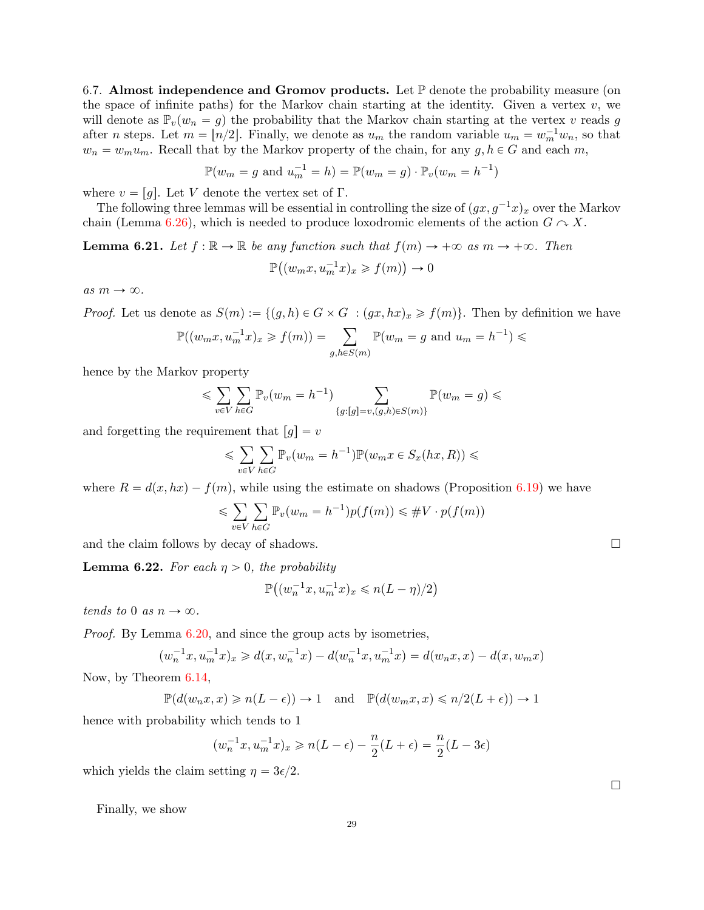6.7. Almost independence and Gromov products. Let  $\mathbb P$  denote the probability measure (on the space of infinite paths) for the Markov chain starting at the identity. Given a vertex  $v$ , we will denote as  $\mathbb{P}_{v}(w_n = g)$  the probability that the Markov chain starting at the vertex v reads g after *n* steps. Let  $m = \lfloor n/2 \rfloor$ . Finally, we denote as  $u_m$  the random variable  $u_m = w_m^{-1} w_n$ , so that  $w_n = w_m u_m$ . Recall that by the Markov property of the chain, for any  $g, h \in G$  and each m,

$$
\mathbb{P}(w_m = g \text{ and } u_m^{-1} = h) = \mathbb{P}(w_m = g) \cdot \mathbb{P}_v(w_m = h^{-1})
$$

where  $v = [g]$ . Let V denote the vertex set of Γ.

The following three lemmas will be essential in controlling the size of  $(gx, g^{-1}x)_x$  over the Markov chain (Lemma [6.26\)](#page-29-0), which is needed to produce loxodromic elements of the action  $G \sim X$ .

<span id="page-28-0"></span>**Lemma 6.21.** Let  $f : \mathbb{R} \to \mathbb{R}$  be any function such that  $f(m) \to +\infty$  as  $m \to +\infty$ . Then P  $\ddot{\cdot}$  $(w_mx, u_m^{-1}x)_x \geqslant f(m)$ ˘  $\rightarrow 0$ 

as  $m \to \infty.$ 

*Proof.* Let us denote as 
$$
S(m) := \{(g, h) \in G \times G : (gx, hx)_x \ge f(m)\}\)
$$
. Then by definition we have  

$$
\mathbb{P}((w_m x, u_m^{-1} x)_x \ge f(m)) = \sum_{g, h \in S(m)} \mathbb{P}(w_m = g \text{ and } u_m = h^{-1}) \le
$$

hence by the Markov property

$$
\leqslant \sum_{v \in V} \sum_{h \in G} \mathbb{P}_v(w_m = h^{-1}) \sum_{\{g : [g] = v, (g, h) \in S(m)\}} \mathbb{P}(w_m = g) \leqslant
$$

and forgetting the requirement that  $[g] = v$ 

$$
\leqslant \sum_{v\in V}\sum_{h\in G}\mathbb{P}_v(w_m=h^{-1})\mathbb{P}(w_mx\in S_x(hx,R))\leqslant
$$

where  $R = d(x, hx) - f(m)$ , while using the estimate on shadows (Proposition [6.19\)](#page-27-0) we have

$$
\leqslant \sum_{v \in V} \sum_{h \in G} \mathbb{P}_v(w_m = h^{-1}) p(f(m)) \leqslant \#V \cdot p(f(m))
$$

and the claim follows by decay of shadows.  $\Box$ 

<span id="page-28-1"></span>**Lemma 6.22.** For each  $\eta > 0$ , the probability

$$
\mathbb{P}\big((w_n^{-1}x,u_m^{-1}x)_x\leqslant n(L-\eta)/2\big)
$$

tends to 0 as  $n \to \infty$ .

*Proof.* By Lemma [6.20,](#page-27-1) and since the group acts by isometries,

$$
(w_n^{-1}x, u_m^{-1}x)_x \ge d(x, w_n^{-1}x) - d(w_n^{-1}x, u_m^{-1}x) = d(w_nx, x) - d(x, w_mx)
$$

Now, by Theorem [6.14,](#page-24-1)

$$
\mathbb{P}(d(w_n x, x) \geq n(L - \epsilon)) \to 1 \quad \text{and} \quad \mathbb{P}(d(w_m x, x) \leq n/2(L + \epsilon)) \to 1
$$

hence with probability which tends to 1

$$
(w_n^{-1}x, u_m^{-1}x)_x \ge n(L - \epsilon) - \frac{n}{2}(L + \epsilon) = \frac{n}{2}(L - 3\epsilon)
$$

which yields the claim setting  $\eta = 3\epsilon/2$ .

Finally, we show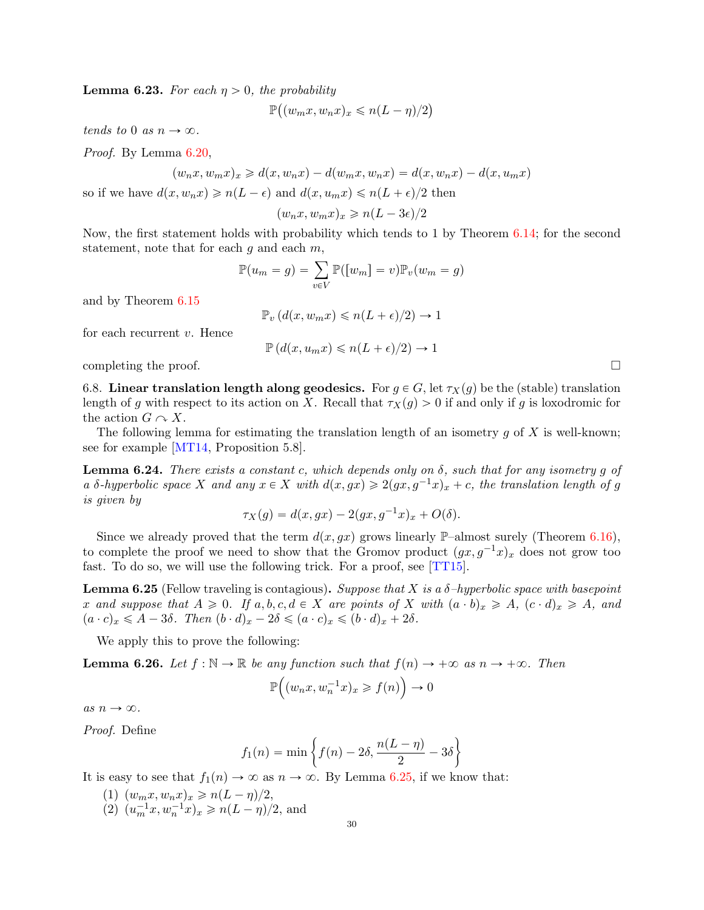<span id="page-29-2"></span>**Lemma 6.23.** For each  $\eta > 0$ , the probability

$$
\mathbb{P}\big((w_mx, w_nx)_x \leqslant n(L-\eta)/2\big)
$$

tends to 0 as  $n \to \infty$ .

Proof. By Lemma [6.20,](#page-27-1)

$$
(w_nx, w_mx)_x \ge d(x, w_nx) - d(w_mx, w_nx) = d(x, w_nx) - d(x, u_mx)
$$

so if we have  $d(x, w_n x) \geq n(L - \epsilon)$  and  $d(x, u_m x) \leq n(L + \epsilon)/2$  then

$$
(w_n x, w_m x)_x \geqslant n(L - 3\epsilon)/2
$$

Now, the first statement holds with probability which tends to 1 by Theorem [6.14;](#page-24-1) for the second statement, note that for each g and each m,<br>  $\mathbb{P}(u_m = g) = \sum_{m=1}^{g}$ 

$$
\mathbb{P}(u_m = g) = \sum_{v \in V} \mathbb{P}([w_m] = v) \mathbb{P}_v(w_m = g)
$$

and by Theorem [6.15](#page-25-0)

$$
\mathbb{P}_v\left(d(x,w_mx)\leqslant n(L+\epsilon)/2\right)\to 1
$$

for each recurrent v. Hence

$$
\mathbb{P}\left(d(x,u_mx)\leqslant n(L+\epsilon)/2\right)\to 1
$$

completing the proof.  $\Box$ 

6.8. Linear translation length along geodesics. For  $g \in G$ , let  $\tau_X(g)$  be the (stable) translation length of g with respect to its action on X. Recall that  $\tau_X(g) > 0$  if and only if g is loxodromic for the action  $G \cap X$ .

The following lemma for estimating the translation length of an isometry  $q$  of  $X$  is well-known; see for example [\[MT14,](#page-37-5) Proposition 5.8].

<span id="page-29-3"></span>**Lemma 6.24.** There exists a constant c, which depends only on  $\delta$ , such that for any isometry q of a δ-hyperbolic space X and any  $x \in X$  with  $d(x, gx) \geqslant 2(gx, g^{-1}x)_x + c$ , the translation length of g is given by

$$
\tau_X(g) = d(x, gx) - 2(gx, g^{-1}x)_x + O(\delta).
$$

Since we already proved that the term  $d(x, gx)$  grows linearly P–almost surely (Theorem [6.16\)](#page-25-1), to complete the proof we need to show that the Gromov product  $(gx, g^{-1}x)_x$  does not grow too fast. To do so, we will use the following trick. For a proof, see [\[TT15\]](#page-37-24).

<span id="page-29-1"></span>**Lemma 6.25** (Fellow traveling is contagious). Suppose that X is a  $\delta$ -hyperbolic space with basepoint x and suppose that  $A \geq 0$ . If  $a, b, c, d \in X$  are points of X with  $(a \cdot b)_x \geq A$ ,  $(c \cdot d)_x \geq A$ , and  $(a \cdot c)_x \leqslant A - 3\delta$ . Then  $(b \cdot d)_x - 2\delta \leqslant (a \cdot c)_x \leqslant (b \cdot d)_x + 2\delta$ .

We apply this to prove the following:

<span id="page-29-0"></span>**Lemma 6.26.** Let  $f : \mathbb{N} \to \mathbb{R}$  be any function such that  $f(n) \to +\infty$  as  $n \to +\infty$ . Then

$$
\mathbb{P}\Big((w_nx, w_n^{-1}x)_x \geq f(n)\Big) \to 0
$$

as  $n \to \infty$ .

Proof. Define

$$
f_1(n) = \min\left\{f(n) - 2\delta, \frac{n(L-\eta)}{2} - 3\delta\right\}
$$

It is easy to see that  $f_1(n) \to \infty$  as  $n \to \infty$ . By Lemma [6.25,](#page-29-1) if we know that:

- (1)  $(w_m x, w_n x)_x \geq n(L \eta)/2$ ,
- (2)  $(u_m^{-1}x, w_n^{-1}x)_x \geq n(L \eta)/2$ , and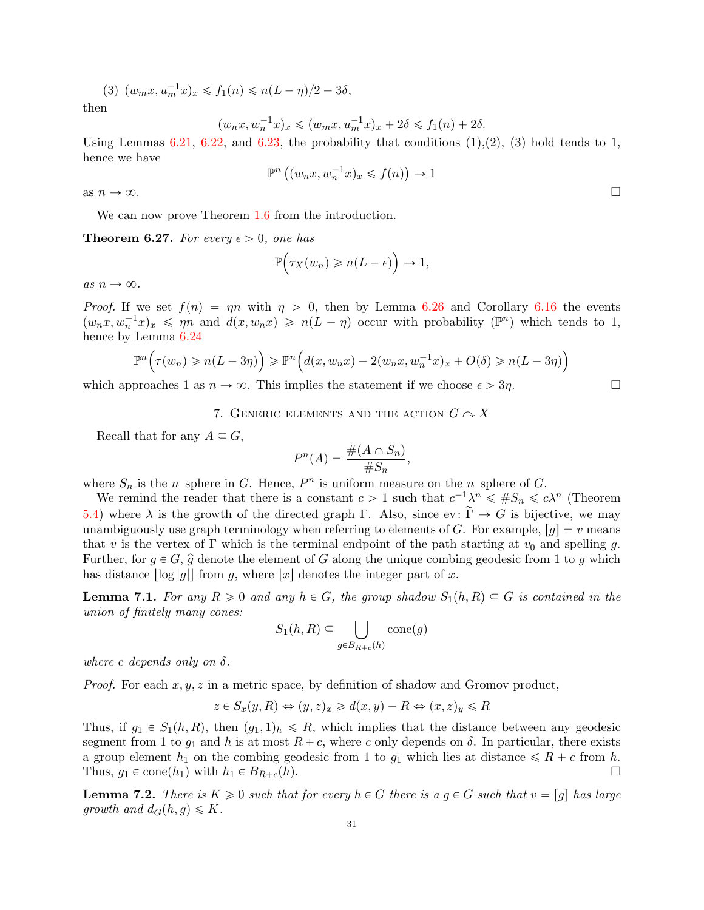$$
(3) (w_m x, u_m^{-1} x)_x \leq f_1(n) \leq n(L - \eta)/2 - 3\delta,
$$

then

$$
(w_nx,w_n^{-1}x)_x\leqslant (w_mx,u_m^{-1}x)_x+2\delta\leqslant f_1(n)+2\delta.
$$

Using Lemmas  $6.21$ ,  $6.22$ , and  $6.23$ , the probability that conditions  $(1),(2)$ ,  $(3)$  hold tends to 1, hence we have

$$
\mathbb{P}^n\left((w_nx, w_n^{-1}x)_x \leq f(n)\right) \to 1
$$

as  $n \to \infty$ .

We can now prove Theorem [1.6](#page-4-1) from the introduction.

**Theorem 6.27.** For every  $\epsilon > 0$ , one has

$$
\mathbb{P}\Big(\tau_X(w_n)\geqslant n(L-\epsilon)\Big)\to 1,
$$

as  $n \to \infty$ .

*Proof.* If we set  $f(n) = \eta n$  with  $\eta > 0$ , then by Lemma [6.26](#page-29-0) and Corollary [6.16](#page-25-1) the events  $(w_n x, w_n^{-1} x)_x \leq \eta n$  and  $d(x, w_n x) \geqslant n(L - \eta)$  occur with probability  $(\mathbb{P}^n)$  which tends to 1, hence by Lemma [6.24](#page-29-3)

$$
\mathbb{P}^n\Big(\tau(w_n) \geqslant n(L-3\eta)\Big) \geqslant \mathbb{P}^n\Big(d(x,w_nx) - 2(w_nx,w_n^{-1}x)_x + O(\delta) \geqslant n(L-3\eta)\Big)
$$

<span id="page-30-0"></span>which approaches 1 as  $n \to \infty$ . This implies the statement if we choose  $\epsilon > 3\eta$ .

7. GENERIC ELEMENTS AND THE ACTION  $G \curvearrowright X$ 

Recall that for any  $A \subseteq G$ ,

$$
P^n(A) = \frac{\#(A \cap S_n)}{\#S_n},
$$

where  $S_n$  is the *n*-sphere in G. Hence,  $P^n$  is uniform measure on the *n*-sphere of G.

We remind the reader that there is a constant  $c > 1$  such that  $c^{-1}\lambda^n \leq \#S_n \leq c\lambda^n$  (Theorem [5.4\)](#page-17-0) where  $\lambda$  is the growth of the directed graph  $\Gamma$ . Also, since ev:  $\widetilde{\Gamma} \to G$  is bijective, we may unambiguously use graph terminology when referring to elements of G. For example,  $[g] = v$  means that v is the vertex of  $\Gamma$  which is the terminal endpoint of the path starting at  $v_0$  and spelling g. Further, for  $g \in G$ ,  $\hat{g}$  denote the element of G along the unique combing geodesic from 1 to g which has distance  $\log|g|$  from g, where  $|x|$  denotes the integer part of x.

<span id="page-30-1"></span>**Lemma 7.1.** For any  $R \ge 0$  and any  $h \in G$ , the group shadow  $S_1(h, R) \subseteq G$  is contained in the union of finitely many cones:

$$
S_1(h, R) \subseteq \bigcup_{g \in B_{R+c}(h)} \text{cone}(g)
$$

where c depends only on  $\delta$ .

*Proof.* For each  $x, y, z$  in a metric space, by definition of shadow and Gromov product,

$$
z \in S_x(y, R) \Leftrightarrow (y, z)_x \ge d(x, y) - R \Leftrightarrow (x, z)_y \le R
$$

Thus, if  $g_1 \in S_1(h, R)$ , then  $(g_1, 1)_h \leq R$ , which implies that the distance between any geodesic segment from 1 to  $g_1$  and h is at most  $R + c$ , where c only depends on  $\delta$ . In particular, there exists a group element  $h_1$  on the combing geodesic from 1 to  $g_1$  which lies at distance  $\leq R + c$  from h. Thus,  $g_1 \in \text{cone}(h_1)$  with  $h_1 \in B_{R+c}(h)$ .

<span id="page-30-2"></span>**Lemma 7.2.** There is  $K \geq 0$  such that for every  $h \in G$  there is a  $g \in G$  such that  $v = [g]$  has large growth and  $d_G(h, g) \leq K$ .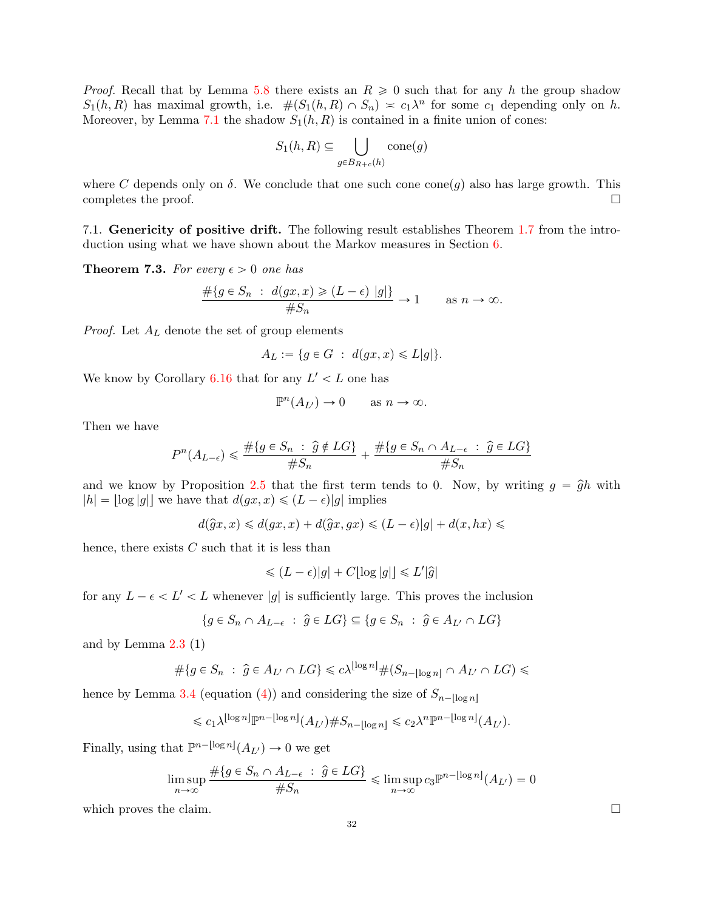*Proof.* Recall that by Lemma [5.8](#page-17-2) there exists an  $R \geq 0$  such that for any h the group shadow  $S_1(h, R)$  has maximal growth, i.e.  $\#(S_1(h, R) \cap S_n) \approx c_1\lambda^n$  for some  $c_1$  depending only on h. Moreover, by Lemma [7.1](#page-30-1) the shadow  $S_1(h, R)$  is contained in a finite union of cones:

$$
S_1(h, R) \subseteq \bigcup_{g \in B_{R+c}(h)} \text{cone}(g)
$$

where C depends only on  $\delta$ . We conclude that one such cone cone(q) also has large growth. This completes the proof.  $\Box$ 

7.1. Genericity of positive drift. The following result establishes Theorem [1.7](#page-4-2) from the introduction using what we have shown about the Markov measures in Section [6.](#page-18-0)

<span id="page-31-0"></span>**Theorem 7.3.** For every  $\epsilon > 0$  one has

$$
\frac{\#\{g \in S_n : d(gx, x) \ge (L - \epsilon) |g|\}}{\#S_n} \to 1 \quad \text{as } n \to \infty.
$$

*Proof.* Let  $A_L$  denote the set of group elements

$$
A_L := \{ g \in G \; : \; d(gx, x) \leq L|g| \}.
$$

We know by Corollary [6.16](#page-25-1) that for any  $L' < L$  one has

$$
\mathbb{P}^n(A_{L'}) \to 0 \quad \text{as } n \to \infty.
$$

Then we have

$$
P^{n}(A_{L-\epsilon}) \leq \frac{\#\{g \in S_n \ : \ \hat{g} \notin LG\}}{\#S_n} + \frac{\#\{g \in S_n \cap A_{L-\epsilon} \ : \ \hat{g} \in LG\}}{\#S_n}
$$

and we know by Proposition [2.5](#page-10-1) that the first term tends to 0. Now, by writing  $g = \hat{g}h$  with  $|h| = |\log |g||$  we have that  $d(gx, x) \leq (L - \epsilon)|g|$  implies

 $d(\widehat{g}x, x) \leq d(gx, x) + d(\widehat{g}x, gx) \leq (L - \epsilon)|g| + d(x, hx) \leq$ 

hence, there exists  $C$  such that it is less than

$$
\leq (L - \epsilon)|g| + C[\log|g|] \leq L'|\hat{g}|
$$

for any  $L - \epsilon < L' < L$  whenever |g| is sufficiently large. This proves the inclusion

$$
\{g\in S_n\cap A_{L-\epsilon}\ :\ \widehat{g}\in LG\}\subseteq \{g\in S_n\ :\ \widehat{g}\in A_{L'}\cap LG\}
$$

and by Lemma  $2.3(1)$  $2.3(1)$ 

$$
\#\{g \in S_n : \hat{g} \in A_{L'} \cap LG\} \leq c\lambda^{\lfloor \log n \rfloor} \#(S_{n-\lfloor \log n \rfloor} \cap A_{L'} \cap LG) \leq
$$

hence by Lemma [3.4](#page-14-1) (equation [\(4\)](#page-14-2)) and considering the size of  $S_{n-\lceil \log n \rceil}$ 

$$
\leqslant c_1\lambda^{\lfloor \log n \rfloor} \mathbb{P}^{n-\lfloor \log n \rfloor}(A_{L'}) \# S_{n-\lfloor \log n \rfloor} \leqslant c_2\lambda^n \mathbb{P}^{n-\lfloor \log n \rfloor}(A_{L'}).
$$

Finally, using that  $\mathbb{P}^{n-\lfloor \log n \rfloor}(A_{L'}) \to 0$  we get

$$
\limsup_{n \to \infty} \frac{\#\{g \in S_n \cap A_{L-\epsilon} \ : \ \widehat{g} \in LG\}}{\#S_n} \leqslant \limsup_{n \to \infty} c_3 \mathbb{P}^{n - \lfloor \log n \rfloor}(A_{L'}) = 0
$$

which proves the claim.  $\Box$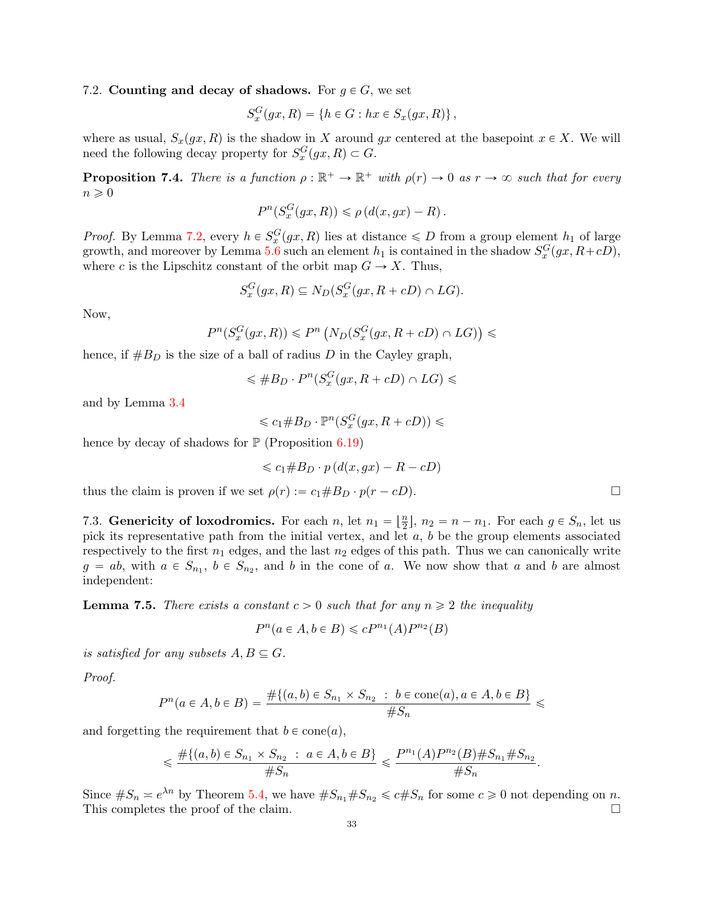## 7.2. Counting and decay of shadows. For  $q \in G$ , we set

$$
S_x^G(gx,R) = \{h \in G : hx \in S_x(gx,R)\},\
$$

where as usual,  $S_x(gx, R)$  is the shadow in X around gx centered at the basepoint  $x \in X$ . We will need the following decay property for  $S_x^G(gx, R) \subset G$ .

<span id="page-32-1"></span>**Proposition 7.4.** There is a function  $\rho : \mathbb{R}^+ \to \mathbb{R}^+$  with  $\rho(r) \to 0$  as  $r \to \infty$  such that for every  $n \geqslant 0$ 

$$
P^{n}(S_x^G(gx,R)) \leq \rho(d(x,gx) - R).
$$

*Proof.* By Lemma [7.2,](#page-30-2) every  $h \in S_x^G(gx, R)$  lies at distance  $\le D$  from a group element  $h_1$  of large growth, and moreover by Lemma [5.6](#page-17-3) such an element  $h_1$  is contained in the shadow  $S_x^G(gx, R+cD)$ , where c is the Lipschitz constant of the orbit map  $G \to X$ . Thus,

$$
S_x^G(gx, R) \subseteq N_D(S_x^G(gx, R + cD) \cap LG).
$$

Now,

$$
P^{n}(S_{x}^{G}(gx,R)) \leq P^{n}(N_{D}(S_{x}^{G}(gx,R+cD) \cap LG)) \leq
$$

hence, if  $#B_D$  is the size of a ball of radius D in the Cayley graph,

$$
\leqslant \#B_D \cdot P^n(S_x^G(gx, R + cD) \cap LG) \leqslant
$$

and by Lemma [3.4](#page-14-1)

$$
\leqslant c_1 \# B_D \cdot \mathbb{P}^n(S^G_x(gx, R + cD)) \leqslant
$$

hence by decay of shadows for  $\mathbb{P}$  (Proposition [6.19\)](#page-27-0)

$$
\leqslant c_1 \# B_D \cdot p \left( d(x, gx) - R - cD \right)
$$

thus the claim is proven if we set  $\rho(r) := c_1 \# B_D \cdot p(r - cD)$ .

7.3. Genericity of loxodromics. For each n, let  $n_1 = \lfloor \frac{n}{2} \rfloor$  $\frac{n}{2}$ ,  $n_2 = n - n_1$ . For each  $g \in S_n$ , let us pick its representative path from the initial vertex, and let  $a, b$  be the group elements associated respectively to the first  $n_1$  edges, and the last  $n_2$  edges of this path. Thus we can canonically write  $g = ab$ , with  $a \in S_{n_1}$ ,  $b \in S_{n_2}$ , and b in the cone of a. We now show that a and b are almost independent:

<span id="page-32-0"></span>**Lemma 7.5.** There exists a constant  $c > 0$  such that for any  $n \geq 2$  the inequality

$$
P^n(a \in A, b \in B) \leqslant cP^{n_1}(A)P^{n_2}(B)
$$

is satisfied for any subsets  $A, B \subseteq G$ .

Proof.

$$
P^{n}(a \in A, b \in B) = \frac{\#\{(a, b) \in S_{n_1} \times S_{n_2} : b \in \text{cone}(a), a \in A, b \in B\}}{\#S_n} \le
$$

and forgetting the requirement that  $b \in \text{cone}(a)$ ,

$$
\leq \frac{\#\{(a,b)\in S_{n_1}\times S_{n_2}:\ a\in A, b\in B\}}{\#S_n} \leq \frac{P^{n_1}(A)P^{n_2}(B)\#S_{n_1}\#S_{n_2}}{\#S_n}.
$$

Since  $\#S_n \geq e^{\lambda n}$  by Theorem [5.4,](#page-17-0) we have  $\#S_{n_1}\#S_{n_2} \leq c\#S_n$  for some  $c \geq 0$  not depending on n. This completes the proof of the claim.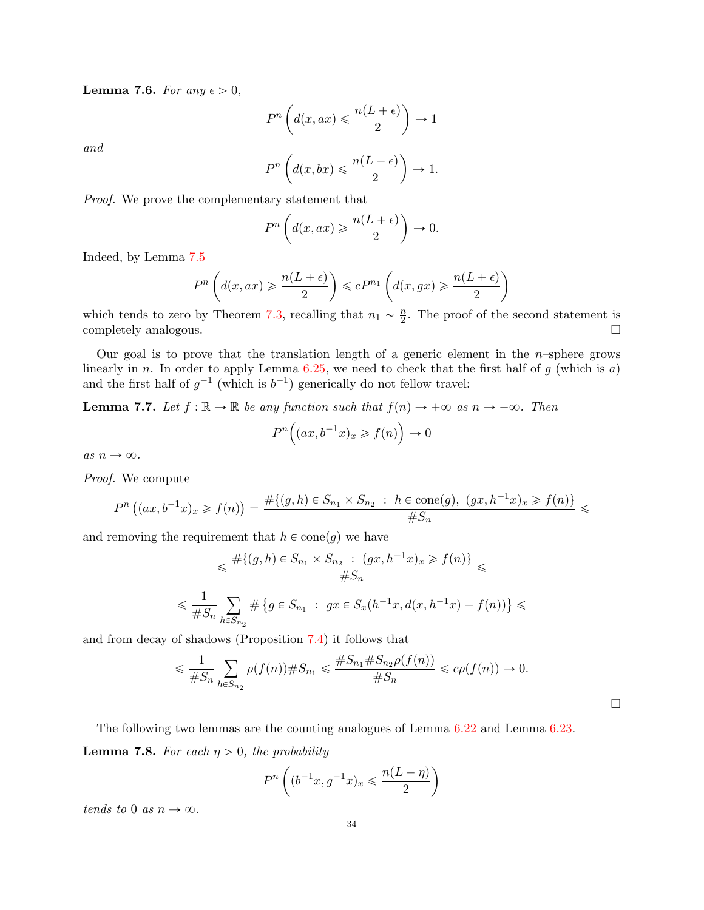<span id="page-33-0"></span>**Lemma 7.6.** For any  $\epsilon > 0$ ,

$$
P^{n}\left(d(x,ax)\leqslant \frac{n(L+\epsilon)}{2}\right)\to 1
$$

and

$$
P^{n}\left(d(x,bx)\leqslant \frac{n(L+\epsilon)}{2}\right)\to 1.
$$

Proof. We prove the complementary statement that

$$
P^{n}\left(d(x, ax) \geqslant \frac{n(L+\epsilon)}{2}\right) \to 0.
$$

Indeed, by Lemma [7.5](#page-32-0)

$$
P^{n}\left(d(x,ax) \geqslant \frac{n(L+\epsilon)}{2}\right) \leqslant cP^{n_{1}}\left(d(x,gx) \geqslant \frac{n(L+\epsilon)}{2}\right)
$$

which tends to zero by Theorem [7.3,](#page-31-0) recalling that  $n_1 \sim \frac{n}{2}$  $\frac{n}{2}$ . The proof of the second statement is completely analogous.  $\square$ 

Our goal is to prove that the translation length of a generic element in the  $n$ -sphere grows linearly in n. In order to apply Lemma  $6.25$ , we need to check that the first half of g (which is a) and the first half of  $g^{-1}$  (which is  $b^{-1}$ ) generically do not fellow travel:

<span id="page-33-1"></span>**Lemma 7.7.** Let  $f : \mathbb{R} \to \mathbb{R}$  be any function such that  $f(n) \to +\infty$  as  $n \to +\infty$ . Then

$$
P^n\Big((ax, b^{-1}x)_x \ge f(n)\Big) \to 0
$$

as  $n \to \infty$ .

Proof. We compute

$$
P^{n}((ax, b^{-1}x)_{x} \geq f(n)) = \frac{\#\{(g, h) \in S_{n_{1}} \times S_{n_{2}} : h \in \text{cone}(g), (gx, h^{-1}x)_{x} \geq f(n)\}}{\#S_{n}} \leq
$$

and removing the requirement that  $h \in \text{cone}(g)$  we have

$$
\leq \frac{\#\{(g,h)\in S_{n_1}\times S_{n_2} \ : \ (gx,h^{-1}x)_x \geq f(n)\}}{\#S_n} \leq
$$
  

$$
\leq \frac{1}{\#S_n} \sum_{h\in S_{n_2}} \#\{g\in S_{n_1} \ : \ gx\in S_x(h^{-1}x,d(x,h^{-1}x)-f(n))\} \leq
$$

and from decay of shadows (Proposition [7.4\)](#page-32-1) it follows that

$$
\leq \frac{1}{\#S_n} \sum_{h \in S_{n_2}} \rho(f(n)) \#S_{n_1} \leq \frac{\#S_{n_1} \#S_{n_2} \rho(f(n))}{\#S_n} \leq c \rho(f(n)) \to 0.
$$

 $\Box$ 

<span id="page-33-2"></span>The following two lemmas are the counting analogues of Lemma [6.22](#page-28-1) and Lemma [6.23.](#page-29-2) **Lemma 7.8.** For each  $\eta > 0$ , the probability

$$
P^{n}\left((b^{-1}x, g^{-1}x)_{x} \leqslant \frac{n(L - \eta)}{2}\right)
$$

tends to 0 as  $n \to \infty$ .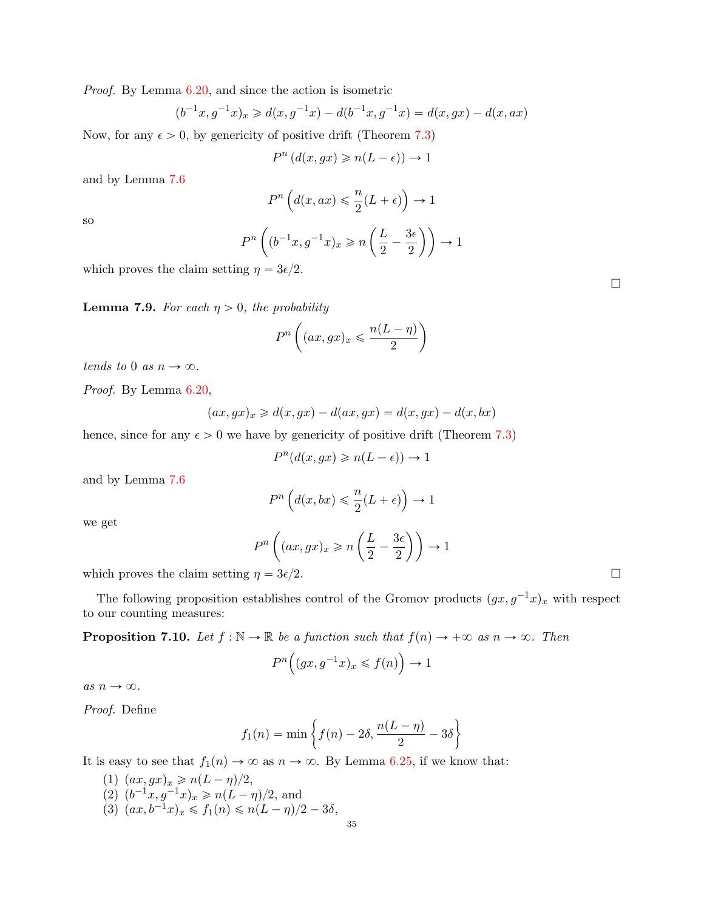Proof. By Lemma [6.20,](#page-27-1) and since the action is isometric

$$
(b^{-1}x, g^{-1}x)_x \ge d(x, g^{-1}x) - d(b^{-1}x, g^{-1}x) = d(x, gx) - d(x, ax)
$$

Now, for any  $\epsilon > 0$ , by genericity of positive drift (Theorem [7.3\)](#page-31-0)

$$
P^n\left(d(x,gx)\geqslant n(L-\epsilon)\right)\to 1
$$

and by Lemma [7.6](#page-33-0)

$$
P^n\left(d(x,ax)\leqslant \frac{n}{2}(L+\epsilon)\right)\to 1
$$

so

$$
P^{n}\left((b^{-1}x, g^{-1}x)_{x} \geqslant n\left(\frac{L}{2} - \frac{3\epsilon}{2}\right)\right) \to 1
$$

which proves the claim setting  $\eta = 3\epsilon/2$ .

<span id="page-34-0"></span>**Lemma 7.9.** For each  $\eta > 0$ , the probability

$$
P^{n}\left((ax,gx)_{x} \leqslant \frac{n(L-\eta)}{2}\right)
$$

tends to 0 as  $n \to \infty$ .

Proof. By Lemma [6.20,](#page-27-1)

$$
(ax, gx)_x \ge d(x, gx) - d(ax, gx) = d(x, gx) - d(x, bx)
$$

hence, since for any  $\epsilon > 0$  we have by genericity of positive drift (Theorem [7.3\)](#page-31-0)

$$
P^{n}(d(x,gx) \geqslant n(L-\epsilon)) \to 1
$$

and by Lemma [7.6](#page-33-0)

$$
P^{n}\left(d(x,bx)\leqslant \frac{n}{2}(L+\epsilon)\right)\to 1
$$

we get

$$
P^{n}\left((ax,gx)_{x}\geqslant n\left(\frac{L}{2}-\frac{3\epsilon}{2}\right)\right)\to 1
$$

which proves the claim setting  $\eta = 3\epsilon/2$ .

The following proposition establishes control of the Gromov products  $(gx, g^{-1}x)_x$  with respect to our counting measures:

<span id="page-34-1"></span>**Proposition 7.10.** Let  $f : \mathbb{N} \to \mathbb{R}$  be a function such that  $f(n) \to +\infty$  as  $n \to \infty$ . Then

$$
P^{n}\Big((gx, g^{-1}x)_{x} \leq f(n)\Big) \to 1
$$

as  $n \to \infty.$ 

Proof. Define

$$
f_1(n) = \min\left\{f(n) - 2\delta, \frac{n(L - \eta)}{2} - 3\delta\right\}
$$

It is easy to see that  $f_1(n) \to \infty$  as  $n \to \infty$ . By Lemma [6.25,](#page-29-1) if we know that:

(1)  $(ax, gx)_x \geq n(L - \eta)/2$ , (2)  $(b^{-1}x, g^{-1}x)_x \geqslant n(L - \eta)/2$ , and (3)  $(ax, b^{-1}x)_x \leq f_1(n) \leq n(L - \eta)/2 - 3\delta,$   $\Box$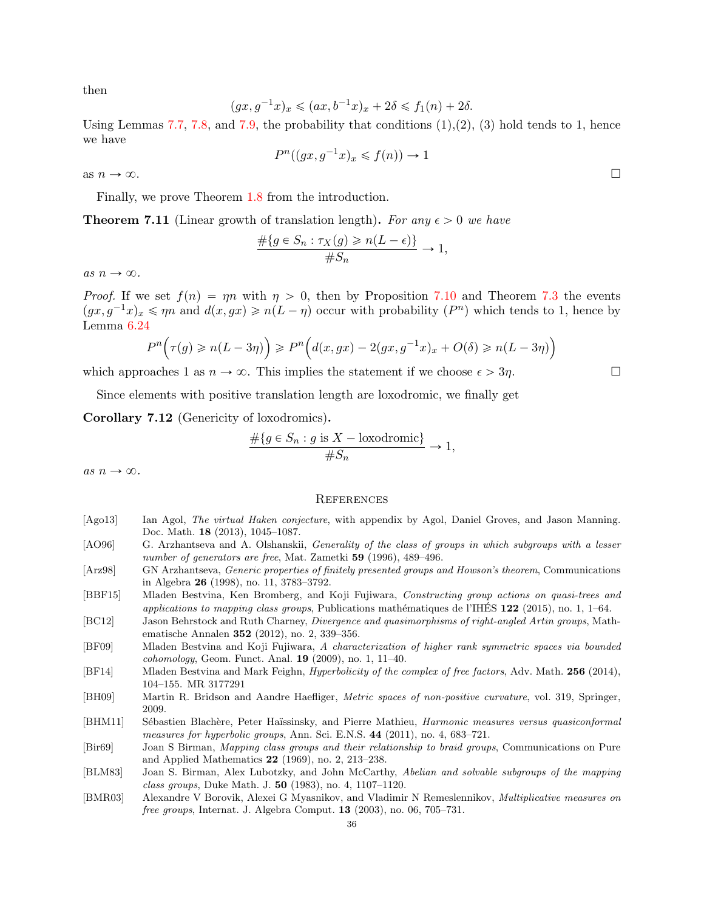then

$$
(gx, g^{-1}x)_x \leq (ax, b^{-1}x)_x + 2\delta \leq f_1(n) + 2\delta.
$$

Using Lemmas [7.7,](#page-33-1) [7.8,](#page-33-2) and [7.9,](#page-34-0) the probability that conditions  $(1),(2),(3)$  hold tends to 1, hence we have

$$
P^n((gx, g^{-1}x)_x \leq f(n)) \to 1
$$

as  $n \to \infty$ .

Finally, we prove Theorem [1.8](#page-4-3) from the introduction.

**Theorem 7.11** (Linear growth of translation length). For any  $\epsilon > 0$  we have

$$
\frac{\#\{g \in S_n : \tau_X(g) \ge n(L-\epsilon)\}}{\#S_n} \to 1,
$$

as  $n \to \infty$ .

*Proof.* If we set  $f(n) = \eta n$  with  $\eta > 0$ , then by Proposition [7.10](#page-34-1) and Theorem [7.3](#page-31-0) the events  $(gx, g^{-1}x)_x \le \eta n$  and  $d(x, gx) \ge n(L - \eta)$  occur with probability  $(P^n)$  which tends to 1, hence by Lemma [6.24](#page-29-3)

$$
P^{n}(\tau(g) \geq n(L-3\eta)) \geq P^{n}(\underline{d}(x,gx) - 2(gx,g^{-1}x)_{x} + O(\delta) \geq n(L-3\eta))
$$

which approaches 1 as  $n \to \infty$ . This implies the statement if we choose  $\epsilon > 3\eta$ .

Since elements with positive translation length are loxodromic, we finally get

Corollary 7.12 (Genericity of loxodromics).

$$
\frac{\#\{g \in S_n : g \text{ is } X - \text{loxodromic}\}}{\#S_n} \to 1,
$$

as  $n \to \infty$ .

#### **REFERENCES**

- <span id="page-35-8"></span>[Ago13] Ian Agol, The virtual Haken conjecture, with appendix by Agol, Daniel Groves, and Jason Manning. Doc. Math. 18 (2013), 1045–1087.
- <span id="page-35-1"></span>[AO96] G. Arzhantseva and A. Olshanskii, Generality of the class of groups in which subgroups with a lesser number of generators are free, Mat. Zametki 59 (1996), 489–496.
- <span id="page-35-2"></span>[Arz98] GN Arzhantseva, Generic properties of finitely presented groups and Howson's theorem, Communications in Algebra 26 (1998), no. 11, 3783–3792.
- <span id="page-35-4"></span>[BBF15] Mladen Bestvina, Ken Bromberg, and Koji Fujiwara, Constructing group actions on quasi-trees and applications to mapping class groups, Publications mathématiques de l'IHES  $122$  (2015), no. 1, 1–64.
- <span id="page-35-10"></span>[BC12] Jason Behrstock and Ruth Charney, Divergence and quasimorphisms of right-angled Artin groups, Mathematische Annalen 352 (2012), no. 2, 339–356.
- <span id="page-35-9"></span>[BF09] Mladen Bestvina and Koji Fujiwara, A characterization of higher rank symmetric spaces via bounded cohomology, Geom. Funct. Anal. 19 (2009), no. 1, 11–40.
- <span id="page-35-7"></span>[BF14] Mladen Bestvina and Mark Feighn, *Hyperbolicity of the complex of free factors*, Adv. Math. 256 (2014), 104–155. MR 3177291
- <span id="page-35-11"></span>[BH09] Martin R. Bridson and Aandre Haefliger, Metric spaces of non-positive curvature, vol. 319, Springer, 2009.
- <span id="page-35-0"></span>[BHM11] Sébastien Blachère, Peter Haïssinsky, and Pierre Mathieu, Harmonic measures versus quasiconformal measures for hyperbolic groups, Ann. Sci. E.N.S. 44 (2011), no. 4, 683–721.
- <span id="page-35-6"></span>[Bir69] Joan S Birman, Mapping class groups and their relationship to braid groups, Communications on Pure and Applied Mathematics 22 (1969), no. 2, 213–238.
- <span id="page-35-5"></span>[BLM83] Joan S. Birman, Alex Lubotzky, and John McCarthy, Abelian and solvable subgroups of the mapping class groups, Duke Math. J. 50 (1983), no. 4, 1107–1120.
- <span id="page-35-3"></span>[BMR03] Alexandre V Borovik, Alexei G Myasnikov, and Vladimir N Remeslennikov, Multiplicative measures on free groups, Internat. J. Algebra Comput. 13 (2003), no. 06, 705–731.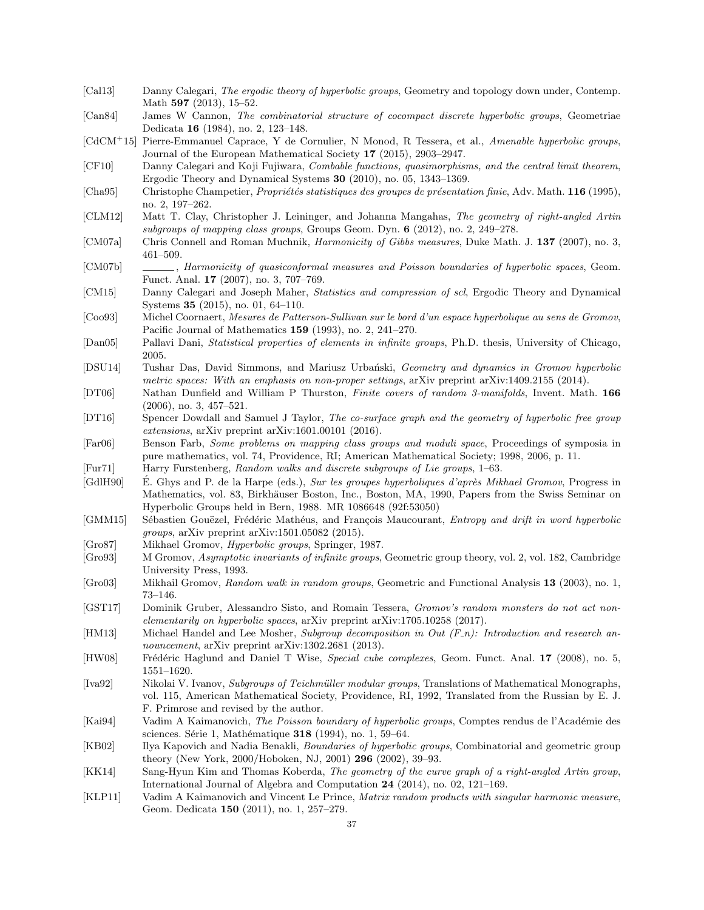- <span id="page-36-23"></span>[Cal13] Danny Calegari, *The ergodic theory of hyperbolic groups*, Geometry and topology down under, Contemp. Math 597 (2013), 15-52.
- <span id="page-36-27"></span>[Can84] James W Cannon, The combinatorial structure of cocompact discrete hyperbolic groups, Geometriae Dedicata 16 (1984), no. 2, 123–148.
- <span id="page-36-8"></span>[CdCM<sup>+</sup>15] Pierre-Emmanuel Caprace, Y de Cornulier, N Monod, R Tessera, et al., Amenable hyperbolic groups, Journal of the European Mathematical Society 17 (2015), 2903–2947.
- <span id="page-36-14"></span>[CF10] Danny Calegari and Koji Fujiwara, Combable functions, quasimorphisms, and the central limit theorem, Ergodic Theory and Dynamical Systems 30 (2010), no. 05, 1343–1369.
- <span id="page-36-13"></span>[Cha95] Christophe Champetier, *Propriétés statistiques des groupes de présentation finie*, Adv. Math. **116** (1995), no. 2, 197–262.
- <span id="page-36-18"></span>[CLM12] Matt T. Clay, Christopher J. Leininger, and Johanna Mangahas, The geometry of right-angled Artin subgroups of mapping class groups, Groups Geom. Dyn.  $6$  (2012), no. 2, 249–278.
- <span id="page-36-2"></span>[CM07a] Chris Connell and Roman Muchnik, Harmonicity of Gibbs measures, Duke Math. J. 137 (2007), no. 3, 461–509.
- <span id="page-36-1"></span>[CM07b] , Harmonicity of quasiconformal measures and Poisson boundaries of hyperbolic spaces, Geom. Funct. Anal. 17 (2007), no. 3, 707–769.
- <span id="page-36-6"></span>[CM15] Danny Calegari and Joseph Maher, Statistics and compression of scl, Ergodic Theory and Dynamical Systems 35 (2015), no. 01, 64–110.
- <span id="page-36-28"></span>[Coo93] Michel Coornaert, Mesures de Patterson-Sullivan sur le bord d'un espace hyperbolique au sens de Gromov, Pacific Journal of Mathematics 159 (1993), no. 2, 241–270.
- <span id="page-36-15"></span>[Dan05] Pallavi Dani, Statistical properties of elements in infinite groups, Ph.D. thesis, University of Chicago, 2005.
- <span id="page-36-26"></span>[DSU14] Tushar Das, David Simmons, and Mariusz Urbański, Geometry and dynamics in Gromov hyperbolic metric spaces: With an emphasis on non-proper settings, arXiv preprint arXiv:1409.2155 (2014).
- <span id="page-36-9"></span>[DT06] Nathan Dunfield and William P Thurston, Finite covers of random 3-manifolds, Invent. Math. 166 (2006), no. 3, 457–521.
- <span id="page-36-20"></span>[DT16] Spencer Dowdall and Samuel J Taylor, The co-surface graph and the geometry of hyperbolic free group extensions, arXiv preprint arXiv:1601.00101 (2016).
- <span id="page-36-16"></span>[Far06] Benson Farb, Some problems on mapping class groups and moduli space, Proceedings of symposia in pure mathematics, vol. 74, Providence, RI; American Mathematical Society; 1998, 2006, p. 11.

<span id="page-36-0"></span>[Fur71] Harry Furstenberg, Random walks and discrete subgroups of Lie groups, 1–63.

- <span id="page-36-24"></span>[GdlH90] E. Ghys and P. de la Harpe (eds.), Sur les groupes hyperboliques d'après Mikhael Gromov, Progress in Mathematics, vol. 83, Birkhäuser Boston, Inc., Boston, MA, 1990, Papers from the Swiss Seminar on Hyperbolic Groups held in Bern, 1988. MR 1086648 (92f:53050)
- <span id="page-36-3"></span>[GMM15] Sébastien Gouëzel, Frédéric Mathéus, and François Maucourant, Entropy and drift in word hyperbolic groups, arXiv preprint arXiv:1501.05082 (2015).
- <span id="page-36-10"></span>[Gro87] Mikhael Gromov, Hyperbolic groups, Springer, 1987.
- <span id="page-36-11"></span>[Gro93] M Gromov, *Asymptotic invariants of infinite groups*, Geometric group theory, vol. 2, vol. 182, Cambridge University Press, 1993.
- <span id="page-36-12"></span>[Gro03] Mikhail Gromov, Random walk in random groups, Geometric and Functional Analysis 13 (2003), no. 1, 73–146.
- <span id="page-36-7"></span>[GST17] Dominik Gruber, Alessandro Sisto, and Romain Tessera, Gromov's random monsters do not act nonelementarily on hyperbolic spaces, arXiv preprint arXiv:1705.10258 (2017).
- <span id="page-36-19"></span>[HM13] Michael Handel and Lee Mosher, Subgroup decomposition in Out (F\_n): Introduction and research announcement, arXiv preprint arXiv:1302.2681 (2013).
- <span id="page-36-21"></span>[HW08] Frédéric Haglund and Daniel T Wise, Special cube complexes, Geom. Funct. Anal. 17 (2008), no. 5, 1551–1620.
- <span id="page-36-17"></span>[Iva92] Nikolai V. Ivanov, Subgroups of Teichmüller modular groups, Translations of Mathematical Monographs, vol. 115, American Mathematical Society, Providence, RI, 1992, Translated from the Russian by E. J. F. Primrose and revised by the author.
- <span id="page-36-5"></span>[Kai94] Vadim A Kaimanovich, The Poisson boundary of hyperbolic groups, Comptes rendus de l'Académie des sciences. Série 1, Mathématique 318 (1994), no. 1, 59–64.
- <span id="page-36-25"></span>[KB02] Ilya Kapovich and Nadia Benakli, Boundaries of hyperbolic groups, Combinatorial and geometric group theory (New York, 2000/Hoboken, NJ, 2001) 296 (2002), 39–93.
- <span id="page-36-22"></span>[KK14] Sang-Hyun Kim and Thomas Koberda, The geometry of the curve graph of a right-angled Artin group, International Journal of Algebra and Computation 24 (2014), no. 02, 121–169.
- <span id="page-36-4"></span>[KLP11] Vadim A Kaimanovich and Vincent Le Prince, Matrix random products with singular harmonic measure, Geom. Dedicata 150 (2011), no. 1, 257–279.